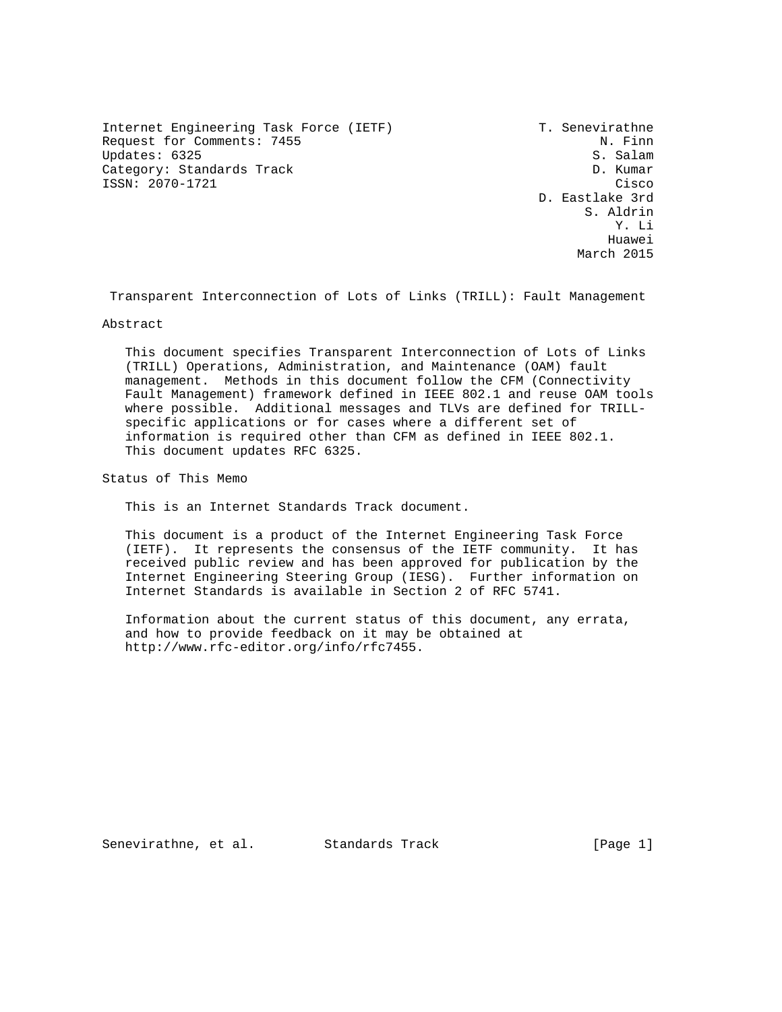Internet Engineering Task Force (IETF) T. Senevirathne<br>Request for Comments: 7455 N. Finn Request for Comments: 7455 N. Finn<br>Updates: 6325 N. Salam Updates: 6325 Category: Standards Track D. Kumar D. Kumar ISSN: 2070-1721 Cisco

 D. Eastlake 3rd S. Aldrin Y. Li he distributed by the control of the control of the control of the control of the control of the control of the control of the control of the control of the control of the control of the control of the control of the contr March 2015

Transparent Interconnection of Lots of Links (TRILL): Fault Management

Abstract

 This document specifies Transparent Interconnection of Lots of Links (TRILL) Operations, Administration, and Maintenance (OAM) fault management. Methods in this document follow the CFM (Connectivity Fault Management) framework defined in IEEE 802.1 and reuse OAM tools where possible. Additional messages and TLVs are defined for TRILL specific applications or for cases where a different set of information is required other than CFM as defined in IEEE 802.1. This document updates RFC 6325.

Status of This Memo

This is an Internet Standards Track document.

 This document is a product of the Internet Engineering Task Force (IETF). It represents the consensus of the IETF community. It has received public review and has been approved for publication by the Internet Engineering Steering Group (IESG). Further information on Internet Standards is available in Section 2 of RFC 5741.

 Information about the current status of this document, any errata, and how to provide feedback on it may be obtained at http://www.rfc-editor.org/info/rfc7455.

Senevirathne, et al. Standards Track [Page 1]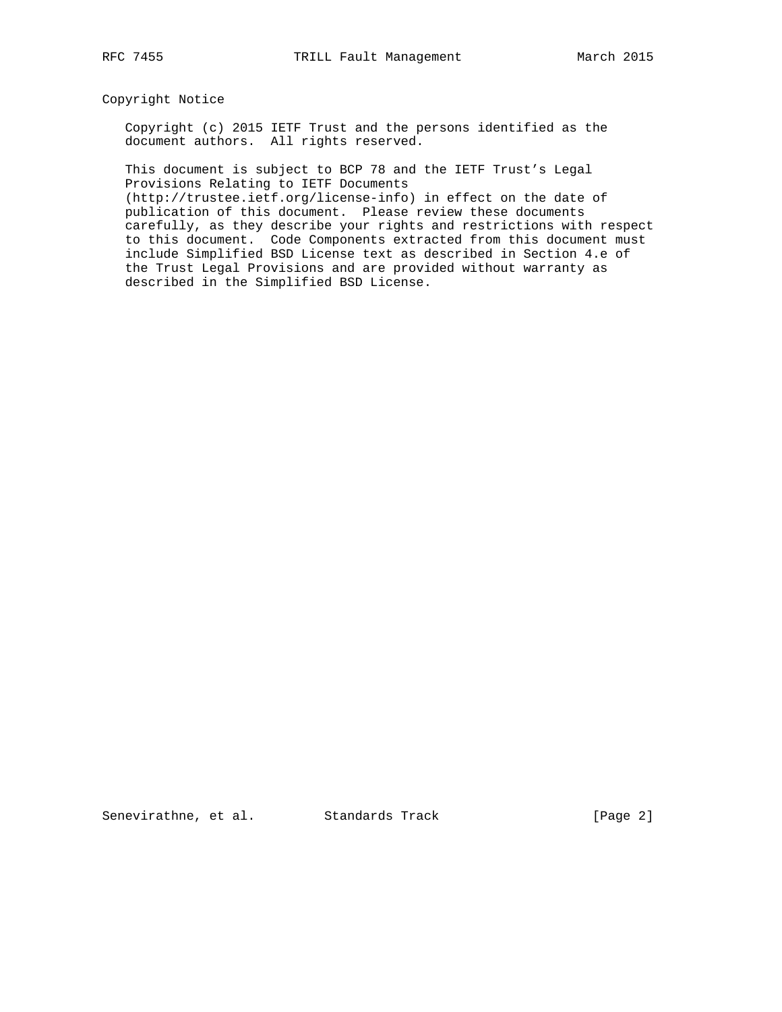## Copyright Notice

 Copyright (c) 2015 IETF Trust and the persons identified as the document authors. All rights reserved.

 This document is subject to BCP 78 and the IETF Trust's Legal Provisions Relating to IETF Documents

 (http://trustee.ietf.org/license-info) in effect on the date of publication of this document. Please review these documents carefully, as they describe your rights and restrictions with respect to this document. Code Components extracted from this document must include Simplified BSD License text as described in Section 4.e of the Trust Legal Provisions and are provided without warranty as described in the Simplified BSD License.

Senevirathne, et al. Standards Track [Page 2]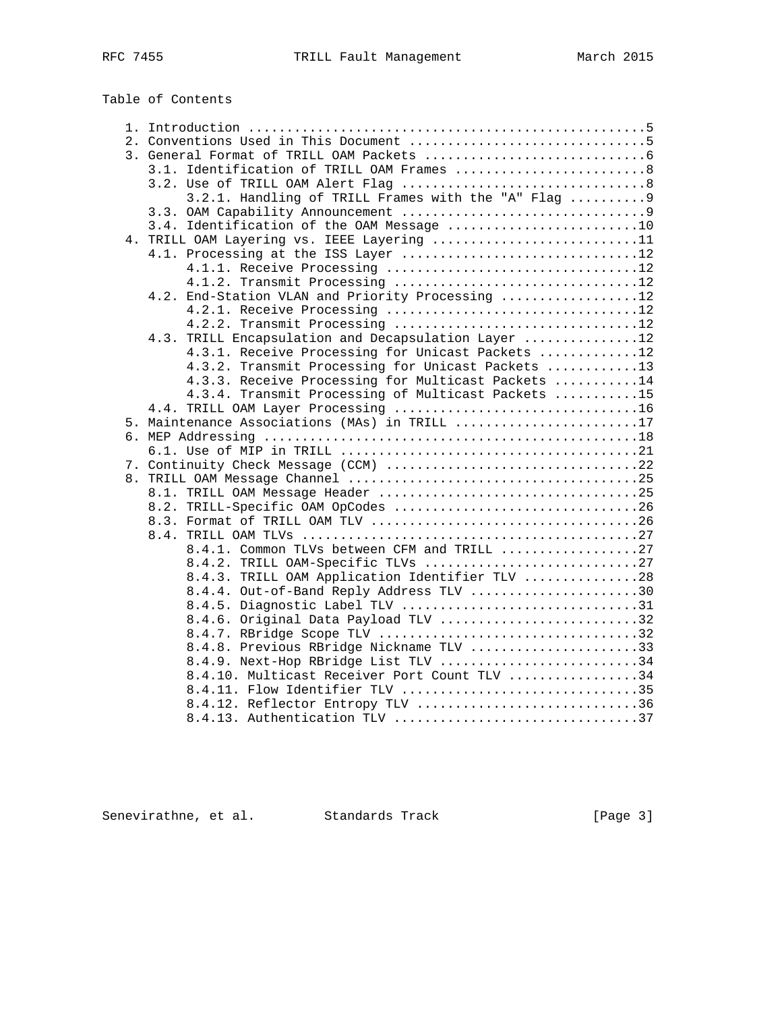# Table of Contents

|  | 3.1. Identification of TRILL OAM Frames  8           |
|--|------------------------------------------------------|
|  |                                                      |
|  | 3.2.1. Handling of TRILL Frames with the "A" Flag  9 |
|  |                                                      |
|  | 3.4. Identification of the OAM Message 10            |
|  | 4. TRILL OAM Layering vs. IEEE Layering 11           |
|  | 4.1. Processing at the ISS Layer 12                  |
|  | 4.1.1. Receive Processing 12                         |
|  | 4.1.2. Transmit Processing 12                        |
|  | 4.2. End-Station VLAN and Priority Processing 12     |
|  | 4.2.1. Receive Processing 12                         |
|  | 4.2.2. Transmit Processing 12                        |
|  | 4.3. TRILL Encapsulation and Decapsulation Layer 12  |
|  | 4.3.1. Receive Processing for Unicast Packets 12     |
|  | 4.3.2. Transmit Processing for Unicast Packets 13    |
|  | 4.3.3. Receive Processing for Multicast Packets 14   |
|  | 4.3.4. Transmit Processing of Multicast Packets 15   |
|  |                                                      |
|  | 5. Maintenance Associations (MAs) in TRILL 17        |
|  |                                                      |
|  |                                                      |
|  |                                                      |
|  |                                                      |
|  |                                                      |
|  | 8.2. TRILL-Specific OAM OpCodes 26                   |
|  |                                                      |
|  |                                                      |
|  | 8.4.1. Common TLVs between CFM and TRILL 27          |
|  | 8.4.2. TRILL OAM-Specific TLVs 27                    |
|  | 8.4.3. TRILL OAM Application Identifier TLV 28       |
|  | 8.4.4. Out-of-Band Reply Address TLV 30              |
|  | 8.4.5. Diagnostic Label TLV 31                       |
|  | 8.4.6. Original Data Payload TLV 32                  |
|  |                                                      |
|  | 8.4.8. Previous RBridge Nickname TLV 33              |
|  | 8.4.9. Next-Hop RBridge List TLV 34                  |
|  | 8.4.10. Multicast Receiver Port Count TLV 34         |
|  | 8.4.11. Flow Identifier TLV 35                       |
|  |                                                      |
|  | 8.4.12. Reflector Entropy TLV 36                     |
|  | 8.4.13. Authentication TLV 37                        |

Senevirathne, et al. Standards Track [Page 3]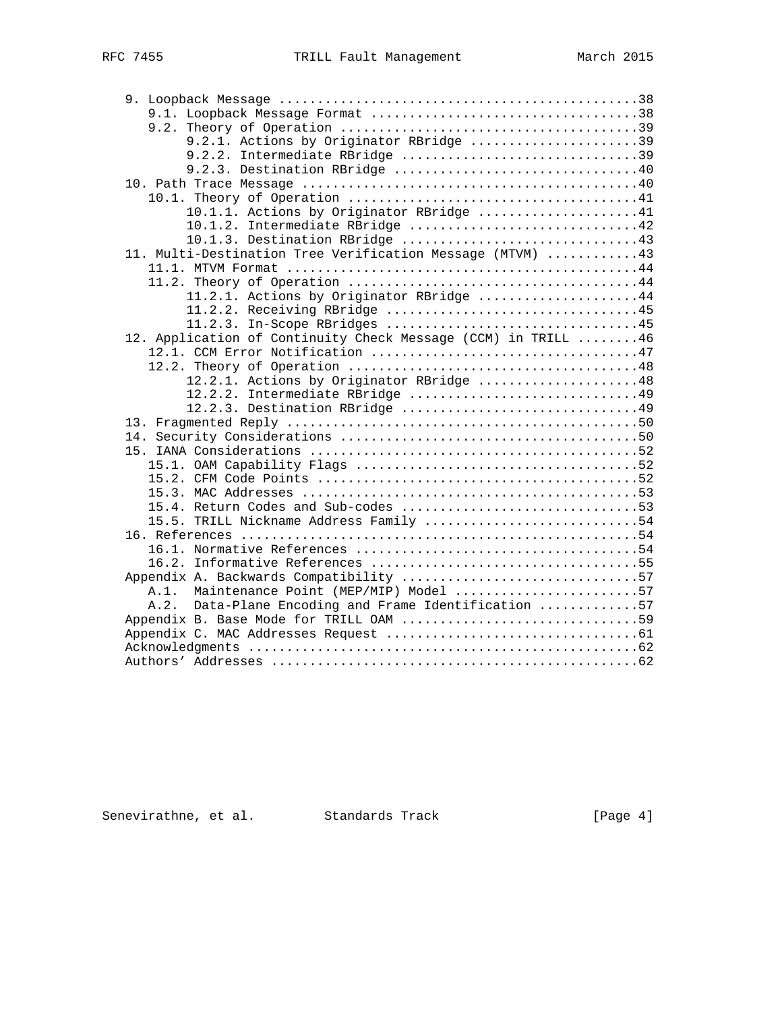| 9.2.1. Actions by Originator RBridge 39                       |
|---------------------------------------------------------------|
| 9.2.2. Intermediate RBridge 39                                |
| 9.2.3. Destination RBridge 40                                 |
|                                                               |
|                                                               |
| 10.1.1. Actions by Originator RBridge 41                      |
| 10.1.2. Intermediate RBridge 42                               |
| 10.1.3. Destination RBridge 43                                |
| 11. Multi-Destination Tree Verification Message (MTVM) 43     |
|                                                               |
|                                                               |
| 11.2.1. Actions by Originator RBridge 44                      |
|                                                               |
| 11.2.3. In-Scope RBridges 45                                  |
| 12. Application of Continuity Check Message (CCM) in TRILL 46 |
|                                                               |
|                                                               |
| 12.2.1. Actions by Originator RBridge 48                      |
| 12.2.2. Intermediate RBridge 49                               |
|                                                               |
|                                                               |
|                                                               |
|                                                               |
|                                                               |
|                                                               |
|                                                               |
| 15.4. Return Codes and Sub-codes 53                           |
| 15.5. TRILL Nickname Address Family 54                        |
|                                                               |
|                                                               |
|                                                               |
| Appendix A. Backwards Compatibility 57                        |
| Maintenance Point (MEP/MIP) Model 57<br>A.1.                  |
| Data-Plane Encoding and Frame Identification 57<br>A.2.       |
|                                                               |
|                                                               |
|                                                               |
|                                                               |

Senevirathne, et al. Standards Track [Page 4]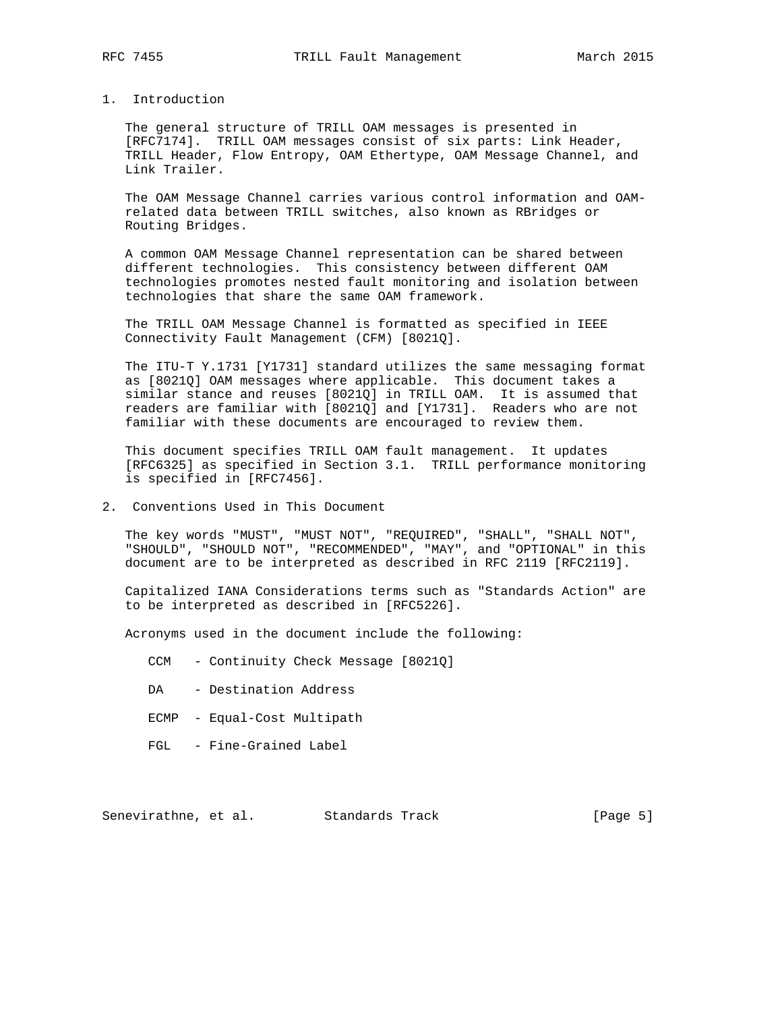# 1. Introduction

 The general structure of TRILL OAM messages is presented in [RFC7174]. TRILL OAM messages consist of six parts: Link Header, TRILL Header, Flow Entropy, OAM Ethertype, OAM Message Channel, and Link Trailer.

 The OAM Message Channel carries various control information and OAM related data between TRILL switches, also known as RBridges or Routing Bridges.

 A common OAM Message Channel representation can be shared between different technologies. This consistency between different OAM technologies promotes nested fault monitoring and isolation between technologies that share the same OAM framework.

 The TRILL OAM Message Channel is formatted as specified in IEEE Connectivity Fault Management (CFM) [8021Q].

 The ITU-T Y.1731 [Y1731] standard utilizes the same messaging format as [8021Q] OAM messages where applicable. This document takes a similar stance and reuses [8021Q] in TRILL OAM. It is assumed that readers are familiar with [8021Q] and [Y1731]. Readers who are not familiar with these documents are encouraged to review them.

 This document specifies TRILL OAM fault management. It updates [RFC6325] as specified in Section 3.1. TRILL performance monitoring is specified in [RFC7456].

### 2. Conventions Used in This Document

 The key words "MUST", "MUST NOT", "REQUIRED", "SHALL", "SHALL NOT", "SHOULD", "SHOULD NOT", "RECOMMENDED", "MAY", and "OPTIONAL" in this document are to be interpreted as described in RFC 2119 [RFC2119].

 Capitalized IANA Considerations terms such as "Standards Action" are to be interpreted as described in [RFC5226].

Acronyms used in the document include the following:

CCM - Continuity Check Message [8021Q]

- DA Destination Address
- ECMP Equal-Cost Multipath
- FGL Fine-Grained Label

Senevirathne, et al. Standards Track [Page 5]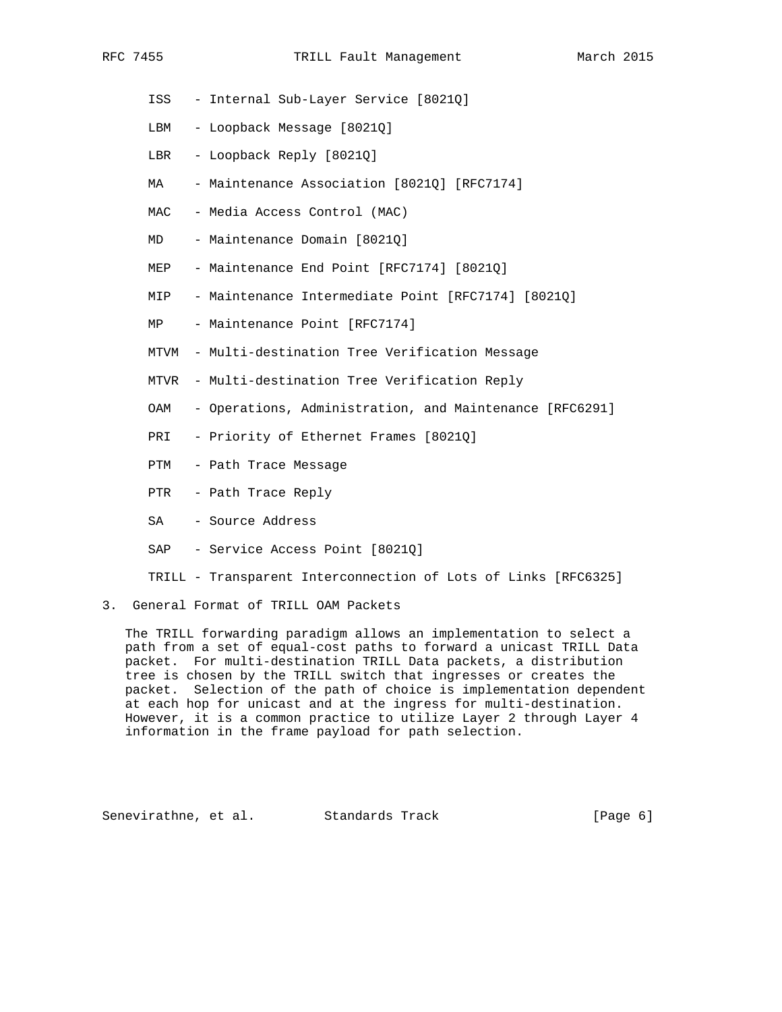- ISS Internal Sub-Layer Service [8021Q]
- LBM Loopback Message [8021Q]
- LBR Loopback Reply [8021Q]
- MA Maintenance Association [8021Q] [RFC7174]
- MAC Media Access Control (MAC)
- MD Maintenance Domain [8021Q]
- MEP Maintenance End Point [RFC7174] [8021Q]
- MIP Maintenance Intermediate Point [RFC7174] [8021Q]
- MP Maintenance Point [RFC7174]
- MTVM Multi-destination Tree Verification Message
- MTVR Multi-destination Tree Verification Reply
- OAM Operations, Administration, and Maintenance [RFC6291]
- PRI Priority of Ethernet Frames [8021Q]
- PTM Path Trace Message
- PTR Path Trace Reply
- SA Source Address
- SAP Service Access Point [8021Q]

TRILL - Transparent Interconnection of Lots of Links [RFC6325]

3. General Format of TRILL OAM Packets

 The TRILL forwarding paradigm allows an implementation to select a path from a set of equal-cost paths to forward a unicast TRILL Data packet. For multi-destination TRILL Data packets, a distribution tree is chosen by the TRILL switch that ingresses or creates the packet. Selection of the path of choice is implementation dependent at each hop for unicast and at the ingress for multi-destination. However, it is a common practice to utilize Layer 2 through Layer 4 information in the frame payload for path selection.

Senevirathne, et al. Standards Track (Page 6)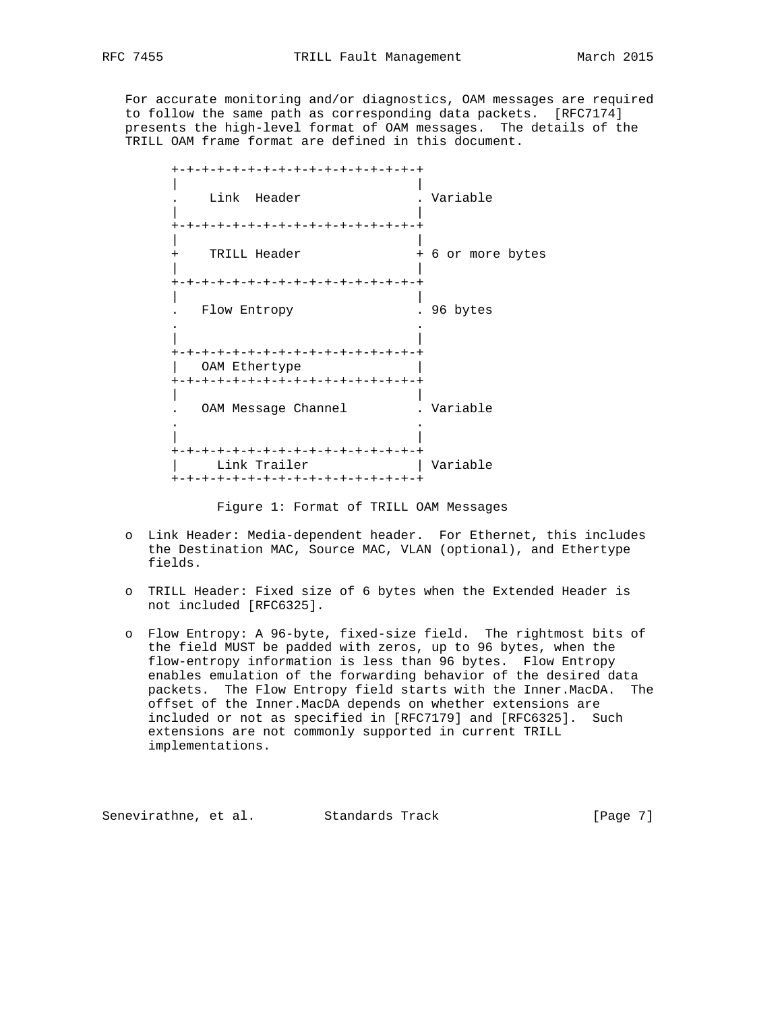For accurate monitoring and/or diagnostics, OAM messages are required to follow the same path as corresponding data packets. [RFC7174] presents the high-level format of OAM messages. The details of the TRILL OAM frame format are defined in this document.

| +-+-+-+-+-+-+-+-+-+-+-+-+-+-+-+-+-+                                                     |                   |
|-----------------------------------------------------------------------------------------|-------------------|
| Link Header                                                                             | . Variable        |
| +-+-+-+-+-+-+-+-+-+-+-+-+-+-+-+-+                                                       |                   |
| TRILL Header<br>$+$ $-$                                                                 | + 6 or more bytes |
| +-+-+-+-+-+-+-+-+-+-+-+-+-+-+-+-+                                                       |                   |
| Flow Entropy                                                                            | . 96 bytes        |
| +-+-+-+-+-+-+-+-+-+-+-+-+-+-+-+-+                                                       |                   |
| OAM Ethertype                                                                           |                   |
| +-+-+-+-+-+-+-+-+-+-+-+-+-+-+-+-+                                                       |                   |
| OAM Message Channel                                                                     | . Variable        |
| +-+-+-+-+-+-+-+-+-+-+-+-+-+-+-+-+-<br>Link Trailer<br>+-+-+-+-+-+-+-+-+-+-+-+-+-+-+-+-+ | Variable          |
|                                                                                         |                   |

Figure 1: Format of TRILL OAM Messages

- o Link Header: Media-dependent header. For Ethernet, this includes the Destination MAC, Source MAC, VLAN (optional), and Ethertype fields.
- o TRILL Header: Fixed size of 6 bytes when the Extended Header is not included [RFC6325].
- o Flow Entropy: A 96-byte, fixed-size field. The rightmost bits of the field MUST be padded with zeros, up to 96 bytes, when the flow-entropy information is less than 96 bytes. Flow Entropy enables emulation of the forwarding behavior of the desired data packets. The Flow Entropy field starts with the Inner.MacDA. The offset of the Inner.MacDA depends on whether extensions are included or not as specified in [RFC7179] and [RFC6325]. Such extensions are not commonly supported in current TRILL implementations.

Senevirathne, et al. Standards Track [Page 7]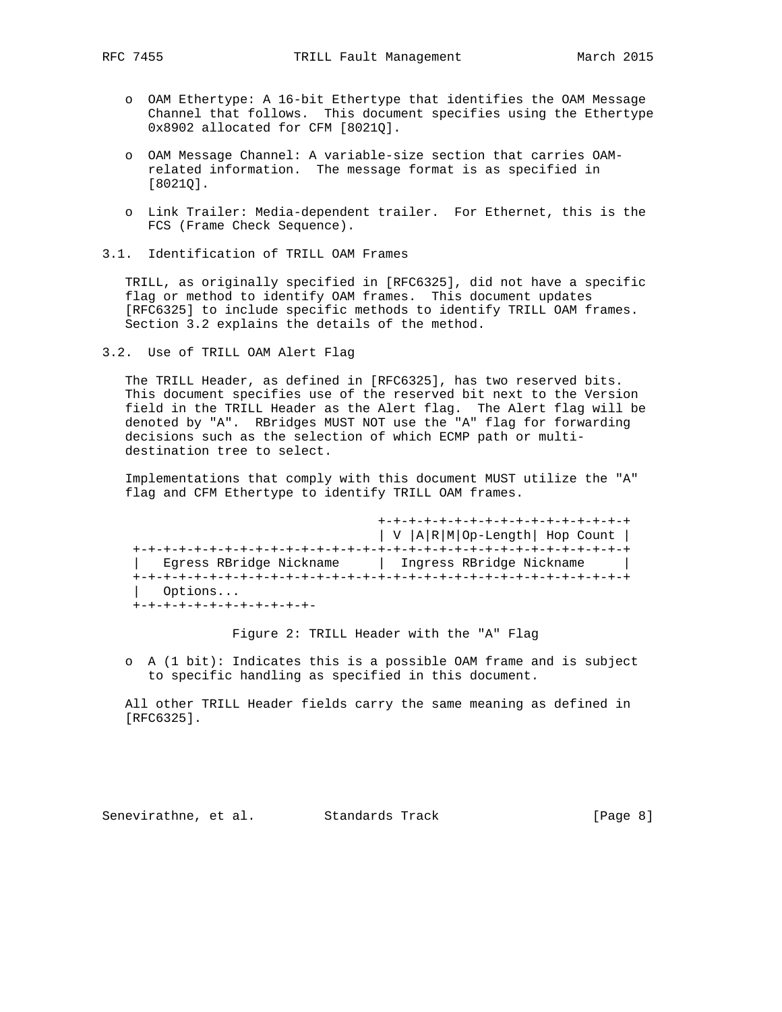- o OAM Ethertype: A 16-bit Ethertype that identifies the OAM Message Channel that follows. This document specifies using the Ethertype 0x8902 allocated for CFM [8021Q].
- o OAM Message Channel: A variable-size section that carries OAM related information. The message format is as specified in [8021Q].
- o Link Trailer: Media-dependent trailer. For Ethernet, this is the FCS (Frame Check Sequence).
- 3.1. Identification of TRILL OAM Frames

 TRILL, as originally specified in [RFC6325], did not have a specific flag or method to identify OAM frames. This document updates [RFC6325] to include specific methods to identify TRILL OAM frames. Section 3.2 explains the details of the method.

3.2. Use of TRILL OAM Alert Flag

 The TRILL Header, as defined in [RFC6325], has two reserved bits. This document specifies use of the reserved bit next to the Version field in the TRILL Header as the Alert flag. The Alert flag will be denoted by "A". RBridges MUST NOT use the "A" flag for forwarding decisions such as the selection of which ECMP path or multi destination tree to select.

 Implementations that comply with this document MUST utilize the "A" flag and CFM Ethertype to identify TRILL OAM frames.

 +-+-+-+-+-+-+-+-+-+-+-+-+-+-+-+-+ | V |A|R|M|Op-Length| Hop Count | +-+-+-+-+-+-+-+-+-+-+-+-+-+-+-+-+-+-+-+-+-+-+-+-+-+-+-+-+-+-+-+-+ | Egress RBridge Nickname | Ingress RBridge Nickname | +-+-+-+-+-+-+-+-+-+-+-+-+-+-+-+-+-+-+-+-+-+-+-+-+-+-+-+-+-+-+-+-+ | Options... +-+-+-+-+-+-+-+-+-+-+-+-

Figure 2: TRILL Header with the "A" Flag

 o A (1 bit): Indicates this is a possible OAM frame and is subject to specific handling as specified in this document.

 All other TRILL Header fields carry the same meaning as defined in [RFC6325].

Senevirathne, et al. Standards Track [Page 8]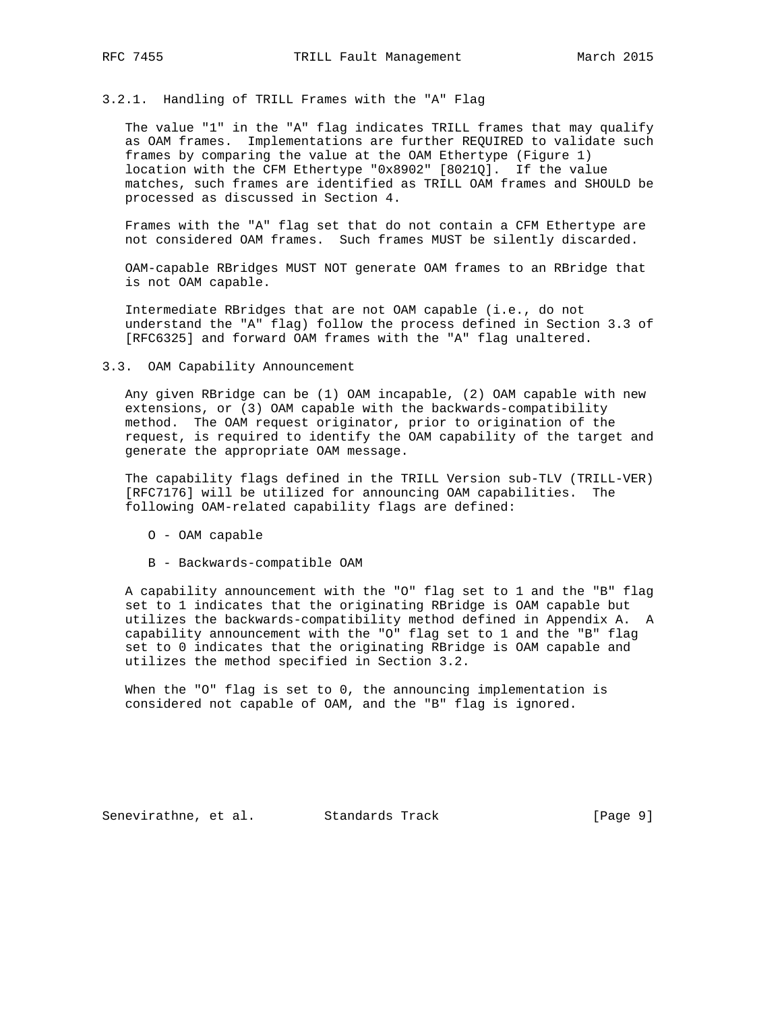# 3.2.1. Handling of TRILL Frames with the "A" Flag

 The value "1" in the "A" flag indicates TRILL frames that may qualify as OAM frames. Implementations are further REQUIRED to validate such frames by comparing the value at the OAM Ethertype (Figure 1) location with the CFM Ethertype "0x8902" [8021Q]. If the value matches, such frames are identified as TRILL OAM frames and SHOULD be processed as discussed in Section 4.

 Frames with the "A" flag set that do not contain a CFM Ethertype are not considered OAM frames. Such frames MUST be silently discarded.

 OAM-capable RBridges MUST NOT generate OAM frames to an RBridge that is not OAM capable.

 Intermediate RBridges that are not OAM capable (i.e., do not understand the "A" flag) follow the process defined in Section 3.3 of [RFC6325] and forward OAM frames with the "A" flag unaltered.

#### 3.3. OAM Capability Announcement

 Any given RBridge can be (1) OAM incapable, (2) OAM capable with new extensions, or (3) OAM capable with the backwards-compatibility method. The OAM request originator, prior to origination of the request, is required to identify the OAM capability of the target and generate the appropriate OAM message.

 The capability flags defined in the TRILL Version sub-TLV (TRILL-VER) [RFC7176] will be utilized for announcing OAM capabilities. The following OAM-related capability flags are defined:

- O OAM capable
- B Backwards-compatible OAM

 A capability announcement with the "O" flag set to 1 and the "B" flag set to 1 indicates that the originating RBridge is OAM capable but utilizes the backwards-compatibility method defined in Appendix A. A capability announcement with the "O" flag set to 1 and the "B" flag set to 0 indicates that the originating RBridge is OAM capable and utilizes the method specified in Section 3.2.

When the "O" flag is set to 0, the announcing implementation is considered not capable of OAM, and the "B" flag is ignored.

Senevirathne, et al. Standards Track [Page 9]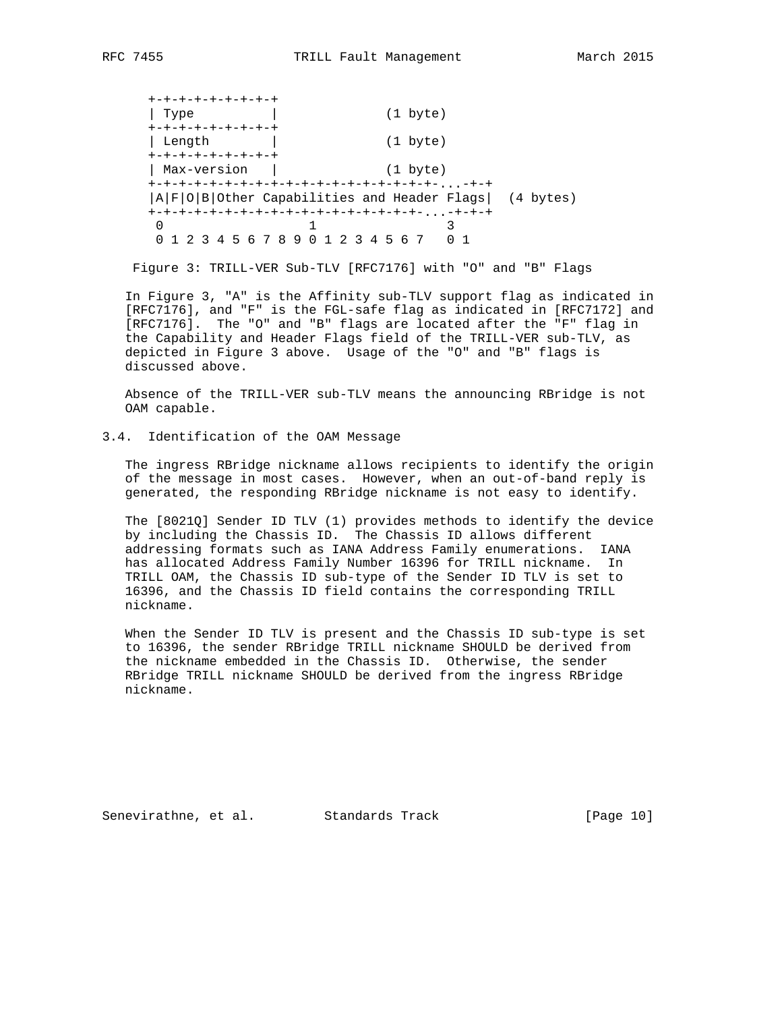| +-+-+-+-+-+-+-+-+ |                                                           |  |
|-------------------|-----------------------------------------------------------|--|
| Type              | $(1 \text{byte})$                                         |  |
| +-+-+-+-+-+-+-+-+ |                                                           |  |
| Length            | $(1 \text{byte})$                                         |  |
| +-+-+-+-+-+-+-+-+ |                                                           |  |
| Max-version       | $(1 \text{byte})$                                         |  |
|                   |                                                           |  |
|                   | $ A F O B $ Other Capabilities and Header Flags (4 bytes) |  |
|                   |                                                           |  |
| $\left($          |                                                           |  |
|                   | 1 2 3 4 5 6 7 8 9 0 1 2 3 4 5 6 7                         |  |

Figure 3: TRILL-VER Sub-TLV [RFC7176] with "O" and "B" Flags

 In Figure 3, "A" is the Affinity sub-TLV support flag as indicated in [RFC7176], and "F" is the FGL-safe flag as indicated in [RFC7172] and [RFC7176]. The "O" and "B" flags are located after the "F" flag in the Capability and Header Flags field of the TRILL-VER sub-TLV, as depicted in Figure 3 above. Usage of the "O" and "B" flags is discussed above.

 Absence of the TRILL-VER sub-TLV means the announcing RBridge is not OAM capable.

# 3.4. Identification of the OAM Message

 The ingress RBridge nickname allows recipients to identify the origin of the message in most cases. However, when an out-of-band reply is generated, the responding RBridge nickname is not easy to identify.

 The [8021Q] Sender ID TLV (1) provides methods to identify the device by including the Chassis ID. The Chassis ID allows different addressing formats such as IANA Address Family enumerations. IANA has allocated Address Family Number 16396 for TRILL nickname. In TRILL OAM, the Chassis ID sub-type of the Sender ID TLV is set to 16396, and the Chassis ID field contains the corresponding TRILL nickname.

 When the Sender ID TLV is present and the Chassis ID sub-type is set to 16396, the sender RBridge TRILL nickname SHOULD be derived from the nickname embedded in the Chassis ID. Otherwise, the sender RBridge TRILL nickname SHOULD be derived from the ingress RBridge nickname.

Senevirathne, et al. Standards Track [Page 10]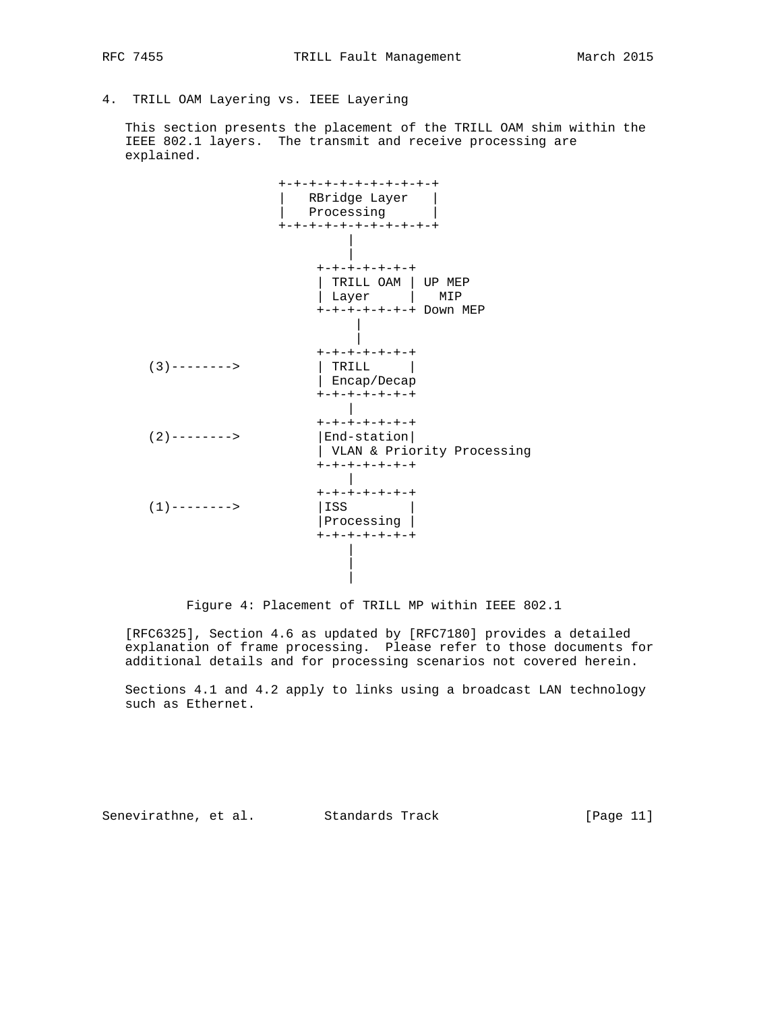- 
- 4. TRILL OAM Layering vs. IEEE Layering

 This section presents the placement of the TRILL OAM shim within the IEEE 802.1 layers. The transmit and receive processing are explained.



Figure 4: Placement of TRILL MP within IEEE 802.1

 [RFC6325], Section 4.6 as updated by [RFC7180] provides a detailed explanation of frame processing. Please refer to those documents for additional details and for processing scenarios not covered herein.

 Sections 4.1 and 4.2 apply to links using a broadcast LAN technology such as Ethernet.

Senevirathne, et al. Standards Track [Page 11]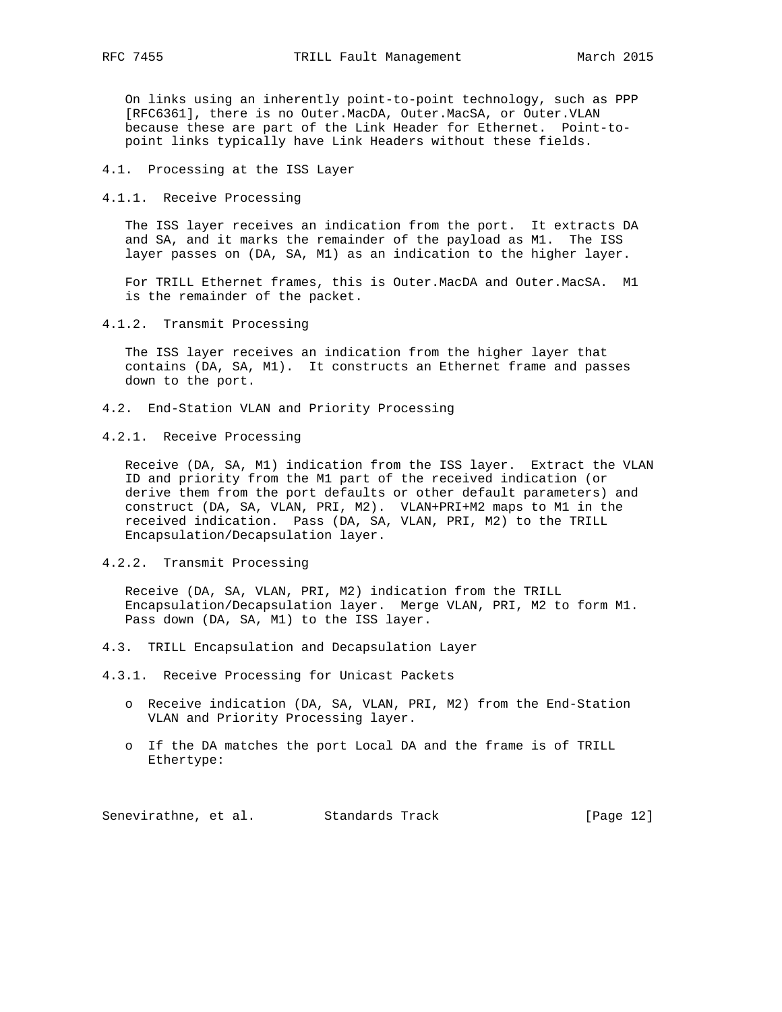On links using an inherently point-to-point technology, such as PPP [RFC6361], there is no Outer.MacDA, Outer.MacSA, or Outer.VLAN because these are part of the Link Header for Ethernet. Point-to point links typically have Link Headers without these fields.

- 4.1. Processing at the ISS Layer
- 4.1.1. Receive Processing

 The ISS layer receives an indication from the port. It extracts DA and SA, and it marks the remainder of the payload as M1. The ISS layer passes on (DA, SA, M1) as an indication to the higher layer.

 For TRILL Ethernet frames, this is Outer.MacDA and Outer.MacSA. M1 is the remainder of the packet.

4.1.2. Transmit Processing

 The ISS layer receives an indication from the higher layer that contains (DA, SA, M1). It constructs an Ethernet frame and passes down to the port.

- 4.2. End-Station VLAN and Priority Processing
- 4.2.1. Receive Processing

 Receive (DA, SA, M1) indication from the ISS layer. Extract the VLAN ID and priority from the M1 part of the received indication (or derive them from the port defaults or other default parameters) and construct (DA, SA, VLAN, PRI, M2). VLAN+PRI+M2 maps to M1 in the received indication. Pass (DA, SA, VLAN, PRI, M2) to the TRILL Encapsulation/Decapsulation layer.

4.2.2. Transmit Processing

 Receive (DA, SA, VLAN, PRI, M2) indication from the TRILL Encapsulation/Decapsulation layer. Merge VLAN, PRI, M2 to form M1. Pass down (DA, SA, M1) to the ISS layer.

- 4.3. TRILL Encapsulation and Decapsulation Layer
- 4.3.1. Receive Processing for Unicast Packets
	- o Receive indication (DA, SA, VLAN, PRI, M2) from the End-Station VLAN and Priority Processing layer.
	- o If the DA matches the port Local DA and the frame is of TRILL Ethertype:

Senevirathne, et al. Standards Track [Page 12]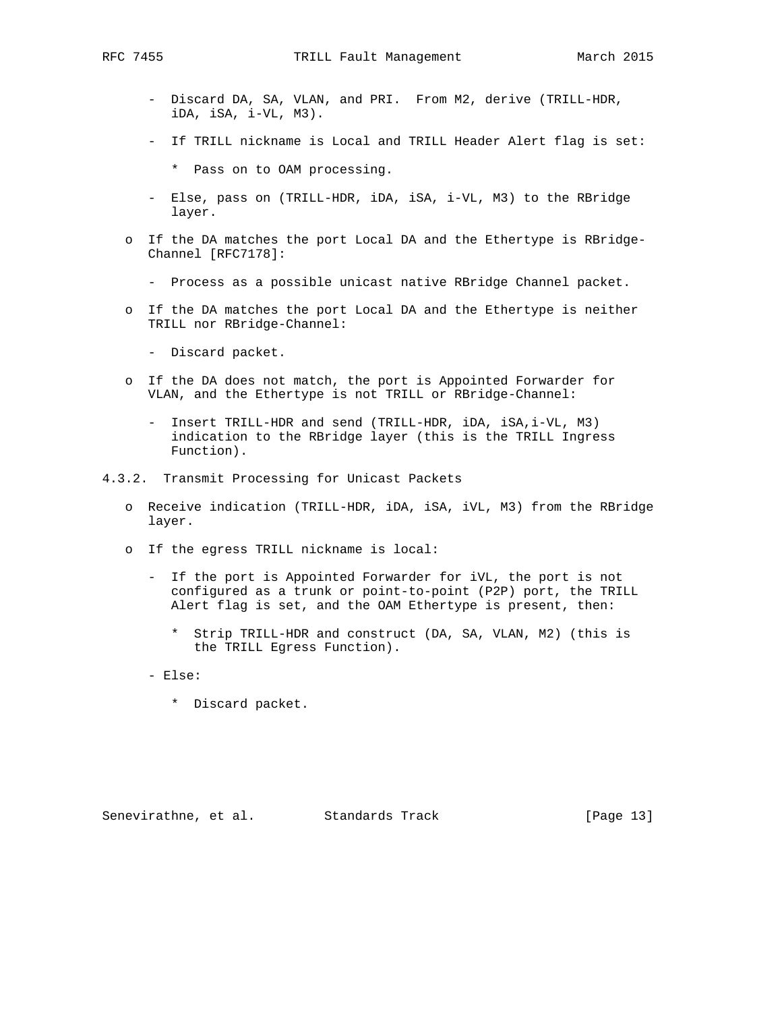- Discard DA, SA, VLAN, and PRI. From M2, derive (TRILL-HDR, iDA, iSA, i-VL, M3).
- If TRILL nickname is Local and TRILL Header Alert flag is set:
	- \* Pass on to OAM processing.
- Else, pass on (TRILL-HDR, iDA, iSA, i-VL, M3) to the RBridge layer.
- o If the DA matches the port Local DA and the Ethertype is RBridge- Channel [RFC7178]:
	- Process as a possible unicast native RBridge Channel packet.
- o If the DA matches the port Local DA and the Ethertype is neither TRILL nor RBridge-Channel:
	- Discard packet.
- o If the DA does not match, the port is Appointed Forwarder for VLAN, and the Ethertype is not TRILL or RBridge-Channel:
	- Insert TRILL-HDR and send (TRILL-HDR, iDA, iSA,i-VL, M3) indication to the RBridge layer (this is the TRILL Ingress Function).
- 4.3.2. Transmit Processing for Unicast Packets
	- o Receive indication (TRILL-HDR, iDA, iSA, iVL, M3) from the RBridge layer.
	- o If the egress TRILL nickname is local:
		- If the port is Appointed Forwarder for iVL, the port is not configured as a trunk or point-to-point (P2P) port, the TRILL Alert flag is set, and the OAM Ethertype is present, then:
			- \* Strip TRILL-HDR and construct (DA, SA, VLAN, M2) (this is the TRILL Egress Function).

- Else:

\* Discard packet.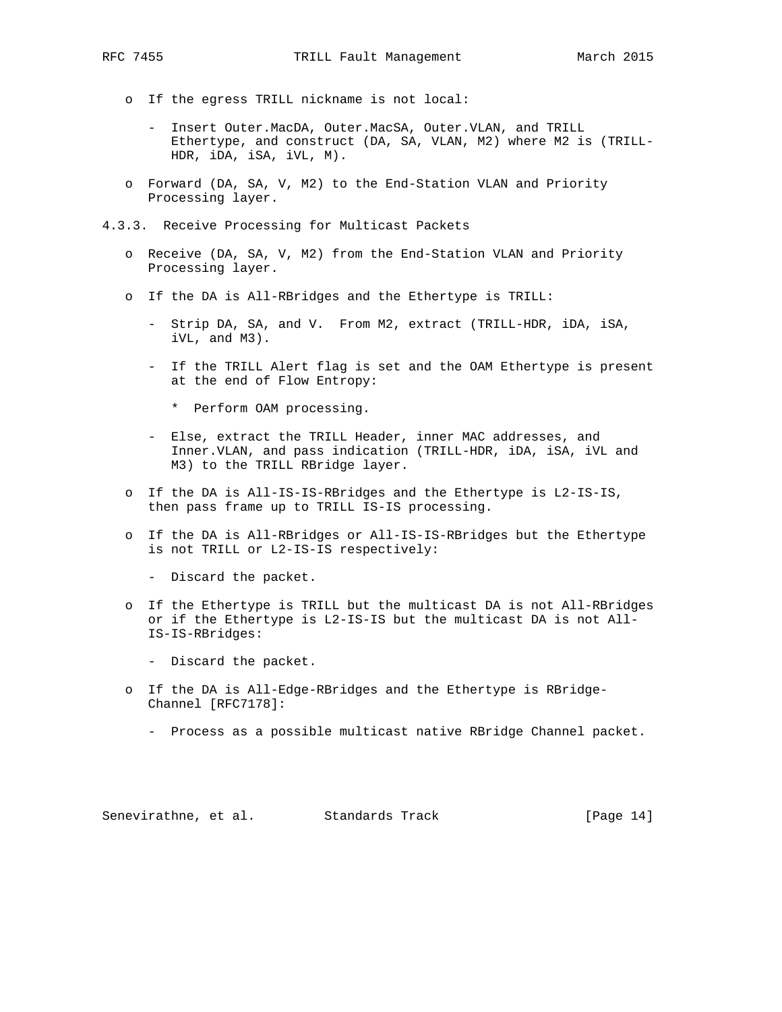- o If the egress TRILL nickname is not local:
	- Insert Outer.MacDA, Outer.MacSA, Outer.VLAN, and TRILL Ethertype, and construct (DA, SA, VLAN, M2) where M2 is (TRILL- HDR, iDA, iSA, iVL, M).
- o Forward (DA, SA, V, M2) to the End-Station VLAN and Priority Processing layer.
- 4.3.3. Receive Processing for Multicast Packets
	- o Receive (DA, SA, V, M2) from the End-Station VLAN and Priority Processing layer.
	- o If the DA is All-RBridges and the Ethertype is TRILL:
		- Strip DA, SA, and V. From M2, extract (TRILL-HDR, iDA, iSA, iVL, and M3).
		- If the TRILL Alert flag is set and the OAM Ethertype is present at the end of Flow Entropy:
			- \* Perform OAM processing.
		- Else, extract the TRILL Header, inner MAC addresses, and Inner.VLAN, and pass indication (TRILL-HDR, iDA, iSA, iVL and M3) to the TRILL RBridge layer.
	- o If the DA is All-IS-IS-RBridges and the Ethertype is L2-IS-IS, then pass frame up to TRILL IS-IS processing.
	- o If the DA is All-RBridges or All-IS-IS-RBridges but the Ethertype is not TRILL or L2-IS-IS respectively:
		- Discard the packet.
	- o If the Ethertype is TRILL but the multicast DA is not All-RBridges or if the Ethertype is L2-IS-IS but the multicast DA is not All- IS-IS-RBridges:
		- Discard the packet.
	- o If the DA is All-Edge-RBridges and the Ethertype is RBridge- Channel [RFC7178]:
		- Process as a possible multicast native RBridge Channel packet.

Senevirathne, et al. Standards Track [Page 14]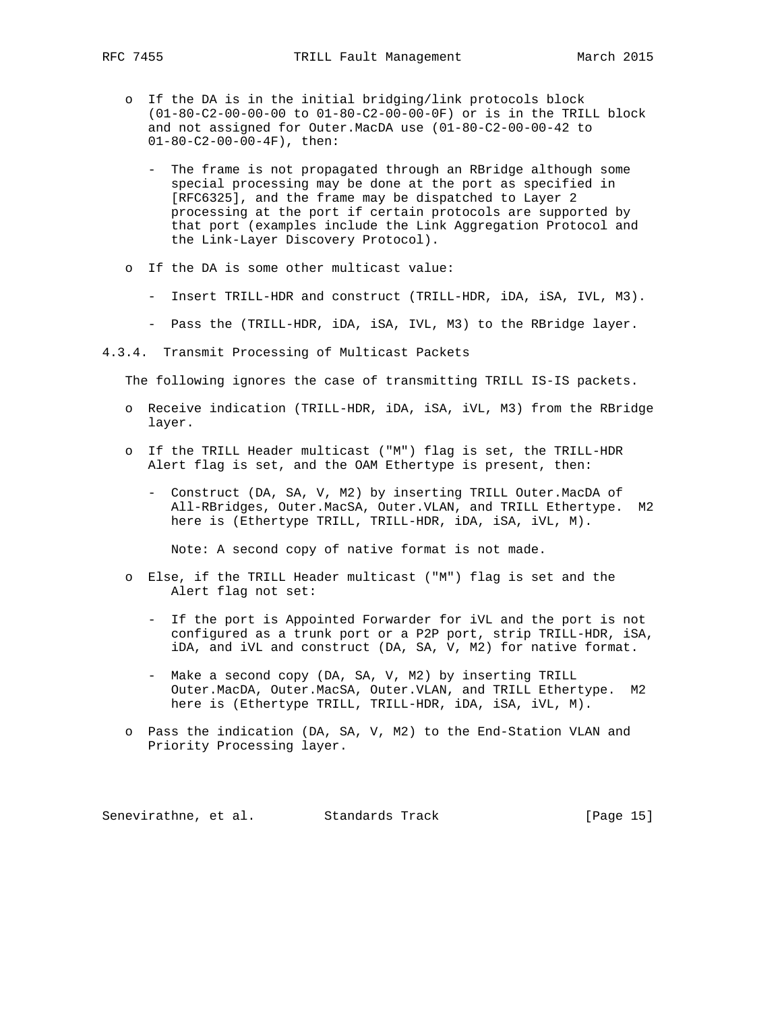- o If the DA is in the initial bridging/link protocols block (01-80-C2-00-00-00 to 01-80-C2-00-00-0F) or is in the TRILL block and not assigned for Outer.MacDA use (01-80-C2-00-00-42 to 01-80-C2-00-00-4F), then:
	- The frame is not propagated through an RBridge although some special processing may be done at the port as specified in [RFC6325], and the frame may be dispatched to Layer 2 processing at the port if certain protocols are supported by that port (examples include the Link Aggregation Protocol and the Link-Layer Discovery Protocol).
- o If the DA is some other multicast value:
	- Insert TRILL-HDR and construct (TRILL-HDR, iDA, iSA, IVL, M3).
	- Pass the (TRILL-HDR, iDA, iSA, IVL, M3) to the RBridge layer.
- 4.3.4. Transmit Processing of Multicast Packets

The following ignores the case of transmitting TRILL IS-IS packets.

- o Receive indication (TRILL-HDR, iDA, iSA, iVL, M3) from the RBridge layer.
- o If the TRILL Header multicast ("M") flag is set, the TRILL-HDR Alert flag is set, and the OAM Ethertype is present, then:
	- Construct (DA, SA, V, M2) by inserting TRILL Outer.MacDA of All-RBridges, Outer.MacSA, Outer.VLAN, and TRILL Ethertype. M2 here is (Ethertype TRILL, TRILL-HDR, iDA, iSA, iVL, M).

Note: A second copy of native format is not made.

- o Else, if the TRILL Header multicast ("M") flag is set and the Alert flag not set:
	- If the port is Appointed Forwarder for iVL and the port is not configured as a trunk port or a P2P port, strip TRILL-HDR, iSA, iDA, and iVL and construct (DA, SA, V, M2) for native format.
	- Make a second copy (DA, SA, V, M2) by inserting TRILL Outer.MacDA, Outer.MacSA, Outer.VLAN, and TRILL Ethertype. M2 here is (Ethertype TRILL, TRILL-HDR, iDA, iSA, iVL, M).
- o Pass the indication (DA, SA, V, M2) to the End-Station VLAN and Priority Processing layer.

Senevirathne, et al. Standards Track [Page 15]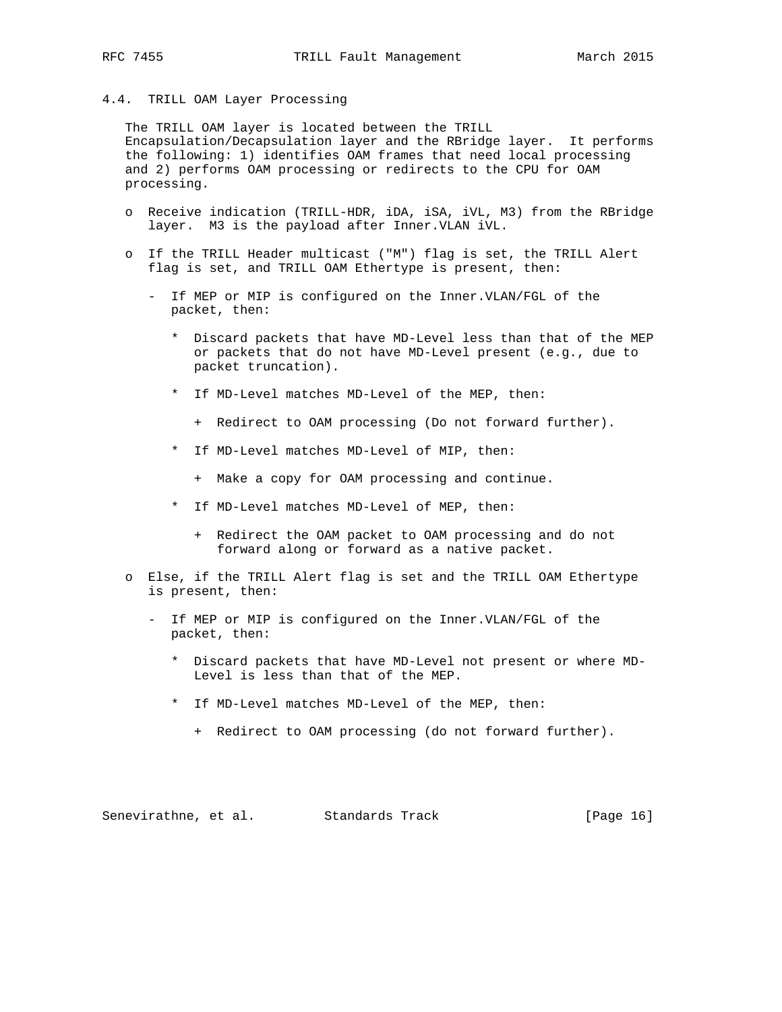## 4.4. TRILL OAM Layer Processing

 The TRILL OAM layer is located between the TRILL Encapsulation/Decapsulation layer and the RBridge layer. It performs the following: 1) identifies OAM frames that need local processing and 2) performs OAM processing or redirects to the CPU for OAM processing.

- o Receive indication (TRILL-HDR, iDA, iSA, iVL, M3) from the RBridge layer. M3 is the payload after Inner.VLAN iVL.
- o If the TRILL Header multicast ("M") flag is set, the TRILL Alert flag is set, and TRILL OAM Ethertype is present, then:
	- If MEP or MIP is configured on the Inner.VLAN/FGL of the packet, then:
		- \* Discard packets that have MD-Level less than that of the MEP or packets that do not have MD-Level present (e.g., due to packet truncation).
		- \* If MD-Level matches MD-Level of the MEP, then:
			- + Redirect to OAM processing (Do not forward further).
		- \* If MD-Level matches MD-Level of MIP, then:
			- + Make a copy for OAM processing and continue.
		- \* If MD-Level matches MD-Level of MEP, then:
			- + Redirect the OAM packet to OAM processing and do not forward along or forward as a native packet.
- o Else, if the TRILL Alert flag is set and the TRILL OAM Ethertype is present, then:
	- If MEP or MIP is configured on the Inner.VLAN/FGL of the packet, then:
		- \* Discard packets that have MD-Level not present or where MD- Level is less than that of the MEP.
		- \* If MD-Level matches MD-Level of the MEP, then:
			- + Redirect to OAM processing (do not forward further).

Senevirathne, et al. Standards Track [Page 16]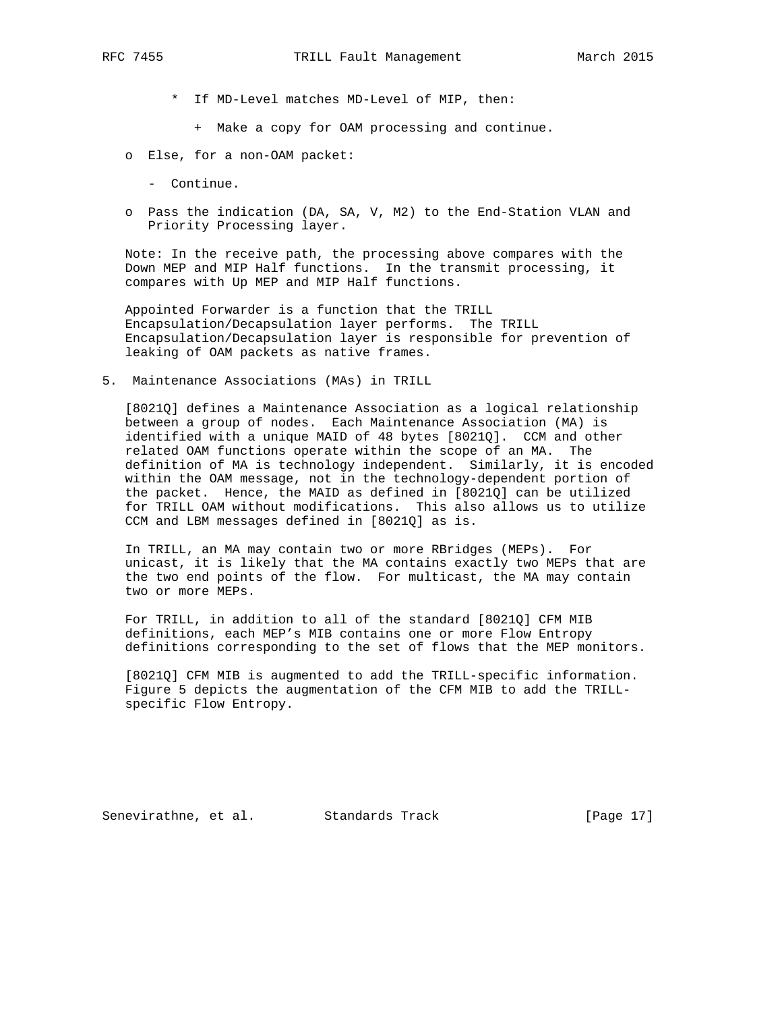- \* If MD-Level matches MD-Level of MIP, then:
	- + Make a copy for OAM processing and continue.
- o Else, for a non-OAM packet:
	- Continue.
- o Pass the indication (DA, SA, V, M2) to the End-Station VLAN and Priority Processing layer.

 Note: In the receive path, the processing above compares with the Down MEP and MIP Half functions. In the transmit processing, it compares with Up MEP and MIP Half functions.

 Appointed Forwarder is a function that the TRILL Encapsulation/Decapsulation layer performs. The TRILL Encapsulation/Decapsulation layer is responsible for prevention of leaking of OAM packets as native frames.

5. Maintenance Associations (MAs) in TRILL

 [8021Q] defines a Maintenance Association as a logical relationship between a group of nodes. Each Maintenance Association (MA) is identified with a unique MAID of 48 bytes [8021Q]. CCM and other related OAM functions operate within the scope of an MA. The definition of MA is technology independent. Similarly, it is encoded within the OAM message, not in the technology-dependent portion of the packet. Hence, the MAID as defined in [8021Q] can be utilized for TRILL OAM without modifications. This also allows us to utilize CCM and LBM messages defined in [8021Q] as is.

 In TRILL, an MA may contain two or more RBridges (MEPs). For unicast, it is likely that the MA contains exactly two MEPs that are the two end points of the flow. For multicast, the MA may contain two or more MEPs.

 For TRILL, in addition to all of the standard [8021Q] CFM MIB definitions, each MEP's MIB contains one or more Flow Entropy definitions corresponding to the set of flows that the MEP monitors.

 [8021Q] CFM MIB is augmented to add the TRILL-specific information. Figure 5 depicts the augmentation of the CFM MIB to add the TRILL specific Flow Entropy.

Senevirathne, et al. Standards Track [Page 17]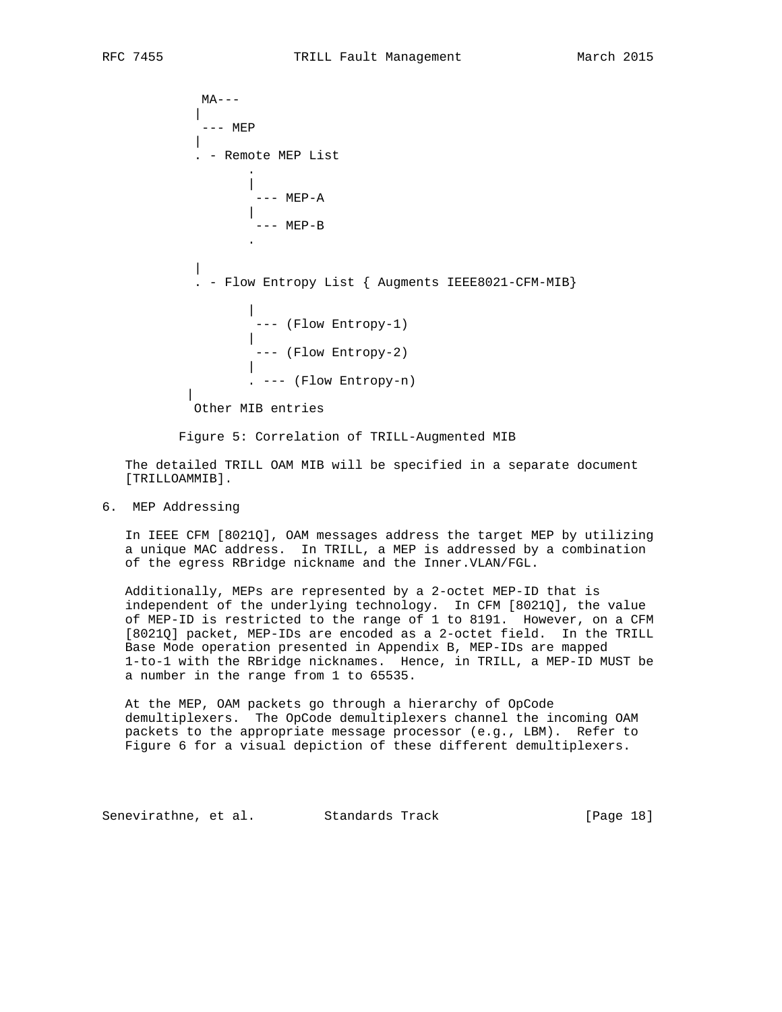$MA---$  | --- MEP | . - Remote MEP List . |  $---$  MEP-A |  $---$  MEP-B . | . - Flow Entropy List { Augments IEEE8021-CFM-MIB} | --- (Flow Entropy-1) | --- (Flow Entropy-2) | . --- (Flow Entropy-n) | Other MIB entries

Figure 5: Correlation of TRILL-Augmented MIB

 The detailed TRILL OAM MIB will be specified in a separate document [TRILLOAMMIB].

6. MEP Addressing

 In IEEE CFM [8021Q], OAM messages address the target MEP by utilizing a unique MAC address. In TRILL, a MEP is addressed by a combination of the egress RBridge nickname and the Inner.VLAN/FGL.

 Additionally, MEPs are represented by a 2-octet MEP-ID that is independent of the underlying technology. In CFM [8021Q], the value of MEP-ID is restricted to the range of 1 to 8191. However, on a CFM [8021Q] packet, MEP-IDs are encoded as a 2-octet field. In the TRILL Base Mode operation presented in Appendix B, MEP-IDs are mapped 1-to-1 with the RBridge nicknames. Hence, in TRILL, a MEP-ID MUST be a number in the range from 1 to 65535.

 At the MEP, OAM packets go through a hierarchy of OpCode demultiplexers. The OpCode demultiplexers channel the incoming OAM packets to the appropriate message processor (e.g., LBM). Refer to Figure 6 for a visual depiction of these different demultiplexers.

Senevirathne, et al. Standards Track [Page 18]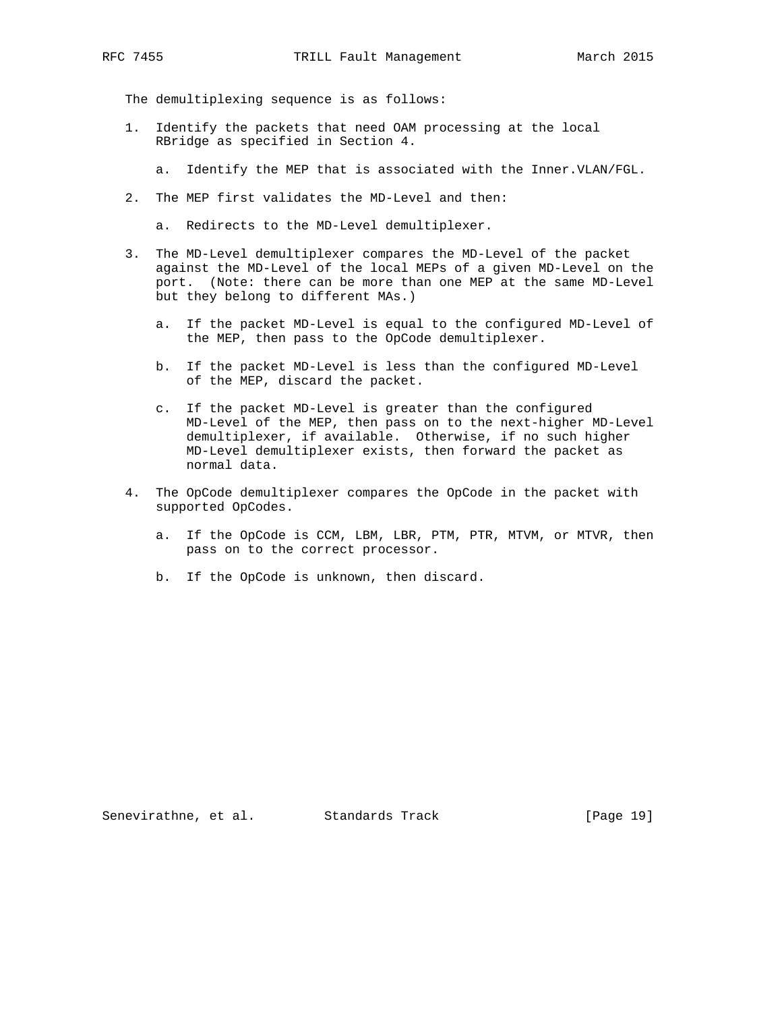The demultiplexing sequence is as follows:

- 1. Identify the packets that need OAM processing at the local RBridge as specified in Section 4.
	- a. Identify the MEP that is associated with the Inner.VLAN/FGL.
- 2. The MEP first validates the MD-Level and then:
	- a. Redirects to the MD-Level demultiplexer.
- 3. The MD-Level demultiplexer compares the MD-Level of the packet against the MD-Level of the local MEPs of a given MD-Level on the port. (Note: there can be more than one MEP at the same MD-Level but they belong to different MAs.)
	- a. If the packet MD-Level is equal to the configured MD-Level of the MEP, then pass to the OpCode demultiplexer.
	- b. If the packet MD-Level is less than the configured MD-Level of the MEP, discard the packet.
	- c. If the packet MD-Level is greater than the configured MD-Level of the MEP, then pass on to the next-higher MD-Level demultiplexer, if available. Otherwise, if no such higher MD-Level demultiplexer exists, then forward the packet as normal data.
- 4. The OpCode demultiplexer compares the OpCode in the packet with supported OpCodes.
	- a. If the OpCode is CCM, LBM, LBR, PTM, PTR, MTVM, or MTVR, then pass on to the correct processor.
	- b. If the OpCode is unknown, then discard.

Senevirathne, et al. Standards Track [Page 19]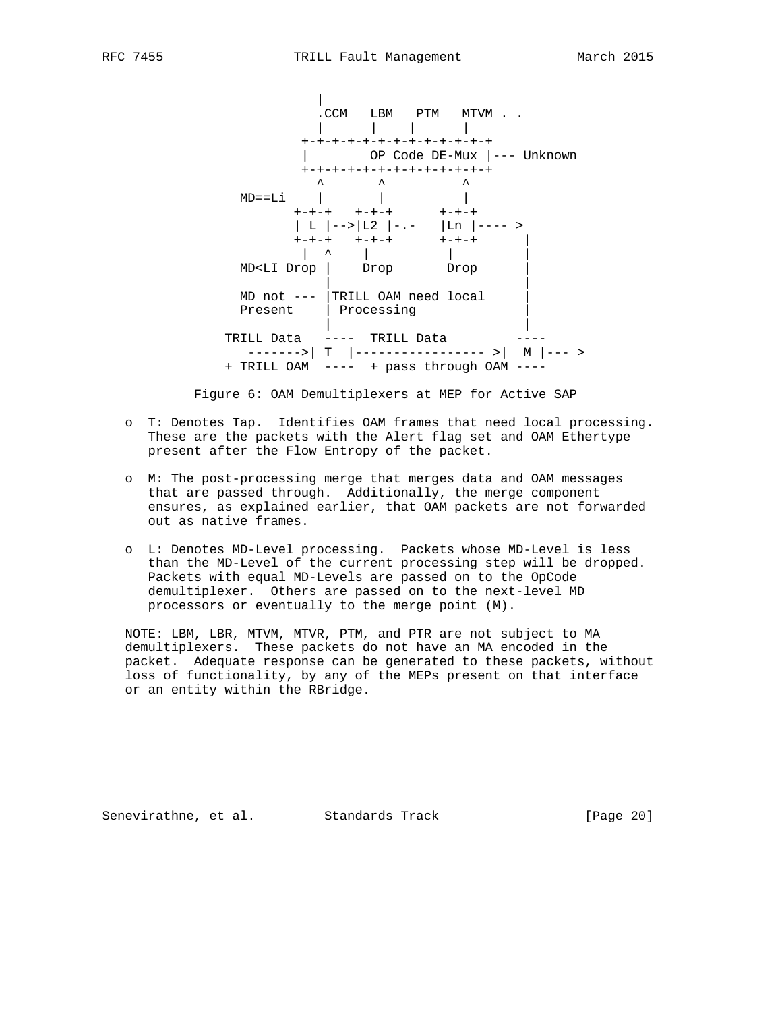| .CCM LBM PTM MTVM . . | | | | +-+-+-+-+-+-+-+-+-+-+-+-+ | OP Code DE-Mux |--- Unknown +-+-+-+-+-+-+-+-+-+-+-+-+  $\lambda$   $\lambda$   $\lambda$  MD==Li | | | +-+-+ +-+-+ +-+-+ | L |-->|L2 |-.- |Ln |---- > +-+-+ +-+-+ +-+-+ | | ^ | | | MD<LI Drop | Drop Drop | | |  $MD$  not ---  $TRILL$  OAM need local Present | Processing | | TRILL Data ---- TRILL Data ---- ------->| T |----------------- >| M |--- > + TRILL OAM ---- + pass through OAM ----

Figure 6: OAM Demultiplexers at MEP for Active SAP

- o T: Denotes Tap. Identifies OAM frames that need local processing. These are the packets with the Alert flag set and OAM Ethertype present after the Flow Entropy of the packet.
- o M: The post-processing merge that merges data and OAM messages that are passed through. Additionally, the merge component ensures, as explained earlier, that OAM packets are not forwarded out as native frames.
- o L: Denotes MD-Level processing. Packets whose MD-Level is less than the MD-Level of the current processing step will be dropped. Packets with equal MD-Levels are passed on to the OpCode demultiplexer. Others are passed on to the next-level MD processors or eventually to the merge point (M).

 NOTE: LBM, LBR, MTVM, MTVR, PTM, and PTR are not subject to MA demultiplexers. These packets do not have an MA encoded in the packet. Adequate response can be generated to these packets, without loss of functionality, by any of the MEPs present on that interface or an entity within the RBridge.

Senevirathne, et al. Standards Track [Page 20]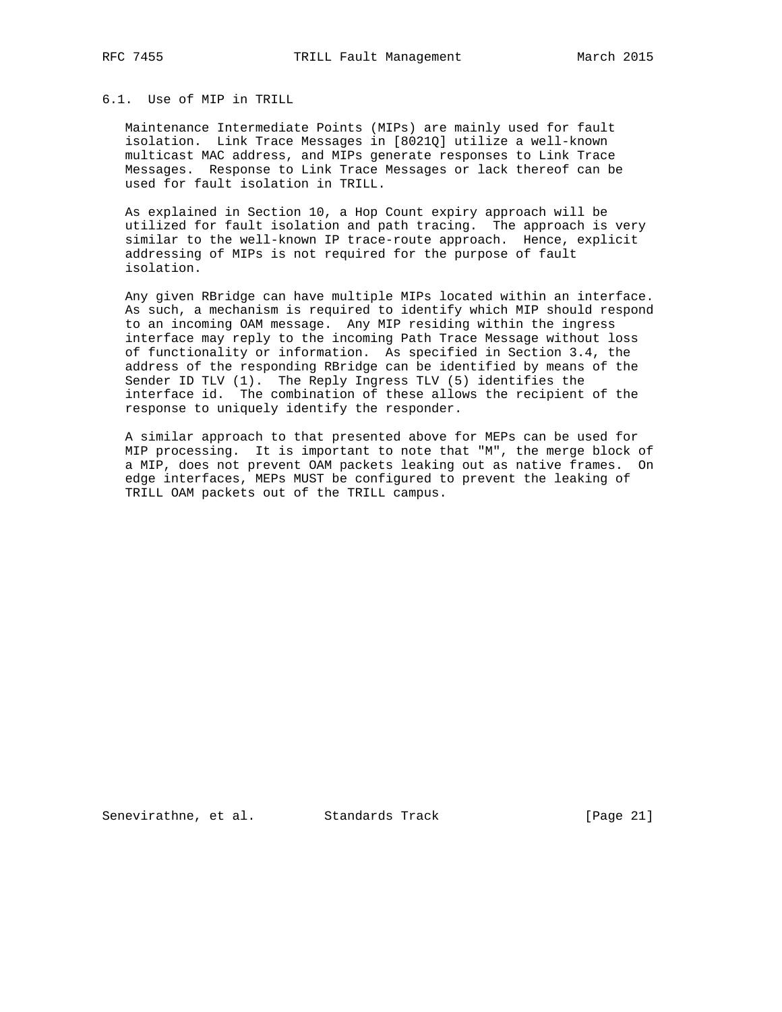# 6.1. Use of MIP in TRILL

 Maintenance Intermediate Points (MIPs) are mainly used for fault isolation. Link Trace Messages in [8021Q] utilize a well-known multicast MAC address, and MIPs generate responses to Link Trace Messages. Response to Link Trace Messages or lack thereof can be used for fault isolation in TRILL.

 As explained in Section 10, a Hop Count expiry approach will be utilized for fault isolation and path tracing. The approach is very similar to the well-known IP trace-route approach. Hence, explicit addressing of MIPs is not required for the purpose of fault isolation.

 Any given RBridge can have multiple MIPs located within an interface. As such, a mechanism is required to identify which MIP should respond to an incoming OAM message. Any MIP residing within the ingress interface may reply to the incoming Path Trace Message without loss of functionality or information. As specified in Section 3.4, the address of the responding RBridge can be identified by means of the Sender ID TLV (1). The Reply Ingress TLV (5) identifies the interface id. The combination of these allows the recipient of the response to uniquely identify the responder.

 A similar approach to that presented above for MEPs can be used for MIP processing. It is important to note that "M", the merge block of a MIP, does not prevent OAM packets leaking out as native frames. On edge interfaces, MEPs MUST be configured to prevent the leaking of TRILL OAM packets out of the TRILL campus.

Senevirathne, et al. Standards Track [Page 21]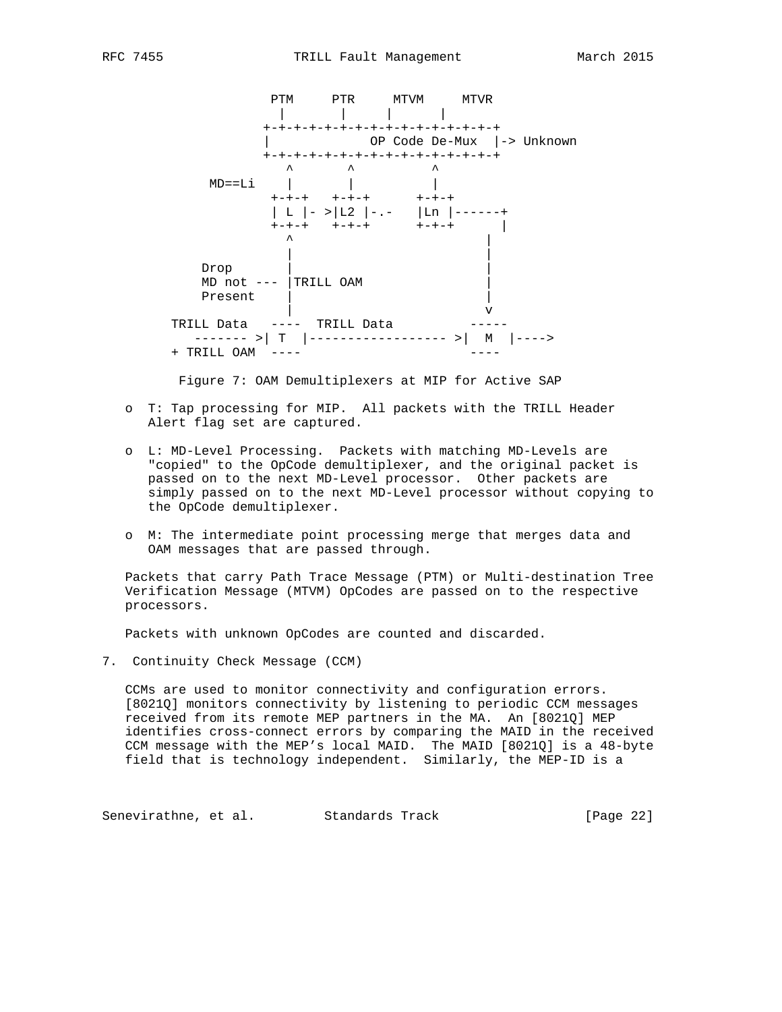

Figure 7: OAM Demultiplexers at MIP for Active SAP

- o T: Tap processing for MIP. All packets with the TRILL Header Alert flag set are captured.
- o L: MD-Level Processing. Packets with matching MD-Levels are "copied" to the OpCode demultiplexer, and the original packet is passed on to the next MD-Level processor. Other packets are simply passed on to the next MD-Level processor without copying to the OpCode demultiplexer.
- o M: The intermediate point processing merge that merges data and OAM messages that are passed through.

 Packets that carry Path Trace Message (PTM) or Multi-destination Tree Verification Message (MTVM) OpCodes are passed on to the respective processors.

Packets with unknown OpCodes are counted and discarded.

7. Continuity Check Message (CCM)

 CCMs are used to monitor connectivity and configuration errors. [8021Q] monitors connectivity by listening to periodic CCM messages received from its remote MEP partners in the MA. An [8021Q] MEP identifies cross-connect errors by comparing the MAID in the received CCM message with the MEP's local MAID. The MAID [8021Q] is a 48-byte field that is technology independent. Similarly, the MEP-ID is a

Senevirathne, et al. Standards Track (Page 22)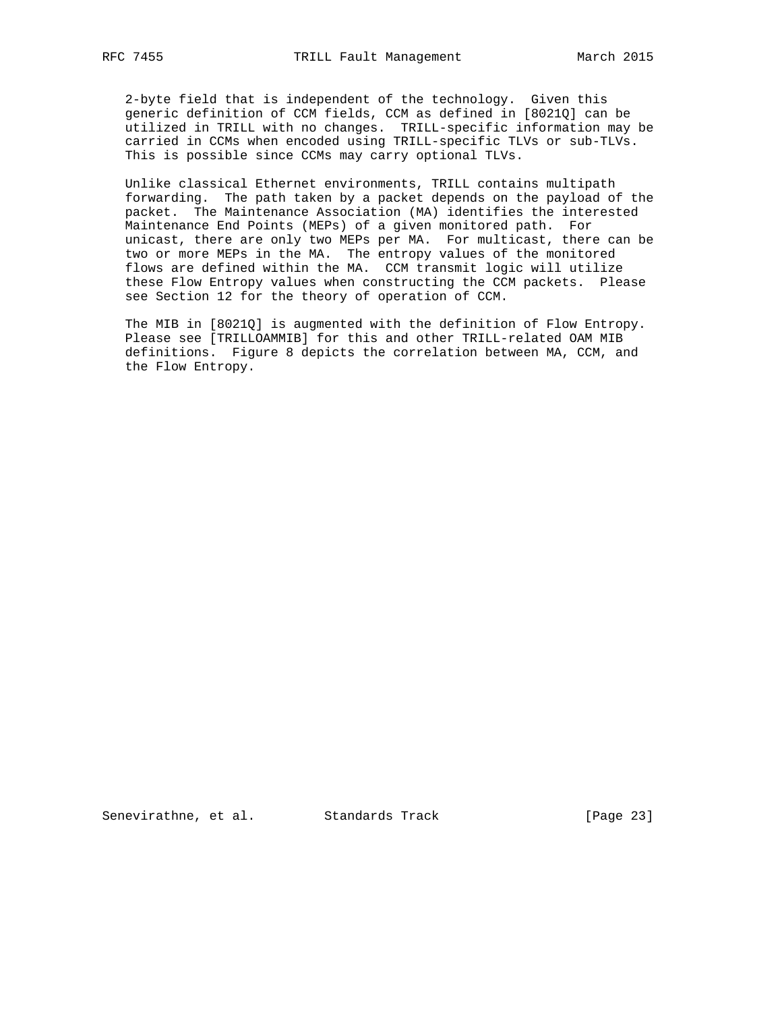2-byte field that is independent of the technology. Given this generic definition of CCM fields, CCM as defined in [8021Q] can be utilized in TRILL with no changes. TRILL-specific information may be carried in CCMs when encoded using TRILL-specific TLVs or sub-TLVs. This is possible since CCMs may carry optional TLVs.

 Unlike classical Ethernet environments, TRILL contains multipath forwarding. The path taken by a packet depends on the payload of the packet. The Maintenance Association (MA) identifies the interested Maintenance End Points (MEPs) of a given monitored path. For unicast, there are only two MEPs per MA. For multicast, there can be two or more MEPs in the MA. The entropy values of the monitored flows are defined within the MA. CCM transmit logic will utilize these Flow Entropy values when constructing the CCM packets. Please see Section 12 for the theory of operation of CCM.

 The MIB in [8021Q] is augmented with the definition of Flow Entropy. Please see [TRILLOAMMIB] for this and other TRILL-related OAM MIB definitions. Figure 8 depicts the correlation between MA, CCM, and the Flow Entropy.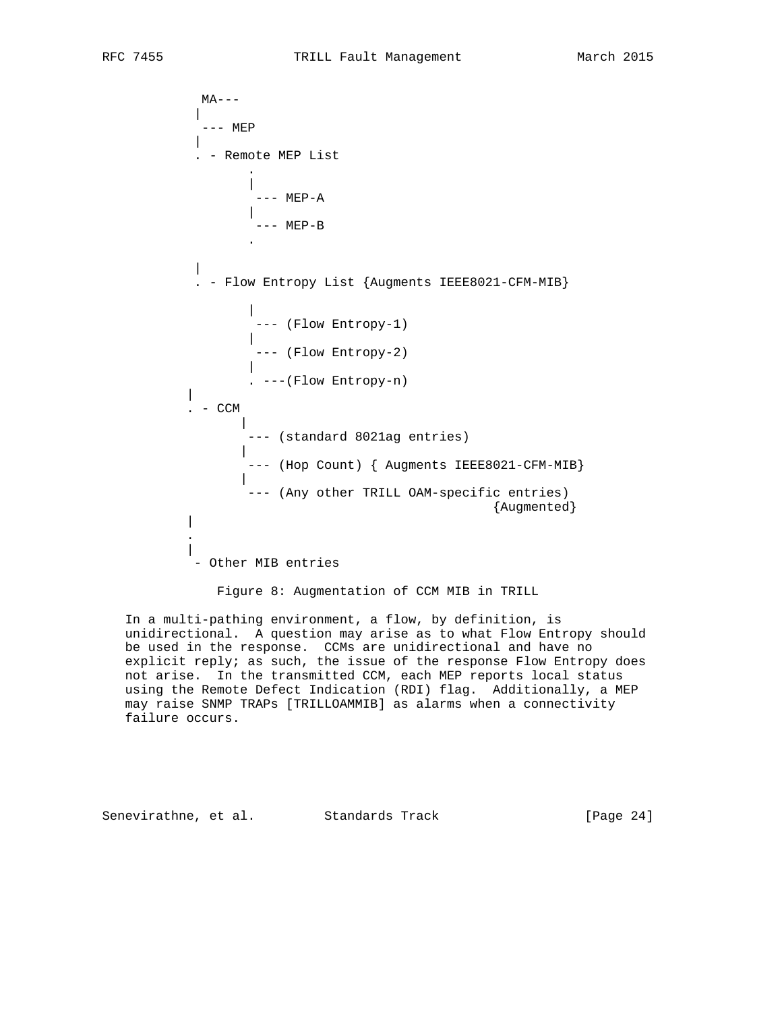$MA---$  | --- MEP | . - Remote MEP List . |  $---$  MEP-A |  $---$  MEP-B . | . - Flow Entropy List {Augments IEEE8021-CFM-MIB} | --- (Flow Entropy-1) | --- (Flow Entropy-2) | . ---(Flow Entropy-n) | . - CCM | --- (standard 8021ag entries) | --- (Hop Count) { Augments IEEE8021-CFM-MIB} | --- (Any other TRILL OAM-specific entries) {Augmented} | . | - Other MIB entries

Figure 8: Augmentation of CCM MIB in TRILL

 In a multi-pathing environment, a flow, by definition, is unidirectional. A question may arise as to what Flow Entropy should be used in the response. CCMs are unidirectional and have no explicit reply; as such, the issue of the response Flow Entropy does not arise. In the transmitted CCM, each MEP reports local status using the Remote Defect Indication (RDI) flag. Additionally, a MEP may raise SNMP TRAPs [TRILLOAMMIB] as alarms when a connectivity failure occurs.

Senevirathne, et al. Standards Track [Page 24]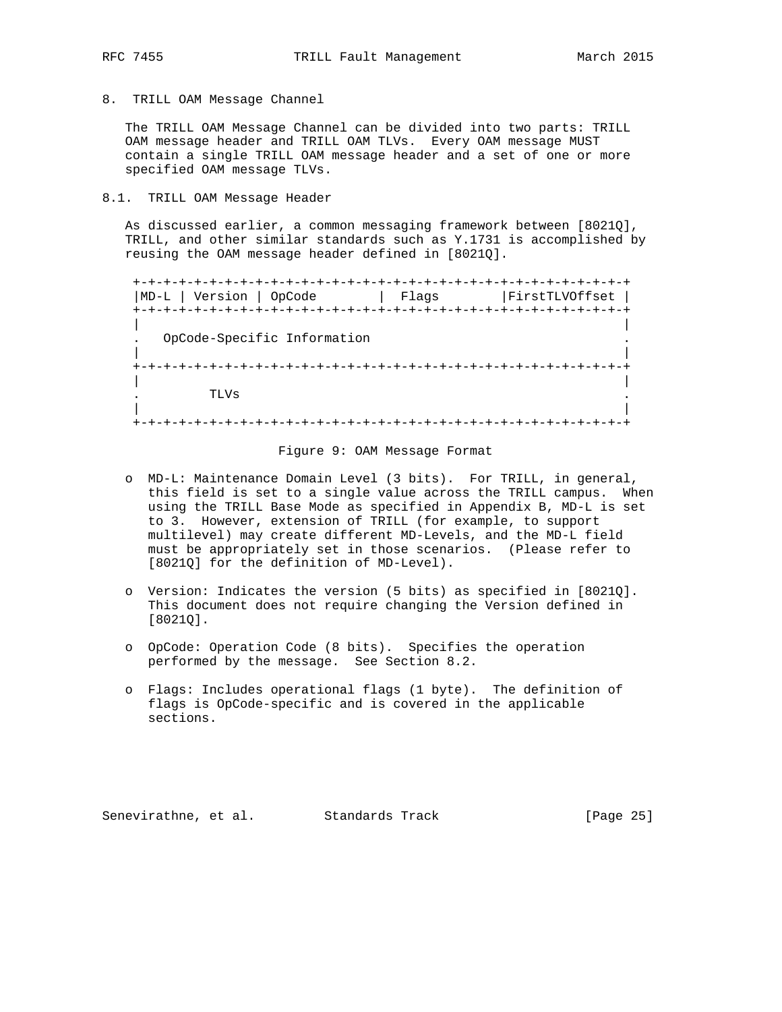8. TRILL OAM Message Channel

 The TRILL OAM Message Channel can be divided into two parts: TRILL OAM message header and TRILL OAM TLVs. Every OAM message MUST contain a single TRILL OAM message header and a set of one or more specified OAM message TLVs.

8.1. TRILL OAM Message Header

 As discussed earlier, a common messaging framework between [8021Q], TRILL, and other similar standards such as Y.1731 is accomplished by reusing the OAM message header defined in [8021Q].

 +-+-+-+-+-+-+-+-+-+-+-+-+-+-+-+-+-+-+-+-+-+-+-+-+-+-+-+-+-+-+-+-+ | MD-L | Version | OpCode | Flags | FirstTLVOffset | +-+-+-+-+-+-+-+-+-+-+-+-+-+-+-+-+-+-+-+-+-+-+-+-+-+-+-+-+-+-+-+-+ | | . OpCode-Specific Information . | | +-+-+-+-+-+-+-+-+-+-+-+-+-+-+-+-+-+-+-+-+-+-+-+-+-+-+-+-+-+-+-+-+ | | . TLVs . | | +-+-+-+-+-+-+-+-+-+-+-+-+-+-+-+-+-+-+-+-+-+-+-+-+-+-+-+-+-+-+-+-+

#### Figure 9: OAM Message Format

- o MD-L: Maintenance Domain Level (3 bits). For TRILL, in general, this field is set to a single value across the TRILL campus. When using the TRILL Base Mode as specified in Appendix B, MD-L is set to 3. However, extension of TRILL (for example, to support multilevel) may create different MD-Levels, and the MD-L field must be appropriately set in those scenarios. (Please refer to [8021Q] for the definition of MD-Level).
- o Version: Indicates the version (5 bits) as specified in [8021Q]. This document does not require changing the Version defined in [8021Q].
- o OpCode: Operation Code (8 bits). Specifies the operation performed by the message. See Section 8.2.
- o Flags: Includes operational flags (1 byte). The definition of flags is OpCode-specific and is covered in the applicable sections.

Senevirathne, et al. Standards Track [Page 25]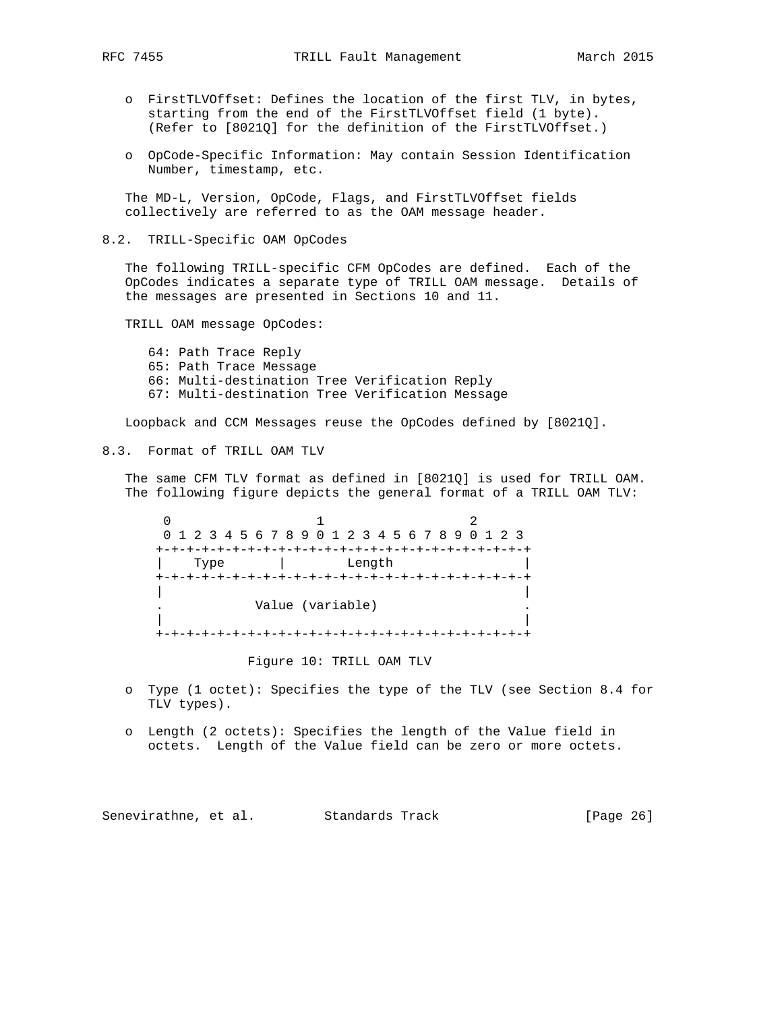- o FirstTLVOffset: Defines the location of the first TLV, in bytes, starting from the end of the FirstTLVOffset field (1 byte). (Refer to [8021Q] for the definition of the FirstTLVOffset.)
- o OpCode-Specific Information: May contain Session Identification Number, timestamp, etc.

 The MD-L, Version, OpCode, Flags, and FirstTLVOffset fields collectively are referred to as the OAM message header.

8.2. TRILL-Specific OAM OpCodes

 The following TRILL-specific CFM OpCodes are defined. Each of the OpCodes indicates a separate type of TRILL OAM message. Details of the messages are presented in Sections 10 and 11.

TRILL OAM message OpCodes:

 64: Path Trace Reply 65: Path Trace Message 66: Multi-destination Tree Verification Reply 67: Multi-destination Tree Verification Message

Loopback and CCM Messages reuse the OpCodes defined by [8021Q].

8.3. Format of TRILL OAM TLV

 The same CFM TLV format as defined in [8021Q] is used for TRILL OAM. The following figure depicts the general format of a TRILL OAM TLV:

 $0$  and  $1$  2 0 1 2 3 4 5 6 7 8 9 0 1 2 3 4 5 6 7 8 9 0 1 2 3 +-+-+-+-+-+-+-+-+-+-+-+-+-+-+-+-+-+-+-+-+-+-+-+-+ | Type | Length | +-+-+-+-+-+-+-+-+-+-+-+-+-+-+-+-+-+-+-+-+-+-+-+-+ | | . Value (variable) . | | +-+-+-+-+-+-+-+-+-+-+-+-+-+-+-+-+-+-+-+-+-+-+-+-+

Figure 10: TRILL OAM TLV

- o Type (1 octet): Specifies the type of the TLV (see Section 8.4 for TLV types).
- o Length (2 octets): Specifies the length of the Value field in octets. Length of the Value field can be zero or more octets.

Senevirathne, et al. Standards Track [Page 26]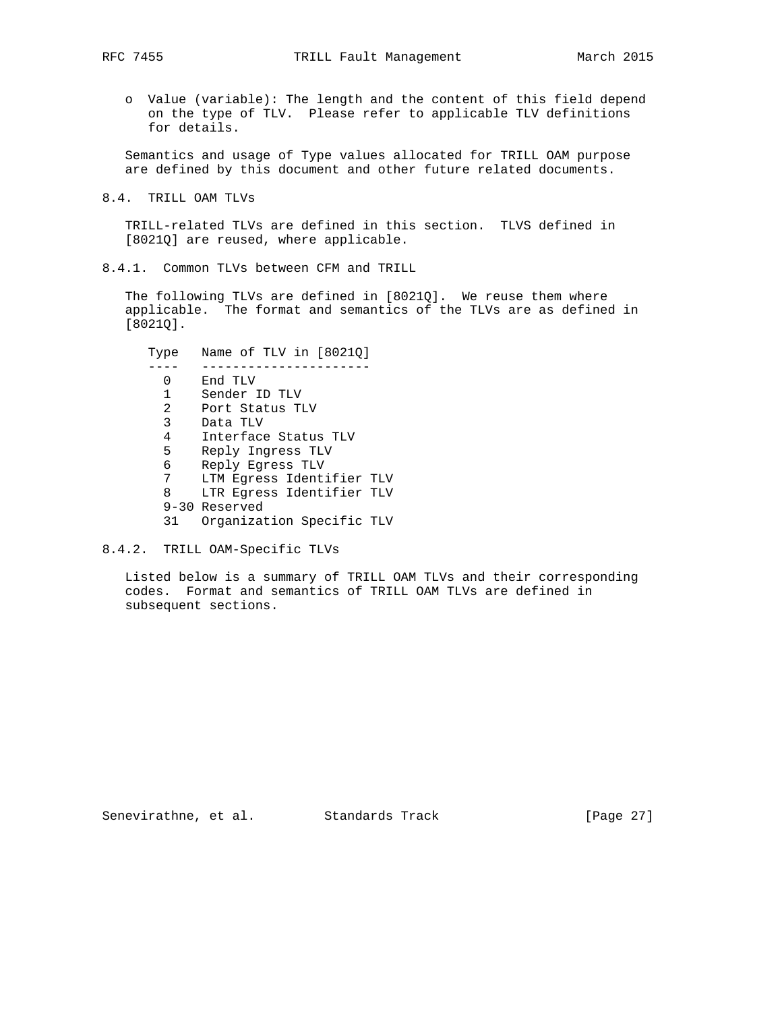o Value (variable): The length and the content of this field depend on the type of TLV. Please refer to applicable TLV definitions for details.

 Semantics and usage of Type values allocated for TRILL OAM purpose are defined by this document and other future related documents.

8.4. TRILL OAM TLVs

 TRILL-related TLVs are defined in this section. TLVS defined in [8021Q] are reused, where applicable.

8.4.1. Common TLVs between CFM and TRILL

 The following TLVs are defined in [8021Q]. We reuse them where applicable. The format and semantics of the TLVs are as defined in [8021Q].

 Type Name of TLV in [8021Q] ---- ---------------------- 0 End TLV 1 Sender ID TLV 2 Port Status TLV 3 Data TLV 4 Interface Status TLV 5 Reply Ingress TLV 6 Reply Egress TLV 7 LTM Egress Identifier TLV 8 LTR Egress Identifier TLV 9-30 Reserved 31 Organization Specific TLV

8.4.2. TRILL OAM-Specific TLVs

 Listed below is a summary of TRILL OAM TLVs and their corresponding codes. Format and semantics of TRILL OAM TLVs are defined in subsequent sections.

Senevirathne, et al. Standards Track [Page 27]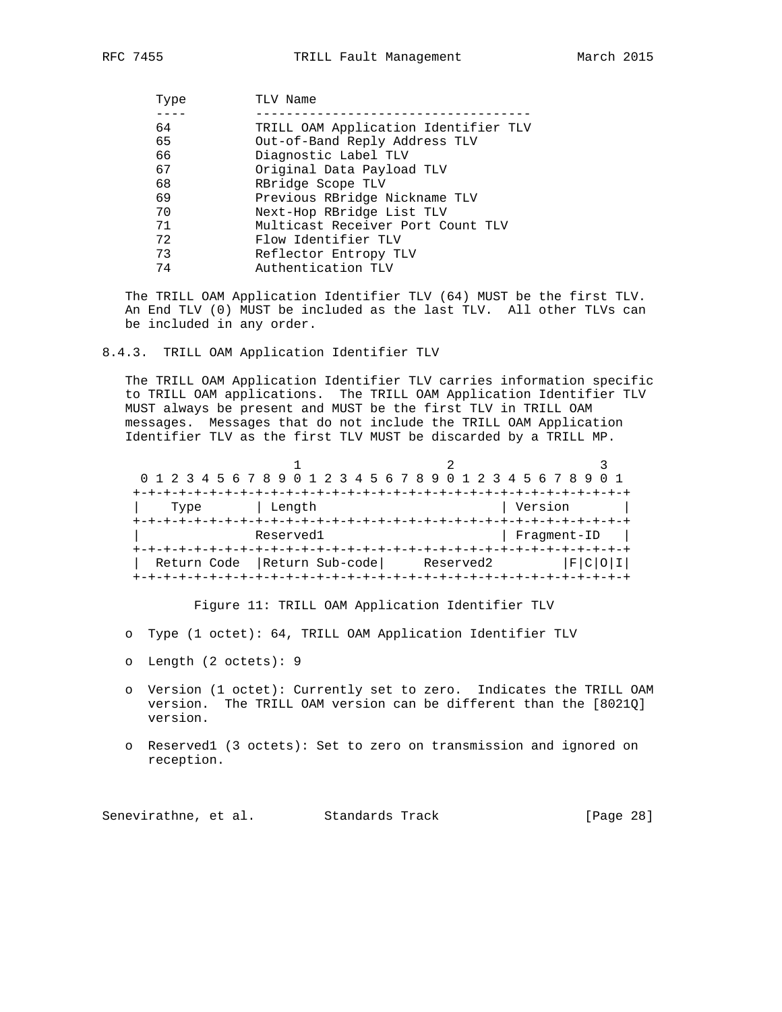| Type | TLV Name                             |
|------|--------------------------------------|
|      |                                      |
| 64   | TRILL OAM Application Identifier TLV |
| 65   | Out-of-Band Reply Address TLV        |
| 66   | Diagnostic Label TLV                 |
| 67   | Original Data Payload TLV            |
| 68   | RBridge Scope TLV                    |
| 69   | Previous RBridge Nickname TLV        |
| 70   | Next-Hop RBridge List TLV            |
| 71   | Multicast Receiver Port Count TLV    |
| 72   | Flow Identifier TLV                  |
| 73   | Reflector Entropy TLV                |
| 74   | Authentication TLV                   |
|      |                                      |

 The TRILL OAM Application Identifier TLV (64) MUST be the first TLV. An End TLV (0) MUST be included as the last TLV. All other TLVs can be included in any order.

8.4.3. TRILL OAM Application Identifier TLV

 The TRILL OAM Application Identifier TLV carries information specific to TRILL OAM applications. The TRILL OAM Application Identifier TLV MUST always be present and MUST be the first TLV in TRILL OAM messages. Messages that do not include the TRILL OAM Application Identifier TLV as the first TLV MUST be discarded by a TRILL MP.

|             |                 | 0 1 2 3 4 5 6 7 8 9 0 1 2 3 4 5 6 7 8 9 0 1 2 3 4 5 6 7 8 9 |             |
|-------------|-----------------|-------------------------------------------------------------|-------------|
|             |                 |                                                             |             |
| Type        | Length          |                                                             | Version     |
|             |                 |                                                             |             |
|             | Reserved1       |                                                             | Fraqment-ID |
|             |                 |                                                             |             |
| Return Code | Return Sub-code | Reserved2                                                   | F.          |
|             |                 |                                                             |             |

Figure 11: TRILL OAM Application Identifier TLV

- o Type (1 octet): 64, TRILL OAM Application Identifier TLV
- o Length (2 octets): 9
- o Version (1 octet): Currently set to zero. Indicates the TRILL OAM version. The TRILL OAM version can be different than the [8021Q] version.
- o Reserved1 (3 octets): Set to zero on transmission and ignored on reception.

Senevirathne, et al. Standards Track [Page 28]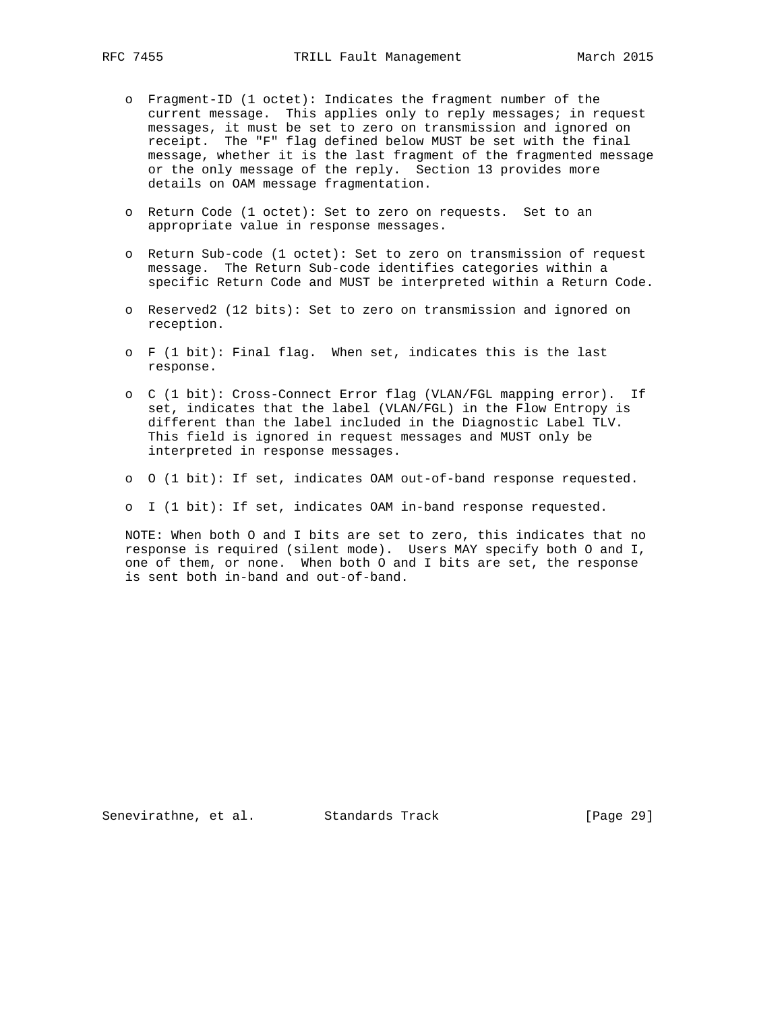- o Fragment-ID (1 octet): Indicates the fragment number of the current message. This applies only to reply messages; in request messages, it must be set to zero on transmission and ignored on receipt. The "F" flag defined below MUST be set with the final message, whether it is the last fragment of the fragmented message or the only message of the reply. Section 13 provides more details on OAM message fragmentation.
- o Return Code (1 octet): Set to zero on requests. Set to an appropriate value in response messages.
- o Return Sub-code (1 octet): Set to zero on transmission of request message. The Return Sub-code identifies categories within a specific Return Code and MUST be interpreted within a Return Code.
- o Reserved2 (12 bits): Set to zero on transmission and ignored on reception.
- o F (1 bit): Final flag. When set, indicates this is the last response.
- o C (1 bit): Cross-Connect Error flag (VLAN/FGL mapping error). If set, indicates that the label (VLAN/FGL) in the Flow Entropy is different than the label included in the Diagnostic Label TLV. This field is ignored in request messages and MUST only be interpreted in response messages.
- o O (1 bit): If set, indicates OAM out-of-band response requested.
- o I (1 bit): If set, indicates OAM in-band response requested.

 NOTE: When both O and I bits are set to zero, this indicates that no response is required (silent mode). Users MAY specify both O and I, one of them, or none. When both O and I bits are set, the response is sent both in-band and out-of-band.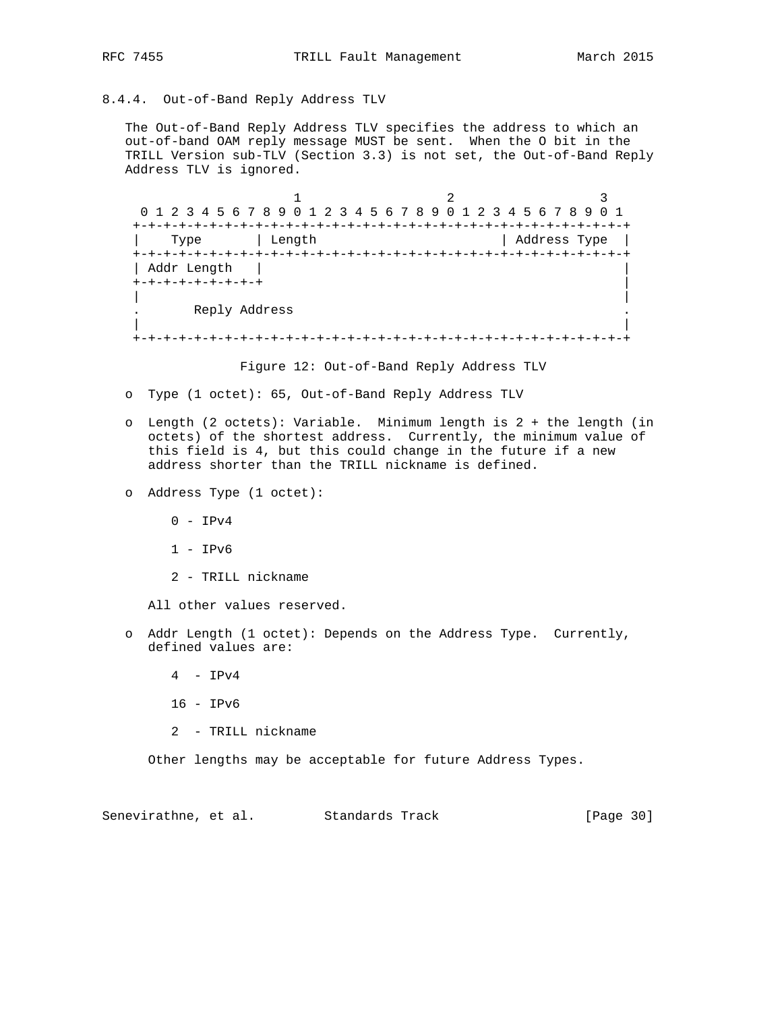# 8.4.4. Out-of-Band Reply Address TLV

 The Out-of-Band Reply Address TLV specifies the address to which an out-of-band OAM reply message MUST be sent. When the O bit in the TRILL Version sub-TLV (Section 3.3) is not set, the Out-of-Band Reply Address TLV is ignored.

1 2 3 0 1 2 3 4 5 6 7 8 9 0 1 2 3 4 5 6 7 8 9 0 1 2 3 4 5 6 7 8 9 0 1 +-+-+-+-+-+-+-+-+-+-+-+-+-+-+-+-+-+-+-+-+-+-+-+-+-+-+-+-+-+-+-+-+ | Type | Length | Address Type | +-+-+-+-+-+-+-+-+-+-+-+-+-+-+-+-+-+-+-+-+-+-+-+-+-+-+-+-+-+-+-+-+ | Addr Length | | +-+-+-+-+-+-+-+-+ | | | . Reply Address . | | +-+-+-+-+-+-+-+-+-+-+-+-+-+-+-+-+-+-+-+-+-+-+-+-+-+-+-+-+-+-+-+-+

Figure 12: Out-of-Band Reply Address TLV

- o Type (1 octet): 65, Out-of-Band Reply Address TLV
- o Length (2 octets): Variable. Minimum length is 2 + the length (in octets) of the shortest address. Currently, the minimum value of this field is 4, but this could change in the future if a new address shorter than the TRILL nickname is defined.
- o Address Type (1 octet):
	- 0 IPv4
	- 1 IPv6
	- 2 TRILL nickname

All other values reserved.

- o Addr Length (1 octet): Depends on the Address Type. Currently, defined values are:
	- 4 IPv4
	- 16 IPv6
	- 2 TRILL nickname

Other lengths may be acceptable for future Address Types.

Senevirathne, et al. Standards Track [Page 30]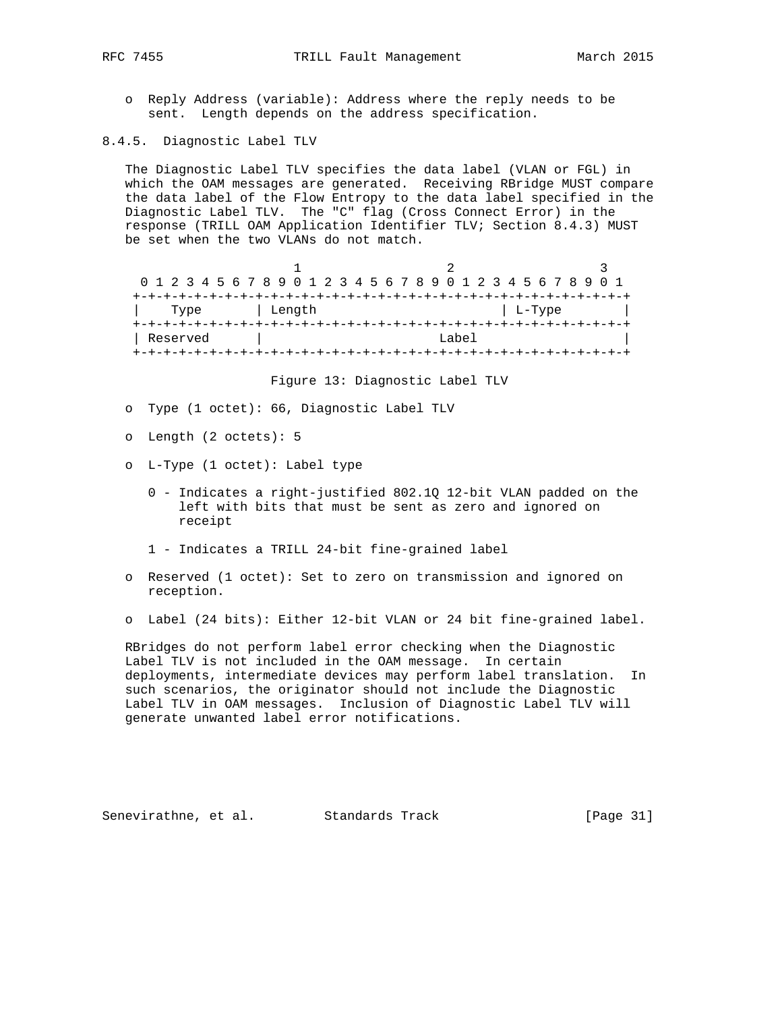o Reply Address (variable): Address where the reply needs to be sent. Length depends on the address specification.

8.4.5. Diagnostic Label TLV

 The Diagnostic Label TLV specifies the data label (VLAN or FGL) in which the OAM messages are generated. Receiving RBridge MUST compare the data label of the Flow Entropy to the data label specified in the Diagnostic Label TLV. The "C" flag (Cross Connect Error) in the response (TRILL OAM Application Identifier TLV; Section 8.4.3) MUST be set when the two VLANs do not match.

|  |          |      |  |  |  |        |  |  |  |                 |  |       |  |  | 0 1 2 3 4 5 6 7 8 9 0 1 2 3 4 5 6 7 8 9 0 1 2 3 4 5 6 7 8 9 0 1 |  |  |  |
|--|----------|------|--|--|--|--------|--|--|--|-----------------|--|-------|--|--|-----------------------------------------------------------------|--|--|--|
|  |          |      |  |  |  |        |  |  |  | --+-+-+-+-+-+-+ |  |       |  |  |                                                                 |  |  |  |
|  |          | Type |  |  |  | Length |  |  |  |                 |  |       |  |  | L-Type                                                          |  |  |  |
|  |          |      |  |  |  |        |  |  |  |                 |  |       |  |  |                                                                 |  |  |  |
|  | Reserved |      |  |  |  |        |  |  |  |                 |  | Lahel |  |  |                                                                 |  |  |  |
|  |          |      |  |  |  |        |  |  |  |                 |  |       |  |  |                                                                 |  |  |  |

Figure 13: Diagnostic Label TLV

- o Type (1 octet): 66, Diagnostic Label TLV
- o Length (2 octets): 5
- o L-Type (1 octet): Label type
	- 0 Indicates a right-justified 802.1Q 12-bit VLAN padded on the left with bits that must be sent as zero and ignored on receipt
	- 1 Indicates a TRILL 24-bit fine-grained label
- o Reserved (1 octet): Set to zero on transmission and ignored on reception.
- o Label (24 bits): Either 12-bit VLAN or 24 bit fine-grained label.

 RBridges do not perform label error checking when the Diagnostic Label TLV is not included in the OAM message. In certain deployments, intermediate devices may perform label translation. In such scenarios, the originator should not include the Diagnostic Label TLV in OAM messages. Inclusion of Diagnostic Label TLV will generate unwanted label error notifications.

Senevirathne, et al. Standards Track [Page 31]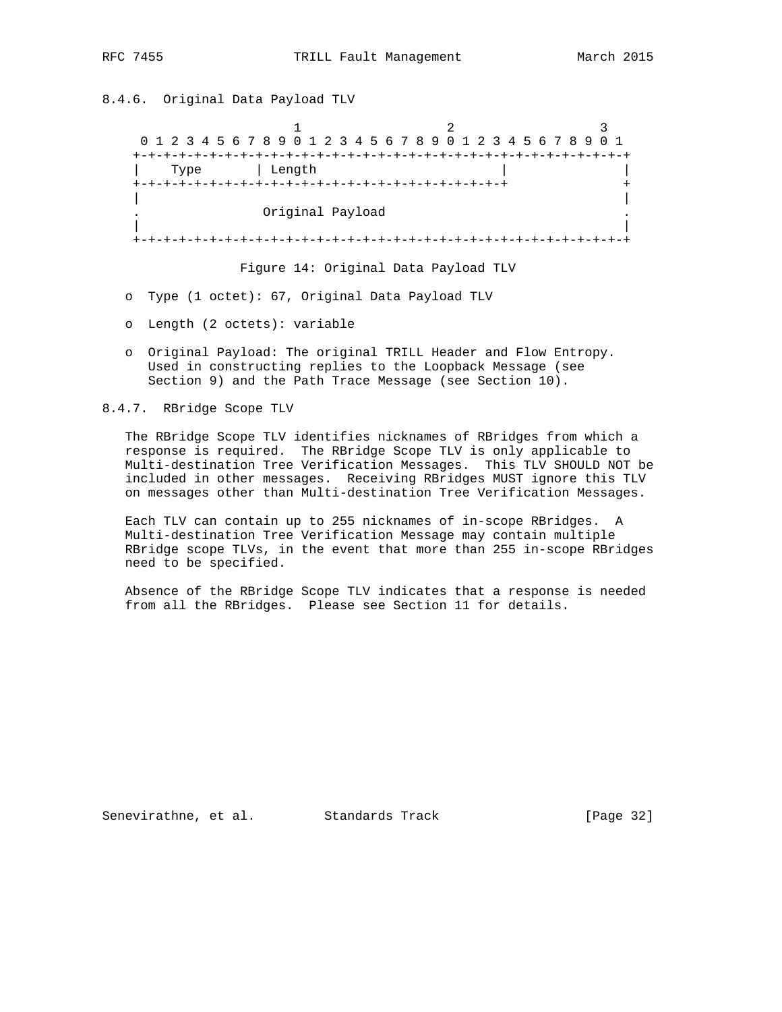# 8.4.6. Original Data Payload TLV

| 0 1 2 3 4 5 6 7 8 9 0 1 2 3 4 5 6 7 8 9 0 1 2 3 4 5 6 7 8 9 0 1 |                  |  |  |  |
|-----------------------------------------------------------------|------------------|--|--|--|
| $+ - + - +$                                                     |                  |  |  |  |
| Type                                                            | Length           |  |  |  |
|                                                                 |                  |  |  |  |
|                                                                 |                  |  |  |  |
|                                                                 | Original Payload |  |  |  |
|                                                                 |                  |  |  |  |
|                                                                 |                  |  |  |  |

Figure 14: Original Data Payload TLV

- o Type (1 octet): 67, Original Data Payload TLV
- o Length (2 octets): variable
- o Original Payload: The original TRILL Header and Flow Entropy. Used in constructing replies to the Loopback Message (see Section 9) and the Path Trace Message (see Section 10).

8.4.7. RBridge Scope TLV

 The RBridge Scope TLV identifies nicknames of RBridges from which a response is required. The RBridge Scope TLV is only applicable to Multi-destination Tree Verification Messages. This TLV SHOULD NOT be included in other messages. Receiving RBridges MUST ignore this TLV on messages other than Multi-destination Tree Verification Messages.

 Each TLV can contain up to 255 nicknames of in-scope RBridges. A Multi-destination Tree Verification Message may contain multiple RBridge scope TLVs, in the event that more than 255 in-scope RBridges need to be specified.

 Absence of the RBridge Scope TLV indicates that a response is needed from all the RBridges. Please see Section 11 for details.

Senevirathne, et al. Standards Track [Page 32]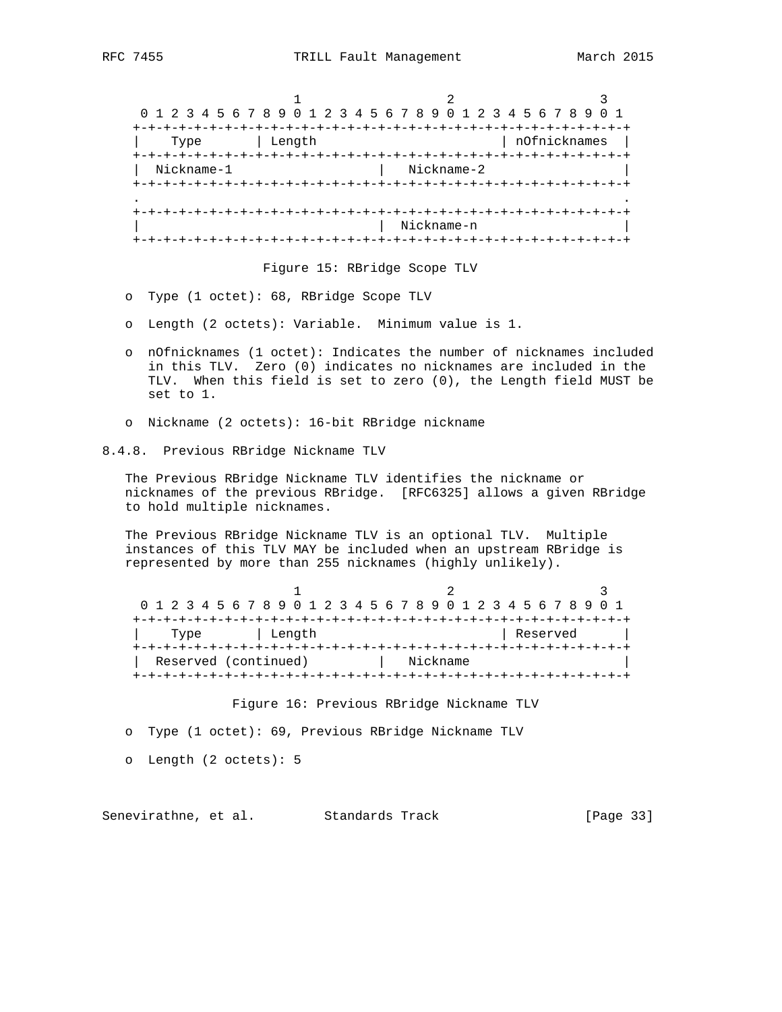| 0 1 2 3 4 5 6 7 8 9 0 1 2 3 4 5 6 7 8 9 0 1 2 3 4 5 6 7 8 9 0 1 |                          |            |              |
|-----------------------------------------------------------------|--------------------------|------------|--------------|
|                                                                 |                          |            |              |
| Type                                                            | Length                   |            | nOfnicknames |
| $+ - + - + - + -$                                               |                          |            |              |
| Nickname-1                                                      |                          | Nickname-2 |              |
|                                                                 | -+-+-+-+-+-+-+-+-+-+-+-+ |            |              |
|                                                                 |                          |            |              |
|                                                                 |                          |            |              |
|                                                                 |                          | Nickname-n |              |
|                                                                 |                          |            |              |
|                                                                 |                          |            |              |

Figure 15: RBridge Scope TLV

- o Type (1 octet): 68, RBridge Scope TLV
- o Length (2 octets): Variable. Minimum value is 1.
- o nOfnicknames (1 octet): Indicates the number of nicknames included in this TLV. Zero (0) indicates no nicknames are included in the TLV. When this field is set to zero (0), the Length field MUST be set to 1.
- o Nickname (2 octets): 16-bit RBridge nickname
- 8.4.8. Previous RBridge Nickname TLV

 The Previous RBridge Nickname TLV identifies the nickname or nicknames of the previous RBridge. [RFC6325] allows a given RBridge to hold multiple nicknames.

 The Previous RBridge Nickname TLV is an optional TLV. Multiple instances of this TLV MAY be included when an upstream RBridge is represented by more than 255 nicknames (highly unlikely).

|  |  |      |  |                      |  |        |  |  |  |  | 0 1 2 3 4 5 6 7 8 9 0 1 2 3 4 5 6 7 8 9 0 1 2 3 4 5 6 7 8 9 0 1 |  |  |          |  |  |  |
|--|--|------|--|----------------------|--|--------|--|--|--|--|-----------------------------------------------------------------|--|--|----------|--|--|--|
|  |  |      |  |                      |  |        |  |  |  |  |                                                                 |  |  |          |  |  |  |
|  |  | Type |  |                      |  | Length |  |  |  |  |                                                                 |  |  | Reserved |  |  |  |
|  |  |      |  |                      |  |        |  |  |  |  |                                                                 |  |  |          |  |  |  |
|  |  |      |  | Reserved (continued) |  |        |  |  |  |  | Nickname                                                        |  |  |          |  |  |  |
|  |  |      |  |                      |  |        |  |  |  |  |                                                                 |  |  |          |  |  |  |

#### Figure 16: Previous RBridge Nickname TLV

o Type (1 octet): 69, Previous RBridge Nickname TLV

o Length (2 octets): 5

Senevirathne, et al. Standards Track [Page 33]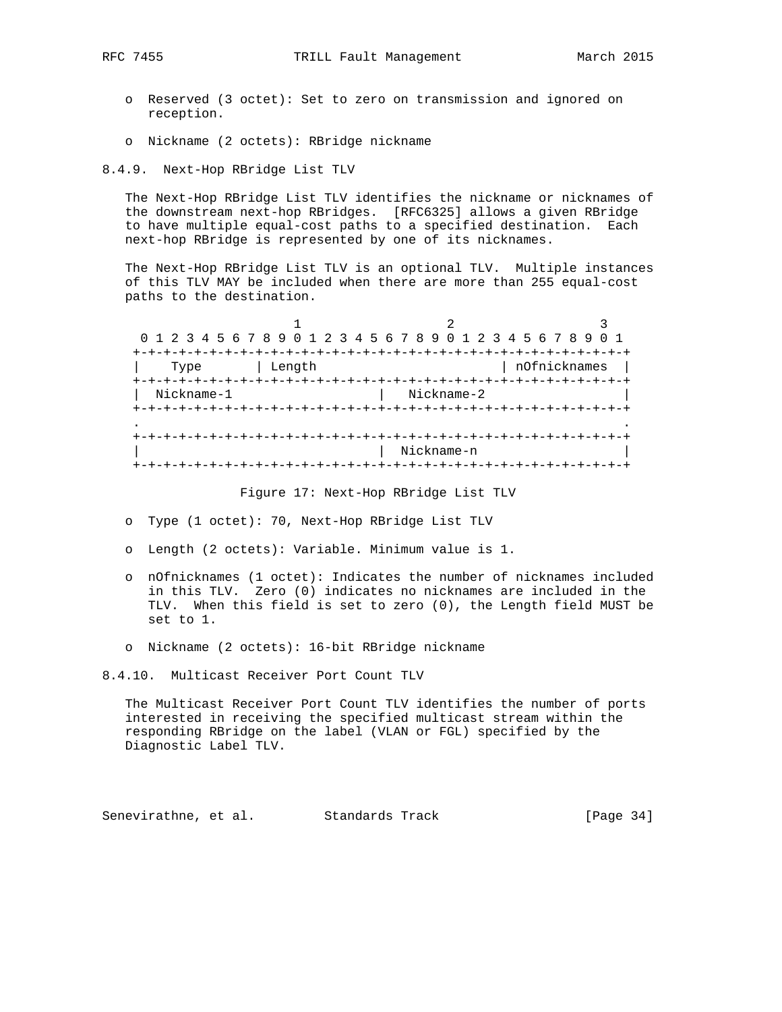- o Reserved (3 octet): Set to zero on transmission and ignored on reception.
- o Nickname (2 octets): RBridge nickname

8.4.9. Next-Hop RBridge List TLV

 The Next-Hop RBridge List TLV identifies the nickname or nicknames of the downstream next-hop RBridges. [RFC6325] allows a given RBridge to have multiple equal-cost paths to a specified destination. Each next-hop RBridge is represented by one of its nicknames.

 The Next-Hop RBridge List TLV is an optional TLV. Multiple instances of this TLV MAY be included when there are more than 255 equal-cost paths to the destination.

|                       | 0 1 2 3 4 5 6 7 8 9 0 1 2 3 4 5 6 7 8 9 0 1 2 3 4 5 6 7 8 9 |                    |              |
|-----------------------|-------------------------------------------------------------|--------------------|--------------|
|                       |                                                             |                    |              |
| Type                  | Length                                                      |                    | nOfnicknames |
|                       |                                                             |                    |              |
| Nickname-1            |                                                             | Nickname-2         |              |
| $+ - + - + - + - + -$ |                                                             | --+-+-+-+-+-+-+-+- |              |

Figure 17: Next-Hop RBridge List TLV

- o Type (1 octet): 70, Next-Hop RBridge List TLV
- o Length (2 octets): Variable. Minimum value is 1.
- o nOfnicknames (1 octet): Indicates the number of nicknames included in this TLV. Zero (0) indicates no nicknames are included in the TLV. When this field is set to zero (0), the Length field MUST be set to 1.
- o Nickname (2 octets): 16-bit RBridge nickname

8.4.10. Multicast Receiver Port Count TLV

 The Multicast Receiver Port Count TLV identifies the number of ports interested in receiving the specified multicast stream within the responding RBridge on the label (VLAN or FGL) specified by the Diagnostic Label TLV.

Senevirathne, et al. Standards Track [Page 34]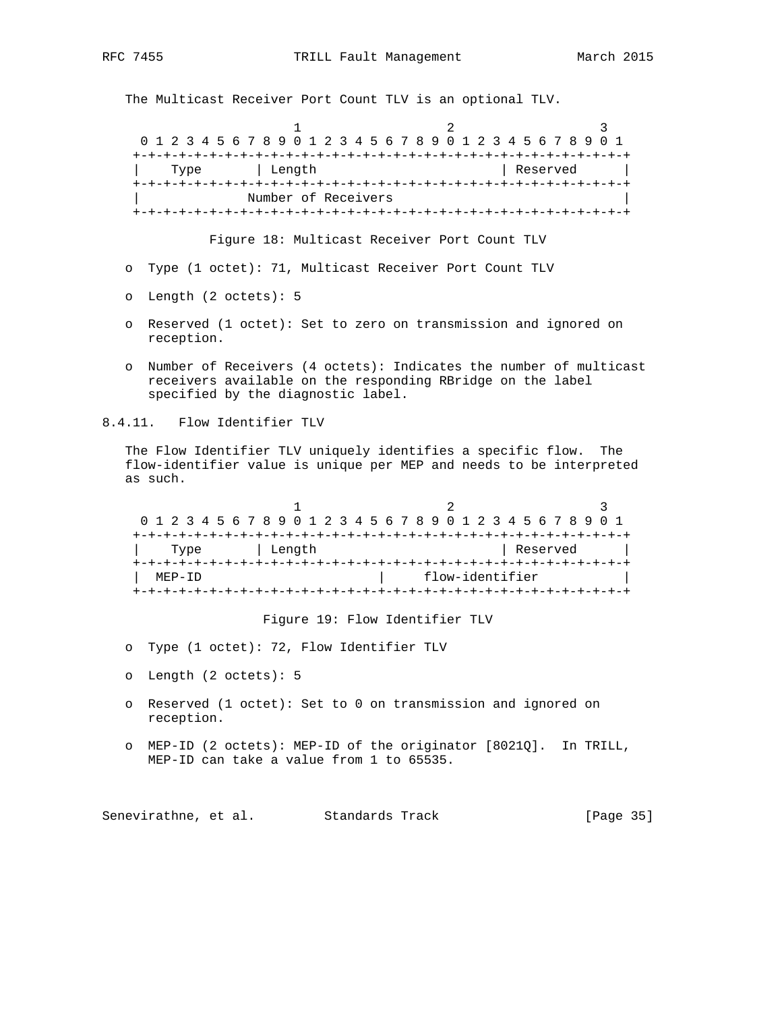The Multicast Receiver Port Count TLV is an optional TLV.

 $1$  2 3 0 1 2 3 4 5 6 7 8 9 0 1 2 3 4 5 6 7 8 9 0 1 2 3 4 5 6 7 8 9 0 1 +-+-+-+-+-+-+-+-+-+-+-+-+-+-+-+-+-+-+-+-+-+-+-+-+-+-+-+-+-+-+-+-+ | Type | Length | Reserved | +-+-+-+-+-+-+-+-+-+-+-+-+-+-+-+-+-+-+-+-+-+-+-+-+-+-+-+-+-+-+-+-+ Number of Receivers +-+-+-+-+-+-+-+-+-+-+-+-+-+-+-+-+-+-+-+-+-+-+-+-+-+-+-+-+-+-+-+-+

Figure 18: Multicast Receiver Port Count TLV

- o Type (1 octet): 71, Multicast Receiver Port Count TLV
- o Length (2 octets): 5
- o Reserved (1 octet): Set to zero on transmission and ignored on reception.
- o Number of Receivers (4 octets): Indicates the number of multicast receivers available on the responding RBridge on the label specified by the diagnostic label.
- 8.4.11. Flow Identifier TLV

 The Flow Identifier TLV uniquely identifies a specific flow. The flow-identifier value is unique per MEP and needs to be interpreted as such.

|  |        |      |  |  |  |        |  |  |  |  |  |  | 0 1 2 3 4 5 6 7 8 9 0 1 2 3 4 5 6 7 8 9 0 1 2 3 4 5 6 7 8 9 0 1 |  |          |  |  |  |
|--|--------|------|--|--|--|--------|--|--|--|--|--|--|-----------------------------------------------------------------|--|----------|--|--|--|
|  |        |      |  |  |  |        |  |  |  |  |  |  |                                                                 |  |          |  |  |  |
|  |        | Type |  |  |  | Length |  |  |  |  |  |  |                                                                 |  | Reserved |  |  |  |
|  |        |      |  |  |  |        |  |  |  |  |  |  |                                                                 |  |          |  |  |  |
|  | MEP-TD |      |  |  |  |        |  |  |  |  |  |  | flow-identifier                                                 |  |          |  |  |  |
|  |        |      |  |  |  |        |  |  |  |  |  |  |                                                                 |  |          |  |  |  |

Figure 19: Flow Identifier TLV

- o Type (1 octet): 72, Flow Identifier TLV
- o Length (2 octets): 5
- o Reserved (1 octet): Set to 0 on transmission and ignored on reception.
- o MEP-ID (2 octets): MEP-ID of the originator [8021Q]. In TRILL, MEP-ID can take a value from 1 to 65535.

Senevirathne, et al. Standards Track [Page 35]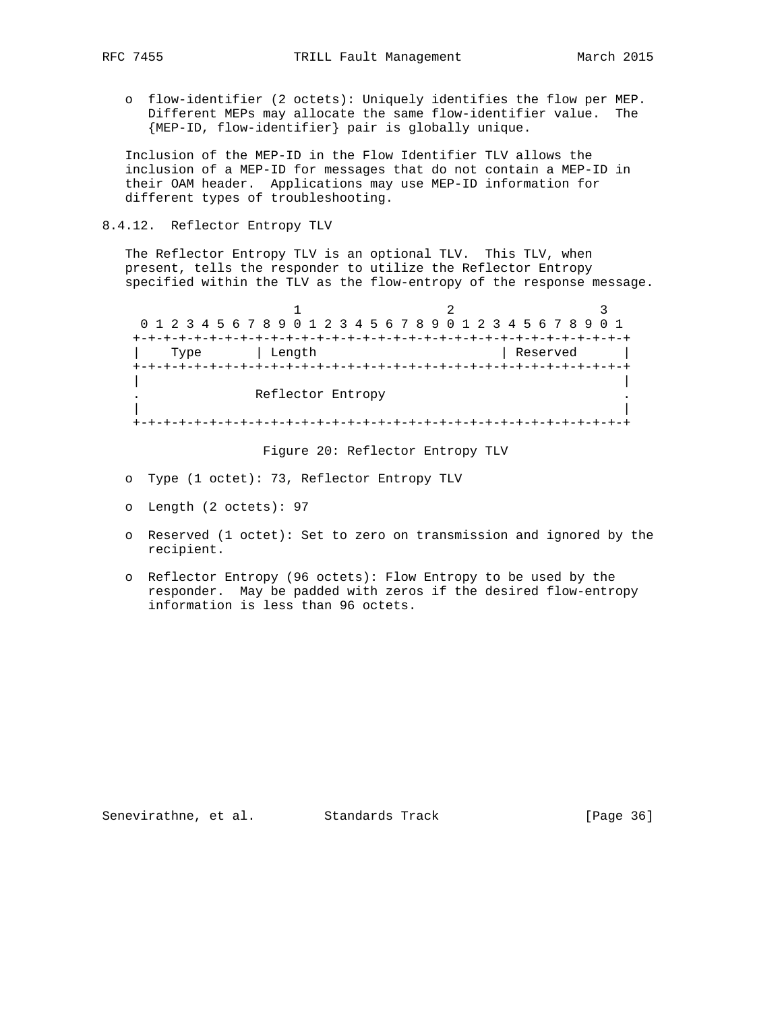o flow-identifier (2 octets): Uniquely identifies the flow per MEP. Different MEPs may allocate the same flow-identifier value. The {MEP-ID, flow-identifier} pair is globally unique.

 Inclusion of the MEP-ID in the Flow Identifier TLV allows the inclusion of a MEP-ID for messages that do not contain a MEP-ID in their OAM header. Applications may use MEP-ID information for different types of troubleshooting.

## 8.4.12. Reflector Entropy TLV

 The Reflector Entropy TLV is an optional TLV. This TLV, when present, tells the responder to utilize the Reflector Entropy specified within the TLV as the flow-entropy of the response message.

1 2 3 0 1 2 3 4 5 6 7 8 9 0 1 2 3 4 5 6 7 8 9 0 1 2 3 4 5 6 7 8 9 0 1 +-+-+-+-+-+-+-+-+-+-+-+-+-+-+-+-+-+-+-+-+-+-+-+-+-+-+-+-+-+-+-+-+ Type | Length | Reserved | +-+-+-+-+-+-+-+-+-+-+-+-+-+-+-+-+-+-+-+-+-+-+-+-+-+-+-+-+-+-+-+-+ | | . Reflector Entropy . | | +-+-+-+-+-+-+-+-+-+-+-+-+-+-+-+-+-+-+-+-+-+-+-+-+-+-+-+-+-+-+-+-+

Figure 20: Reflector Entropy TLV

- o Type (1 octet): 73, Reflector Entropy TLV
- o Length (2 octets): 97
- o Reserved (1 octet): Set to zero on transmission and ignored by the recipient.
- o Reflector Entropy (96 octets): Flow Entropy to be used by the responder. May be padded with zeros if the desired flow-entropy information is less than 96 octets.

Senevirathne, et al. Standards Track [Page 36]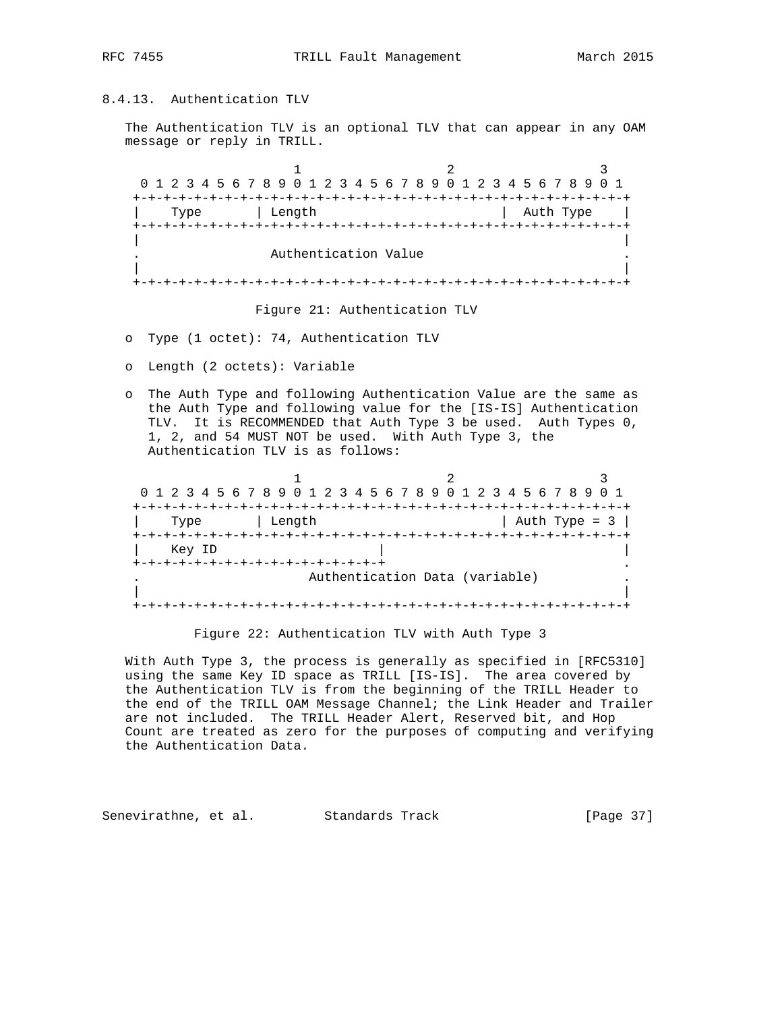# 8.4.13. Authentication TLV

 The Authentication TLV is an optional TLV that can appear in any OAM message or reply in TRILL.

 $1$  2 3 0 1 2 3 4 5 6 7 8 9 0 1 2 3 4 5 6 7 8 9 0 1 2 3 4 5 6 7 8 9 0 1 +-+-+-+-+-+-+-+-+-+-+-+-+-+-+-+-+-+-+-+-+-+-+-+-+-+-+-+-+-+-+-+-+ | Type | Length | Auth Type | +-+-+-+-+-+-+-+-+-+-+-+-+-+-+-+-+-+-+-+-+-+-+-+-+-+-+-+-+-+-+-+-+ | | . Authentication Value . | | +-+-+-+-+-+-+-+-+-+-+-+-+-+-+-+-+-+-+-+-+-+-+-+-+-+-+-+-+-+-+-+-+

Figure 21: Authentication TLV

o Type (1 octet): 74, Authentication TLV

o Length (2 octets): Variable

 o The Auth Type and following Authentication Value are the same as the Auth Type and following value for the [IS-IS] Authentication TLV. It is RECOMMENDED that Auth Type 3 be used. Auth Types 0, 1, 2, and 54 MUST NOT be used. With Auth Type 3, the Authentication TLV is as follows:

1 2 3 0 1 2 3 4 5 6 7 8 9 0 1 2 3 4 5 6 7 8 9 0 1 2 3 4 5 6 7 8 9 0 1 +-+-+-+-+-+-+-+-+-+-+-+-+-+-+-+-+-+-+-+-+-+-+-+-+-+-+-+-+-+-+-+-+ | Type | Length | Auth Type = 3 | +-+-+-+-+-+-+-+-+-+-+-+-+-+-+-+-+-+-+-+-+-+-+-+-+-+-+-+-+-+-+-+-+ Key ID +-+-+-+-+-+-+-+-+-+-+-+-+-+-+-+-+ . . Authentication Data (variable) . | | +-+-+-+-+-+-+-+-+-+-+-+-+-+-+-+-+-+-+-+-+-+-+-+-+-+-+-+-+-+-+-+-+

Figure 22: Authentication TLV with Auth Type 3

 With Auth Type 3, the process is generally as specified in [RFC5310] using the same Key ID space as TRILL [IS-IS]. The area covered by the Authentication TLV is from the beginning of the TRILL Header to the end of the TRILL OAM Message Channel; the Link Header and Trailer are not included. The TRILL Header Alert, Reserved bit, and Hop Count are treated as zero for the purposes of computing and verifying the Authentication Data.

Senevirathne, et al. Standards Track [Page 37]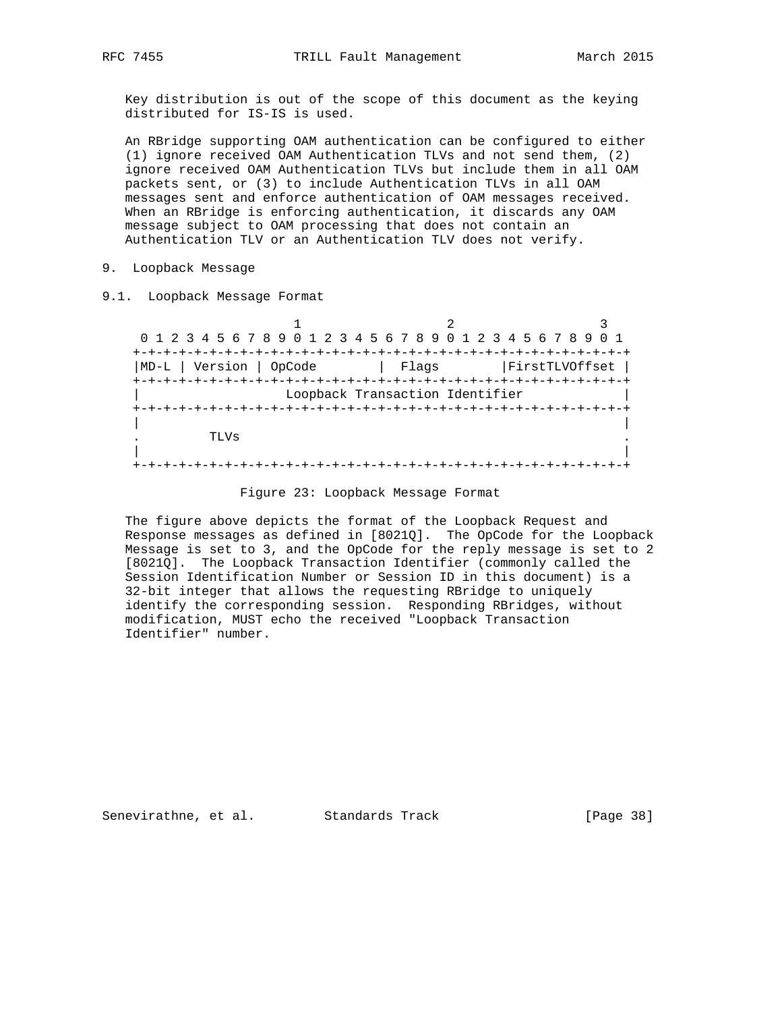Key distribution is out of the scope of this document as the keying distributed for IS-IS is used.

 An RBridge supporting OAM authentication can be configured to either (1) ignore received OAM Authentication TLVs and not send them, (2) ignore received OAM Authentication TLVs but include them in all OAM packets sent, or (3) to include Authentication TLVs in all OAM messages sent and enforce authentication of OAM messages received. When an RBridge is enforcing authentication, it discards any OAM message subject to OAM processing that does not contain an Authentication TLV or an Authentication TLV does not verify.

- 9. Loopback Message
- 9.1. Loopback Message Format

1 2 3 0 1 2 3 4 5 6 7 8 9 0 1 2 3 4 5 6 7 8 9 0 1 2 3 4 5 6 7 8 9 0 1 +-+-+-+-+-+-+-+-+-+-+-+-+-+-+-+-+-+-+-+-+-+-+-+-+-+-+-+-+-+-+-+-+ | MD-L | Version | OpCode | Flags | FirstTLVOffset | +-+-+-+-+-+-+-+-+-+-+-+-+-+-+-+-+-+-+-+-+-+-+-+-+-+-+-+-+-+-+-+-+ Loopback Transaction Identifier +-+-+-+-+-+-+-+-+-+-+-+-+-+-+-+-+-+-+-+-+-+-+-+-+-+-+-+-+-+-+-+-+ | | . TLVs . | | +-+-+-+-+-+-+-+-+-+-+-+-+-+-+-+-+-+-+-+-+-+-+-+-+-+-+-+-+-+-+-+-+

## Figure 23: Loopback Message Format

 The figure above depicts the format of the Loopback Request and Response messages as defined in [8021Q]. The OpCode for the Loopback Message is set to 3, and the OpCode for the reply message is set to 2 [8021Q]. The Loopback Transaction Identifier (commonly called the Session Identification Number or Session ID in this document) is a 32-bit integer that allows the requesting RBridge to uniquely identify the corresponding session. Responding RBridges, without modification, MUST echo the received "Loopback Transaction Identifier" number.

Senevirathne, et al. Standards Track [Page 38]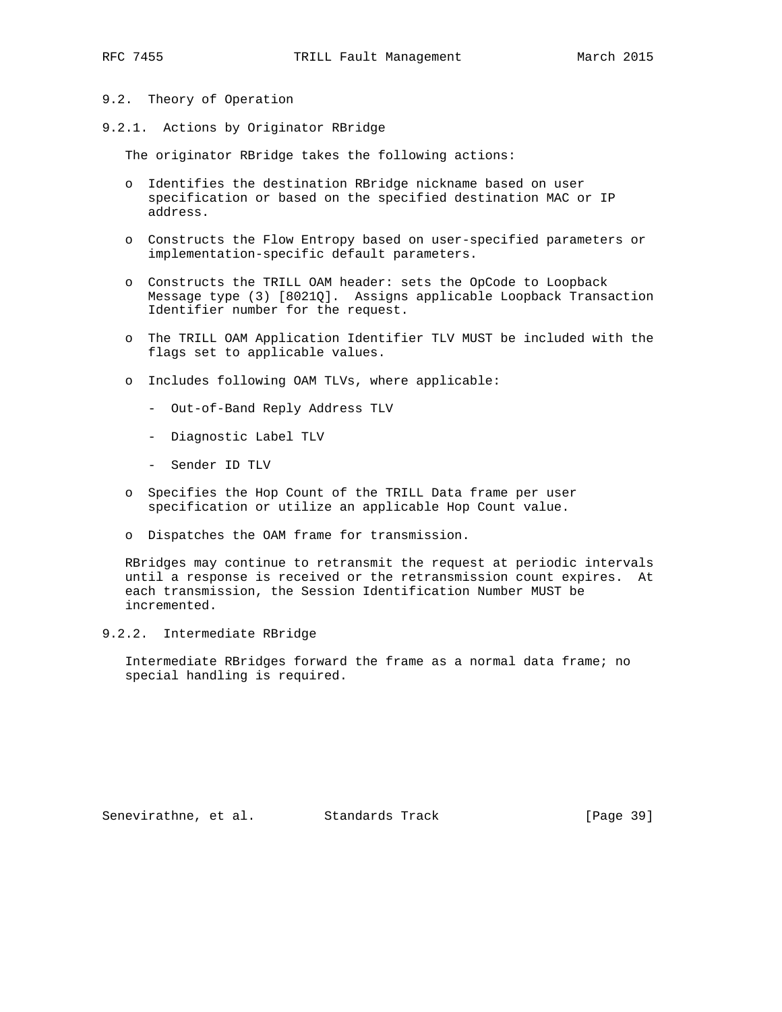# 9.2. Theory of Operation

9.2.1. Actions by Originator RBridge

The originator RBridge takes the following actions:

- o Identifies the destination RBridge nickname based on user specification or based on the specified destination MAC or IP address.
- o Constructs the Flow Entropy based on user-specified parameters or implementation-specific default parameters.
- o Constructs the TRILL OAM header: sets the OpCode to Loopback Message type (3) [8021Q]. Assigns applicable Loopback Transaction Identifier number for the request.
- o The TRILL OAM Application Identifier TLV MUST be included with the flags set to applicable values.
- o Includes following OAM TLVs, where applicable:
	- Out-of-Band Reply Address TLV
	- Diagnostic Label TLV
	- Sender ID TLV
- o Specifies the Hop Count of the TRILL Data frame per user specification or utilize an applicable Hop Count value.
- o Dispatches the OAM frame for transmission.

 RBridges may continue to retransmit the request at periodic intervals until a response is received or the retransmission count expires. At each transmission, the Session Identification Number MUST be incremented.

## 9.2.2. Intermediate RBridge

 Intermediate RBridges forward the frame as a normal data frame; no special handling is required.

Senevirathne, et al. Standards Track [Page 39]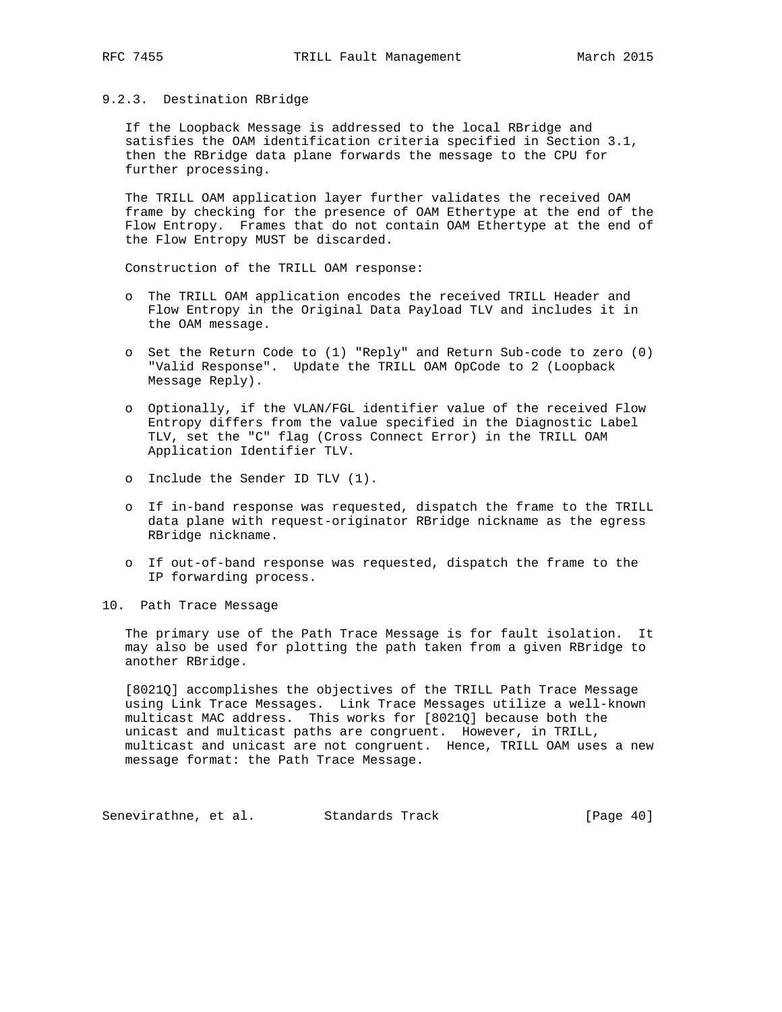# 9.2.3. Destination RBridge

 If the Loopback Message is addressed to the local RBridge and satisfies the OAM identification criteria specified in Section 3.1, then the RBridge data plane forwards the message to the CPU for further processing.

 The TRILL OAM application layer further validates the received OAM frame by checking for the presence of OAM Ethertype at the end of the Flow Entropy. Frames that do not contain OAM Ethertype at the end of the Flow Entropy MUST be discarded.

Construction of the TRILL OAM response:

- o The TRILL OAM application encodes the received TRILL Header and Flow Entropy in the Original Data Payload TLV and includes it in the OAM message.
- o Set the Return Code to (1) "Reply" and Return Sub-code to zero (0) "Valid Response". Update the TRILL OAM OpCode to 2 (Loopback Message Reply).
- o Optionally, if the VLAN/FGL identifier value of the received Flow Entropy differs from the value specified in the Diagnostic Label TLV, set the "C" flag (Cross Connect Error) in the TRILL OAM Application Identifier TLV.
- o Include the Sender ID TLV (1).
- o If in-band response was requested, dispatch the frame to the TRILL data plane with request-originator RBridge nickname as the egress RBridge nickname.
- o If out-of-band response was requested, dispatch the frame to the IP forwarding process.

10. Path Trace Message

 The primary use of the Path Trace Message is for fault isolation. It may also be used for plotting the path taken from a given RBridge to another RBridge.

 [8021Q] accomplishes the objectives of the TRILL Path Trace Message using Link Trace Messages. Link Trace Messages utilize a well-known multicast MAC address. This works for [8021Q] because both the unicast and multicast paths are congruent. However, in TRILL, multicast and unicast are not congruent. Hence, TRILL OAM uses a new message format: the Path Trace Message.

Senevirathne, et al. Standards Track [Page 40]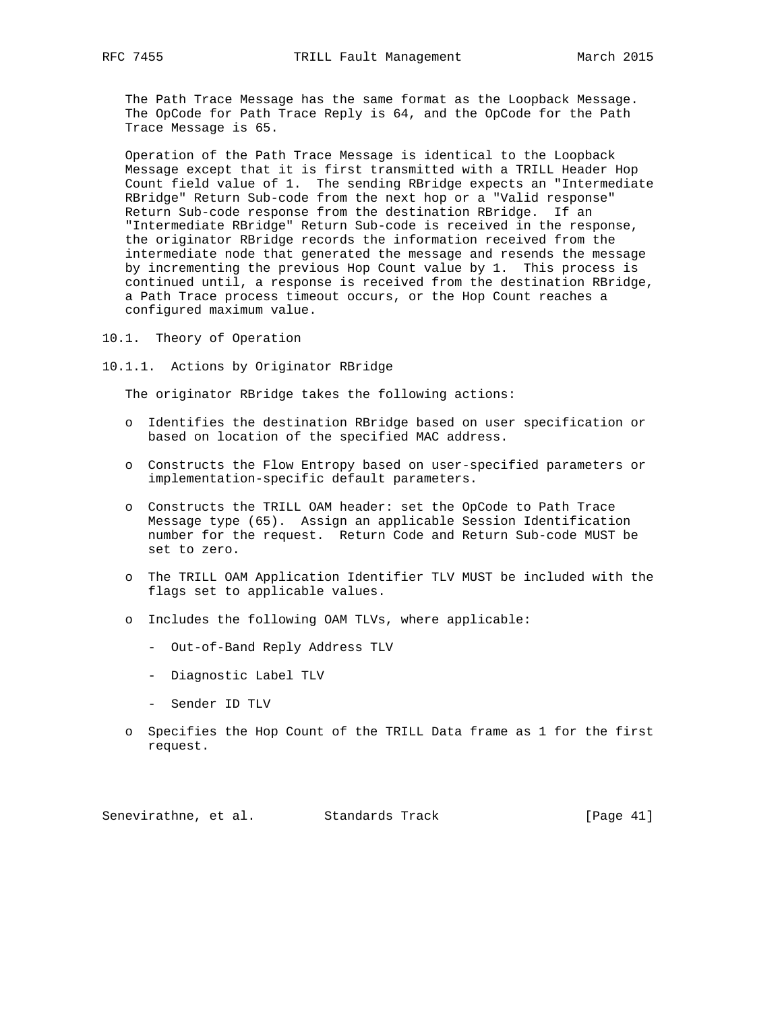The Path Trace Message has the same format as the Loopback Message. The OpCode for Path Trace Reply is 64, and the OpCode for the Path Trace Message is 65.

 Operation of the Path Trace Message is identical to the Loopback Message except that it is first transmitted with a TRILL Header Hop Count field value of 1. The sending RBridge expects an "Intermediate RBridge" Return Sub-code from the next hop or a "Valid response" Return Sub-code response from the destination RBridge. If an "Intermediate RBridge" Return Sub-code is received in the response, the originator RBridge records the information received from the intermediate node that generated the message and resends the message by incrementing the previous Hop Count value by 1. This process is continued until, a response is received from the destination RBridge, a Path Trace process timeout occurs, or the Hop Count reaches a configured maximum value.

- 10.1. Theory of Operation
- 10.1.1. Actions by Originator RBridge

The originator RBridge takes the following actions:

- o Identifies the destination RBridge based on user specification or based on location of the specified MAC address.
- o Constructs the Flow Entropy based on user-specified parameters or implementation-specific default parameters.
- o Constructs the TRILL OAM header: set the OpCode to Path Trace Message type (65). Assign an applicable Session Identification number for the request. Return Code and Return Sub-code MUST be set to zero.
- o The TRILL OAM Application Identifier TLV MUST be included with the flags set to applicable values.
- o Includes the following OAM TLVs, where applicable:
	- Out-of-Band Reply Address TLV
	- Diagnostic Label TLV
	- Sender ID TLV
- o Specifies the Hop Count of the TRILL Data frame as 1 for the first request.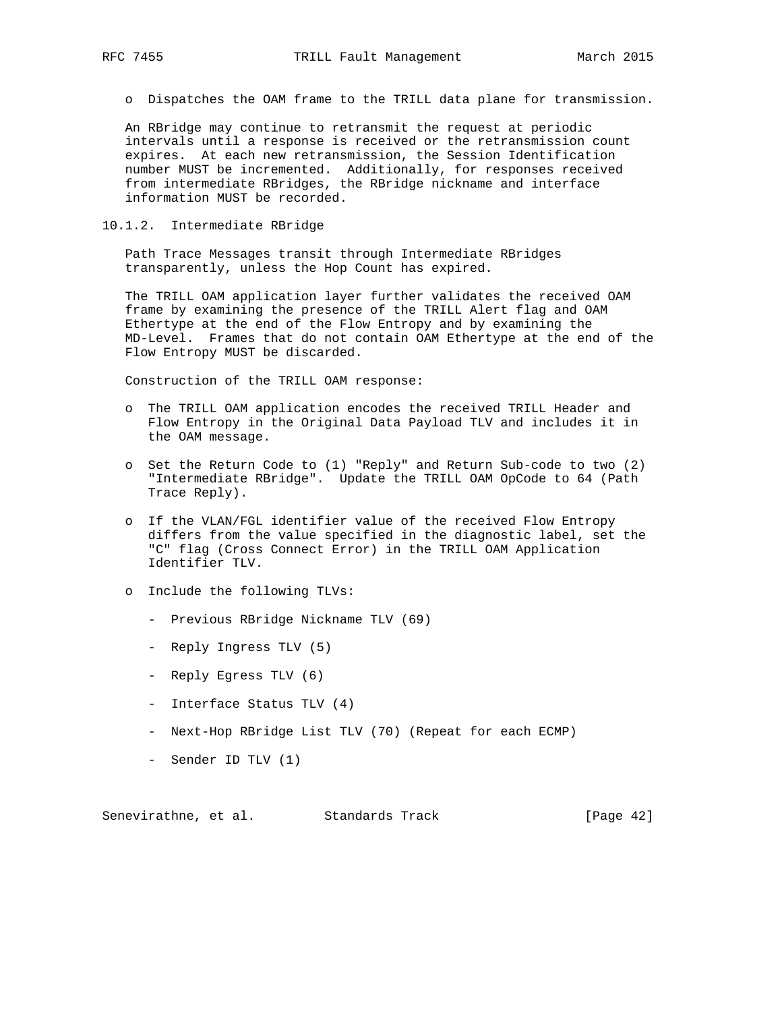o Dispatches the OAM frame to the TRILL data plane for transmission.

 An RBridge may continue to retransmit the request at periodic intervals until a response is received or the retransmission count expires. At each new retransmission, the Session Identification number MUST be incremented. Additionally, for responses received from intermediate RBridges, the RBridge nickname and interface information MUST be recorded.

10.1.2. Intermediate RBridge

 Path Trace Messages transit through Intermediate RBridges transparently, unless the Hop Count has expired.

 The TRILL OAM application layer further validates the received OAM frame by examining the presence of the TRILL Alert flag and OAM Ethertype at the end of the Flow Entropy and by examining the MD-Level. Frames that do not contain OAM Ethertype at the end of the Flow Entropy MUST be discarded.

Construction of the TRILL OAM response:

- o The TRILL OAM application encodes the received TRILL Header and Flow Entropy in the Original Data Payload TLV and includes it in the OAM message.
- o Set the Return Code to (1) "Reply" and Return Sub-code to two (2) "Intermediate RBridge". Update the TRILL OAM OpCode to 64 (Path Trace Reply).
- o If the VLAN/FGL identifier value of the received Flow Entropy differs from the value specified in the diagnostic label, set the "C" flag (Cross Connect Error) in the TRILL OAM Application Identifier TLV.
- o Include the following TLVs:
	- Previous RBridge Nickname TLV (69)
	- Reply Ingress TLV (5)
	- Reply Egress TLV (6)
	- Interface Status TLV (4)
	- Next-Hop RBridge List TLV (70) (Repeat for each ECMP)
	- Sender ID TLV (1)

Senevirathne, et al. Standards Track [Page 42]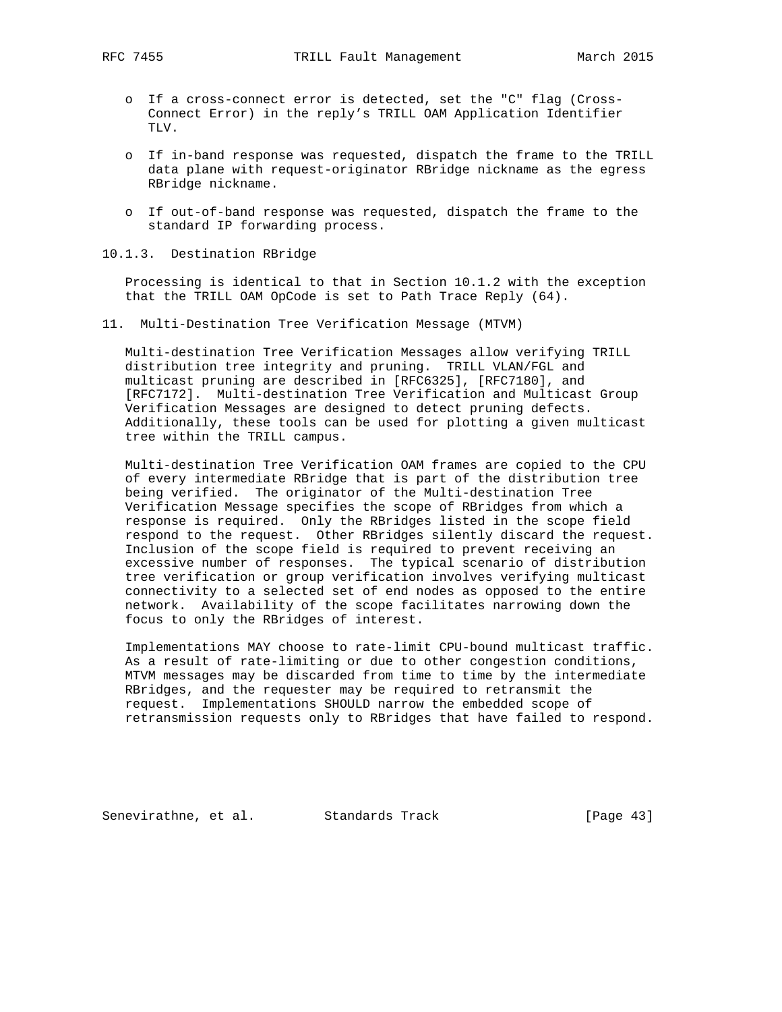- o If a cross-connect error is detected, set the "C" flag (Cross- Connect Error) in the reply's TRILL OAM Application Identifier TLV.
- o If in-band response was requested, dispatch the frame to the TRILL data plane with request-originator RBridge nickname as the egress RBridge nickname.
- o If out-of-band response was requested, dispatch the frame to the standard IP forwarding process.
- 10.1.3. Destination RBridge

 Processing is identical to that in Section 10.1.2 with the exception that the TRILL OAM OpCode is set to Path Trace Reply (64).

11. Multi-Destination Tree Verification Message (MTVM)

 Multi-destination Tree Verification Messages allow verifying TRILL distribution tree integrity and pruning. TRILL VLAN/FGL and multicast pruning are described in [RFC6325], [RFC7180], and [RFC7172]. Multi-destination Tree Verification and Multicast Group Verification Messages are designed to detect pruning defects. Additionally, these tools can be used for plotting a given multicast tree within the TRILL campus.

 Multi-destination Tree Verification OAM frames are copied to the CPU of every intermediate RBridge that is part of the distribution tree being verified. The originator of the Multi-destination Tree Verification Message specifies the scope of RBridges from which a response is required. Only the RBridges listed in the scope field respond to the request. Other RBridges silently discard the request. Inclusion of the scope field is required to prevent receiving an excessive number of responses. The typical scenario of distribution tree verification or group verification involves verifying multicast connectivity to a selected set of end nodes as opposed to the entire network. Availability of the scope facilitates narrowing down the focus to only the RBridges of interest.

 Implementations MAY choose to rate-limit CPU-bound multicast traffic. As a result of rate-limiting or due to other congestion conditions, MTVM messages may be discarded from time to time by the intermediate RBridges, and the requester may be required to retransmit the request. Implementations SHOULD narrow the embedded scope of retransmission requests only to RBridges that have failed to respond.

Senevirathne, et al. Standards Track [Page 43]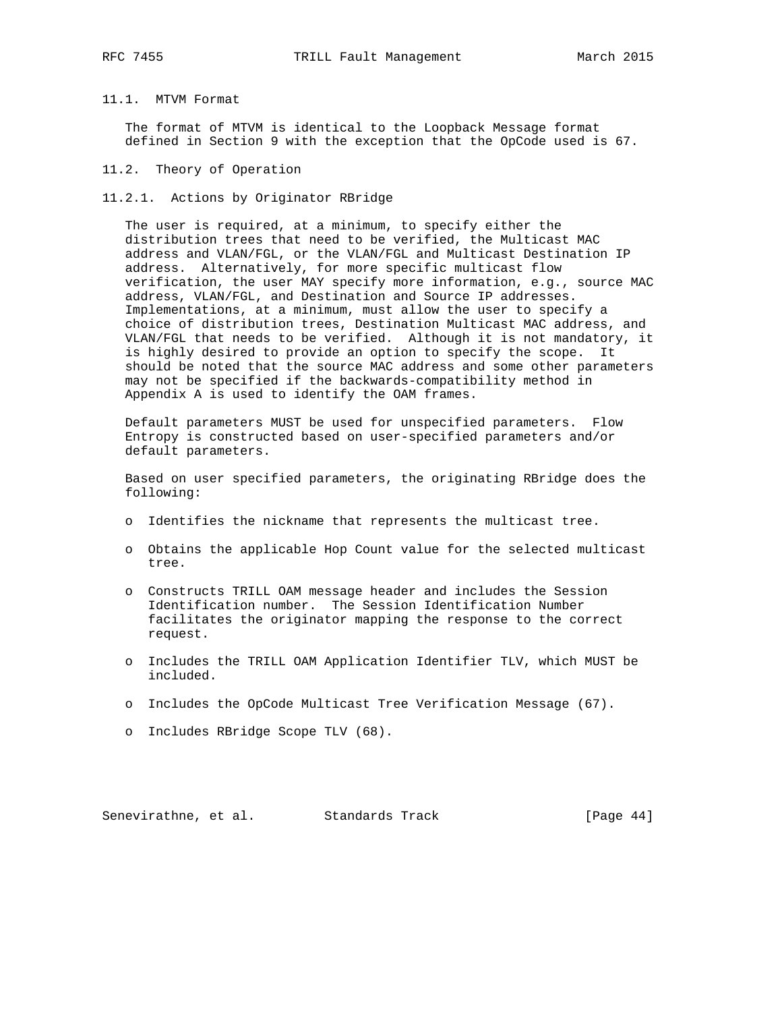# 11.1. MTVM Format

 The format of MTVM is identical to the Loopback Message format defined in Section 9 with the exception that the OpCode used is 67.

- 11.2. Theory of Operation
- 11.2.1. Actions by Originator RBridge

 The user is required, at a minimum, to specify either the distribution trees that need to be verified, the Multicast MAC address and VLAN/FGL, or the VLAN/FGL and Multicast Destination IP address. Alternatively, for more specific multicast flow verification, the user MAY specify more information, e.g., source MAC address, VLAN/FGL, and Destination and Source IP addresses. Implementations, at a minimum, must allow the user to specify a choice of distribution trees, Destination Multicast MAC address, and VLAN/FGL that needs to be verified. Although it is not mandatory, it is highly desired to provide an option to specify the scope. It should be noted that the source MAC address and some other parameters may not be specified if the backwards-compatibility method in Appendix A is used to identify the OAM frames.

 Default parameters MUST be used for unspecified parameters. Flow Entropy is constructed based on user-specified parameters and/or default parameters.

 Based on user specified parameters, the originating RBridge does the following:

- o Identifies the nickname that represents the multicast tree.
- o Obtains the applicable Hop Count value for the selected multicast tree.
- o Constructs TRILL OAM message header and includes the Session Identification number. The Session Identification Number facilitates the originator mapping the response to the correct request.
- o Includes the TRILL OAM Application Identifier TLV, which MUST be included.
- o Includes the OpCode Multicast Tree Verification Message (67).
- o Includes RBridge Scope TLV (68).

Senevirathne, et al. Standards Track [Page 44]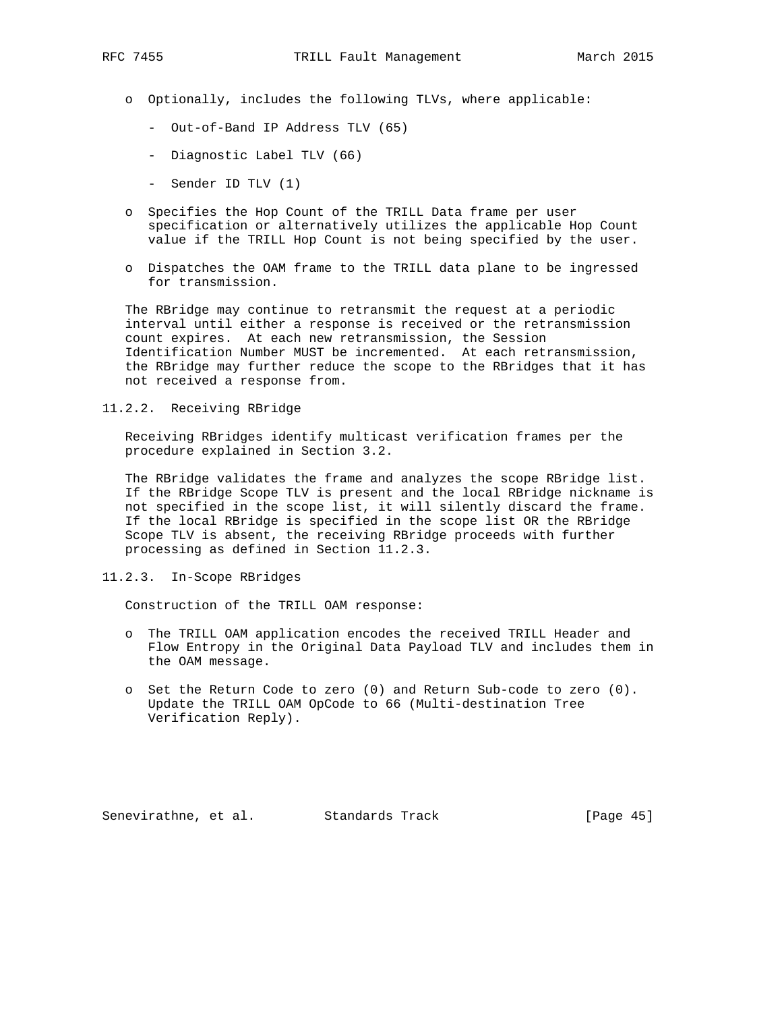- o Optionally, includes the following TLVs, where applicable:
	- Out-of-Band IP Address TLV (65)
	- Diagnostic Label TLV (66)
	- Sender ID TLV (1)
- o Specifies the Hop Count of the TRILL Data frame per user specification or alternatively utilizes the applicable Hop Count value if the TRILL Hop Count is not being specified by the user.
- o Dispatches the OAM frame to the TRILL data plane to be ingressed for transmission.

 The RBridge may continue to retransmit the request at a periodic interval until either a response is received or the retransmission count expires. At each new retransmission, the Session Identification Number MUST be incremented. At each retransmission, the RBridge may further reduce the scope to the RBridges that it has not received a response from.

11.2.2. Receiving RBridge

 Receiving RBridges identify multicast verification frames per the procedure explained in Section 3.2.

 The RBridge validates the frame and analyzes the scope RBridge list. If the RBridge Scope TLV is present and the local RBridge nickname is not specified in the scope list, it will silently discard the frame. If the local RBridge is specified in the scope list OR the RBridge Scope TLV is absent, the receiving RBridge proceeds with further processing as defined in Section 11.2.3.

11.2.3. In-Scope RBridges

Construction of the TRILL OAM response:

- o The TRILL OAM application encodes the received TRILL Header and Flow Entropy in the Original Data Payload TLV and includes them in the OAM message.
- o Set the Return Code to zero (0) and Return Sub-code to zero (0). Update the TRILL OAM OpCode to 66 (Multi-destination Tree Verification Reply).

Senevirathne, et al. Standards Track [Page 45]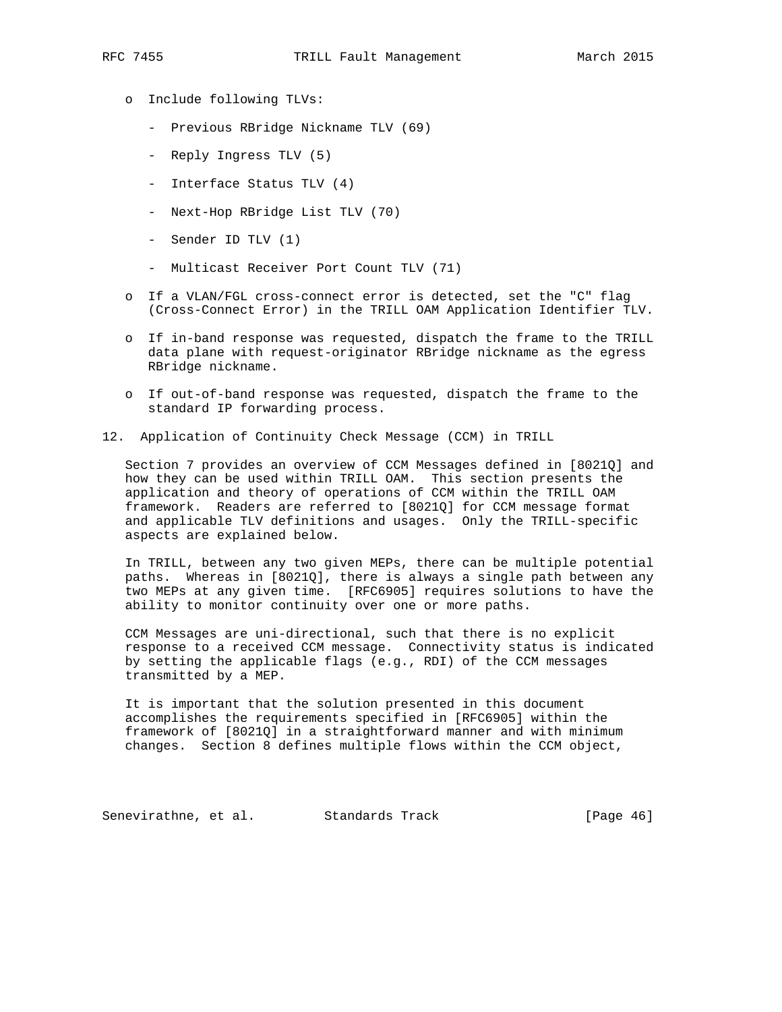- o Include following TLVs:
	- Previous RBridge Nickname TLV (69)
	- Reply Ingress TLV (5)
	- Interface Status TLV (4)
	- Next-Hop RBridge List TLV (70)
	- Sender ID TLV (1)
	- Multicast Receiver Port Count TLV (71)
- o If a VLAN/FGL cross-connect error is detected, set the "C" flag (Cross-Connect Error) in the TRILL OAM Application Identifier TLV.
- o If in-band response was requested, dispatch the frame to the TRILL data plane with request-originator RBridge nickname as the egress RBridge nickname.
- o If out-of-band response was requested, dispatch the frame to the standard IP forwarding process.
- 12. Application of Continuity Check Message (CCM) in TRILL

 Section 7 provides an overview of CCM Messages defined in [8021Q] and how they can be used within TRILL OAM. This section presents the application and theory of operations of CCM within the TRILL OAM framework. Readers are referred to [8021Q] for CCM message format and applicable TLV definitions and usages. Only the TRILL-specific aspects are explained below.

 In TRILL, between any two given MEPs, there can be multiple potential paths. Whereas in [8021Q], there is always a single path between any two MEPs at any given time. [RFC6905] requires solutions to have the ability to monitor continuity over one or more paths.

 CCM Messages are uni-directional, such that there is no explicit response to a received CCM message. Connectivity status is indicated by setting the applicable flags (e.g., RDI) of the CCM messages transmitted by a MEP.

 It is important that the solution presented in this document accomplishes the requirements specified in [RFC6905] within the framework of [8021Q] in a straightforward manner and with minimum changes. Section 8 defines multiple flows within the CCM object,

Senevirathne, et al. Standards Track [Page 46]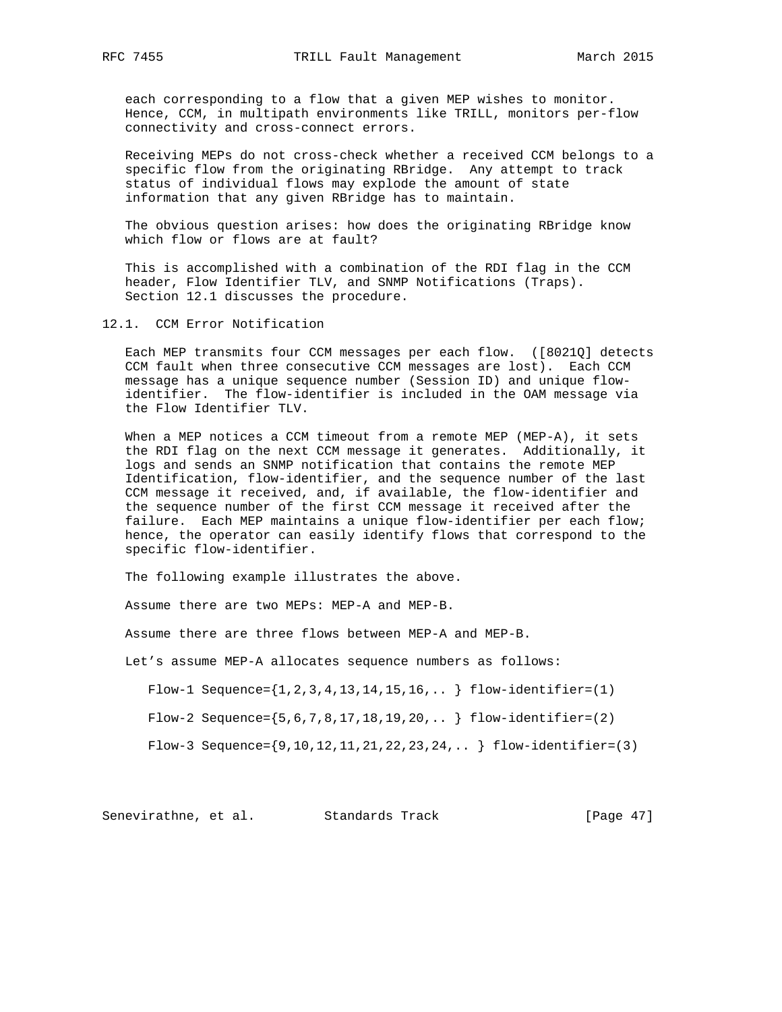each corresponding to a flow that a given MEP wishes to monitor. Hence, CCM, in multipath environments like TRILL, monitors per-flow connectivity and cross-connect errors.

 Receiving MEPs do not cross-check whether a received CCM belongs to a specific flow from the originating RBridge. Any attempt to track status of individual flows may explode the amount of state information that any given RBridge has to maintain.

 The obvious question arises: how does the originating RBridge know which flow or flows are at fault?

 This is accomplished with a combination of the RDI flag in the CCM header, Flow Identifier TLV, and SNMP Notifications (Traps). Section 12.1 discusses the procedure.

12.1. CCM Error Notification

 Each MEP transmits four CCM messages per each flow. ([8021Q] detects CCM fault when three consecutive CCM messages are lost). Each CCM message has a unique sequence number (Session ID) and unique flow identifier. The flow-identifier is included in the OAM message via the Flow Identifier TLV.

 When a MEP notices a CCM timeout from a remote MEP (MEP-A), it sets the RDI flag on the next CCM message it generates. Additionally, it logs and sends an SNMP notification that contains the remote MEP Identification, flow-identifier, and the sequence number of the last CCM message it received, and, if available, the flow-identifier and the sequence number of the first CCM message it received after the failure. Each MEP maintains a unique flow-identifier per each flow; hence, the operator can easily identify flows that correspond to the specific flow-identifier.

The following example illustrates the above.

Assume there are two MEPs: MEP-A and MEP-B.

Assume there are three flows between MEP-A and MEP-B.

Let's assume MEP-A allocates sequence numbers as follows:

Flow-1 Sequence= $\{1, 2, 3, 4, 13, 14, 15, 16, \dots\}$  flow-identifier=(1)

 $Flow-2 Sequence={5,6,7,8,17,18,19,20,... } flow-identifier=(2)$ 

Flow-3 Sequence= $\{9, 10, 12, 11, 21, 22, 23, 24, ...\}$  flow-identifier=(3)

Senevirathne, et al. Standards Track [Page 47]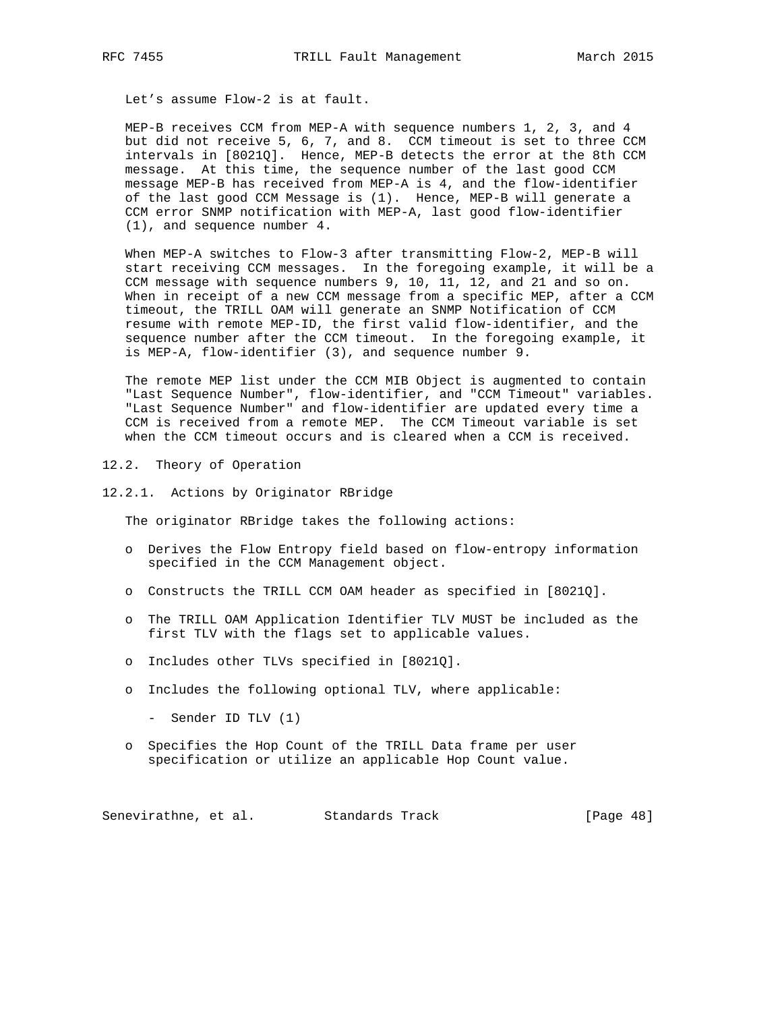Let's assume Flow-2 is at fault.

 MEP-B receives CCM from MEP-A with sequence numbers 1, 2, 3, and 4 but did not receive 5, 6, 7, and 8. CCM timeout is set to three CCM intervals in [8021Q]. Hence, MEP-B detects the error at the 8th CCM message. At this time, the sequence number of the last good CCM message MEP-B has received from MEP-A is 4, and the flow-identifier of the last good CCM Message is (1). Hence, MEP-B will generate a CCM error SNMP notification with MEP-A, last good flow-identifier (1), and sequence number 4.

 When MEP-A switches to Flow-3 after transmitting Flow-2, MEP-B will start receiving CCM messages. In the foregoing example, it will be a CCM message with sequence numbers 9, 10, 11, 12, and 21 and so on. When in receipt of a new CCM message from a specific MEP, after a CCM timeout, the TRILL OAM will generate an SNMP Notification of CCM resume with remote MEP-ID, the first valid flow-identifier, and the sequence number after the CCM timeout. In the foregoing example, it is MEP-A, flow-identifier (3), and sequence number 9.

 The remote MEP list under the CCM MIB Object is augmented to contain "Last Sequence Number", flow-identifier, and "CCM Timeout" variables. "Last Sequence Number" and flow-identifier are updated every time a CCM is received from a remote MEP. The CCM Timeout variable is set when the CCM timeout occurs and is cleared when a CCM is received.

- 12.2. Theory of Operation
- 12.2.1. Actions by Originator RBridge

The originator RBridge takes the following actions:

- o Derives the Flow Entropy field based on flow-entropy information specified in the CCM Management object.
- o Constructs the TRILL CCM OAM header as specified in [8021Q].
- o The TRILL OAM Application Identifier TLV MUST be included as the first TLV with the flags set to applicable values.
- o Includes other TLVs specified in [8021Q].
- o Includes the following optional TLV, where applicable:
	- Sender ID TLV (1)
- o Specifies the Hop Count of the TRILL Data frame per user specification or utilize an applicable Hop Count value.

Senevirathne, et al. Standards Track [Page 48]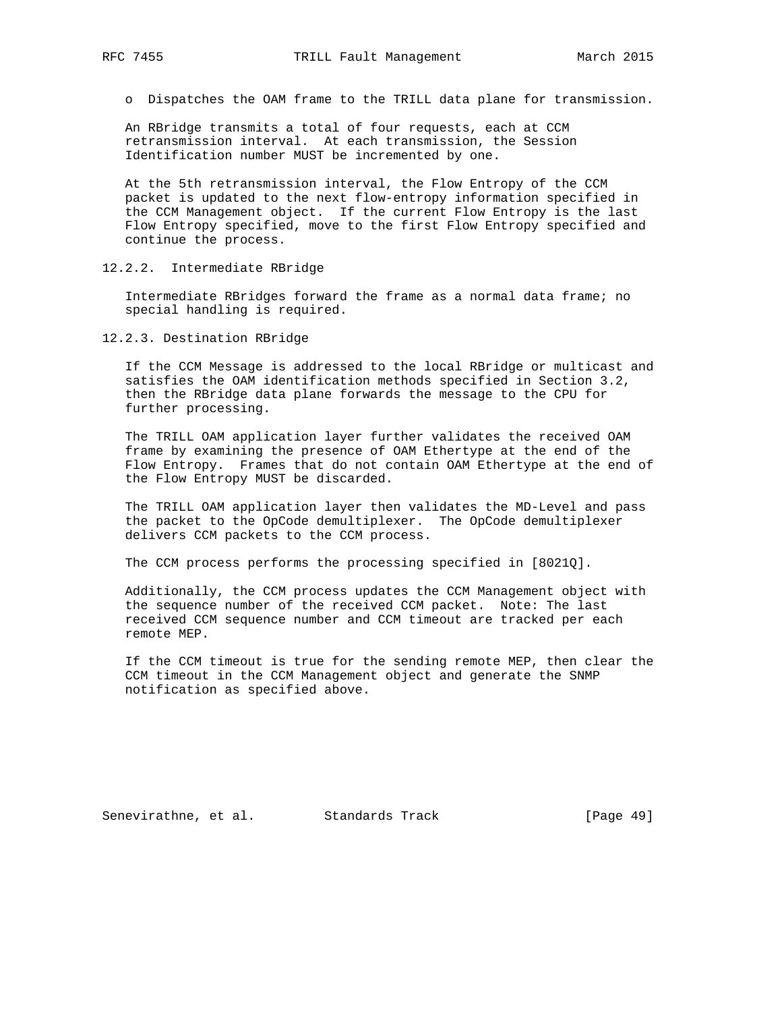o Dispatches the OAM frame to the TRILL data plane for transmission.

 An RBridge transmits a total of four requests, each at CCM retransmission interval. At each transmission, the Session Identification number MUST be incremented by one.

 At the 5th retransmission interval, the Flow Entropy of the CCM packet is updated to the next flow-entropy information specified in the CCM Management object. If the current Flow Entropy is the last Flow Entropy specified, move to the first Flow Entropy specified and continue the process.

12.2.2. Intermediate RBridge

 Intermediate RBridges forward the frame as a normal data frame; no special handling is required.

12.2.3. Destination RBridge

 If the CCM Message is addressed to the local RBridge or multicast and satisfies the OAM identification methods specified in Section 3.2, then the RBridge data plane forwards the message to the CPU for further processing.

 The TRILL OAM application layer further validates the received OAM frame by examining the presence of OAM Ethertype at the end of the Flow Entropy. Frames that do not contain OAM Ethertype at the end of the Flow Entropy MUST be discarded.

 The TRILL OAM application layer then validates the MD-Level and pass the packet to the OpCode demultiplexer. The OpCode demultiplexer delivers CCM packets to the CCM process.

The CCM process performs the processing specified in [8021Q].

 Additionally, the CCM process updates the CCM Management object with the sequence number of the received CCM packet. Note: The last received CCM sequence number and CCM timeout are tracked per each remote MEP.

 If the CCM timeout is true for the sending remote MEP, then clear the CCM timeout in the CCM Management object and generate the SNMP notification as specified above.

Senevirathne, et al. Standards Track [Page 49]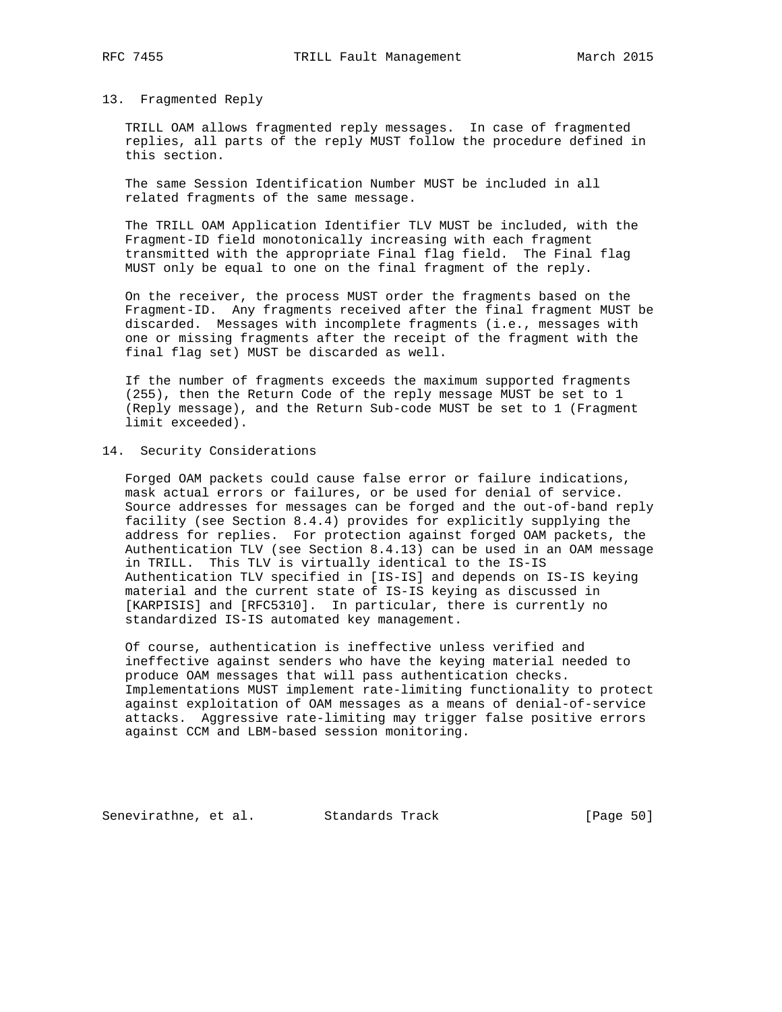### 13. Fragmented Reply

 TRILL OAM allows fragmented reply messages. In case of fragmented replies, all parts of the reply MUST follow the procedure defined in this section.

 The same Session Identification Number MUST be included in all related fragments of the same message.

 The TRILL OAM Application Identifier TLV MUST be included, with the Fragment-ID field monotonically increasing with each fragment transmitted with the appropriate Final flag field. The Final flag MUST only be equal to one on the final fragment of the reply.

 On the receiver, the process MUST order the fragments based on the Fragment-ID. Any fragments received after the final fragment MUST be discarded. Messages with incomplete fragments (i.e., messages with one or missing fragments after the receipt of the fragment with the final flag set) MUST be discarded as well.

 If the number of fragments exceeds the maximum supported fragments (255), then the Return Code of the reply message MUST be set to 1 (Reply message), and the Return Sub-code MUST be set to 1 (Fragment limit exceeded).

## 14. Security Considerations

 Forged OAM packets could cause false error or failure indications, mask actual errors or failures, or be used for denial of service. Source addresses for messages can be forged and the out-of-band reply facility (see Section 8.4.4) provides for explicitly supplying the address for replies. For protection against forged OAM packets, the Authentication TLV (see Section 8.4.13) can be used in an OAM message in TRILL. This TLV is virtually identical to the IS-IS Authentication TLV specified in [IS-IS] and depends on IS-IS keying material and the current state of IS-IS keying as discussed in [KARPISIS] and [RFC5310]. In particular, there is currently no standardized IS-IS automated key management.

 Of course, authentication is ineffective unless verified and ineffective against senders who have the keying material needed to produce OAM messages that will pass authentication checks. Implementations MUST implement rate-limiting functionality to protect against exploitation of OAM messages as a means of denial-of-service attacks. Aggressive rate-limiting may trigger false positive errors against CCM and LBM-based session monitoring.

Senevirathne, et al. Standards Track [Page 50]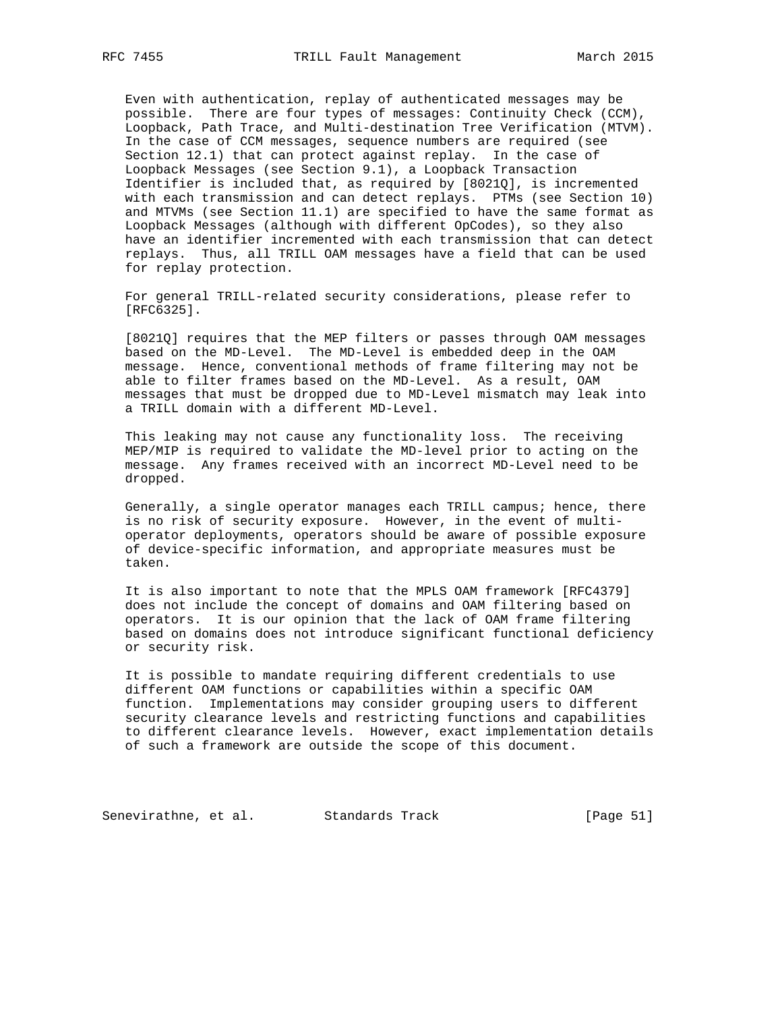Even with authentication, replay of authenticated messages may be possible. There are four types of messages: Continuity Check (CCM), Loopback, Path Trace, and Multi-destination Tree Verification (MTVM). In the case of CCM messages, sequence numbers are required (see Section 12.1) that can protect against replay. In the case of Loopback Messages (see Section 9.1), a Loopback Transaction Identifier is included that, as required by [8021Q], is incremented with each transmission and can detect replays. PTMs (see Section 10) and MTVMs (see Section 11.1) are specified to have the same format as Loopback Messages (although with different OpCodes), so they also have an identifier incremented with each transmission that can detect replays. Thus, all TRILL OAM messages have a field that can be used for replay protection.

 For general TRILL-related security considerations, please refer to [RFC6325].

 [8021Q] requires that the MEP filters or passes through OAM messages based on the MD-Level. The MD-Level is embedded deep in the OAM message. Hence, conventional methods of frame filtering may not be able to filter frames based on the MD-Level. As a result, OAM messages that must be dropped due to MD-Level mismatch may leak into a TRILL domain with a different MD-Level.

 This leaking may not cause any functionality loss. The receiving MEP/MIP is required to validate the MD-level prior to acting on the message. Any frames received with an incorrect MD-Level need to be dropped.

 Generally, a single operator manages each TRILL campus; hence, there is no risk of security exposure. However, in the event of multi operator deployments, operators should be aware of possible exposure of device-specific information, and appropriate measures must be taken.

 It is also important to note that the MPLS OAM framework [RFC4379] does not include the concept of domains and OAM filtering based on operators. It is our opinion that the lack of OAM frame filtering based on domains does not introduce significant functional deficiency or security risk.

 It is possible to mandate requiring different credentials to use different OAM functions or capabilities within a specific OAM function. Implementations may consider grouping users to different security clearance levels and restricting functions and capabilities to different clearance levels. However, exact implementation details of such a framework are outside the scope of this document.

Senevirathne, et al. Standards Track [Page 51]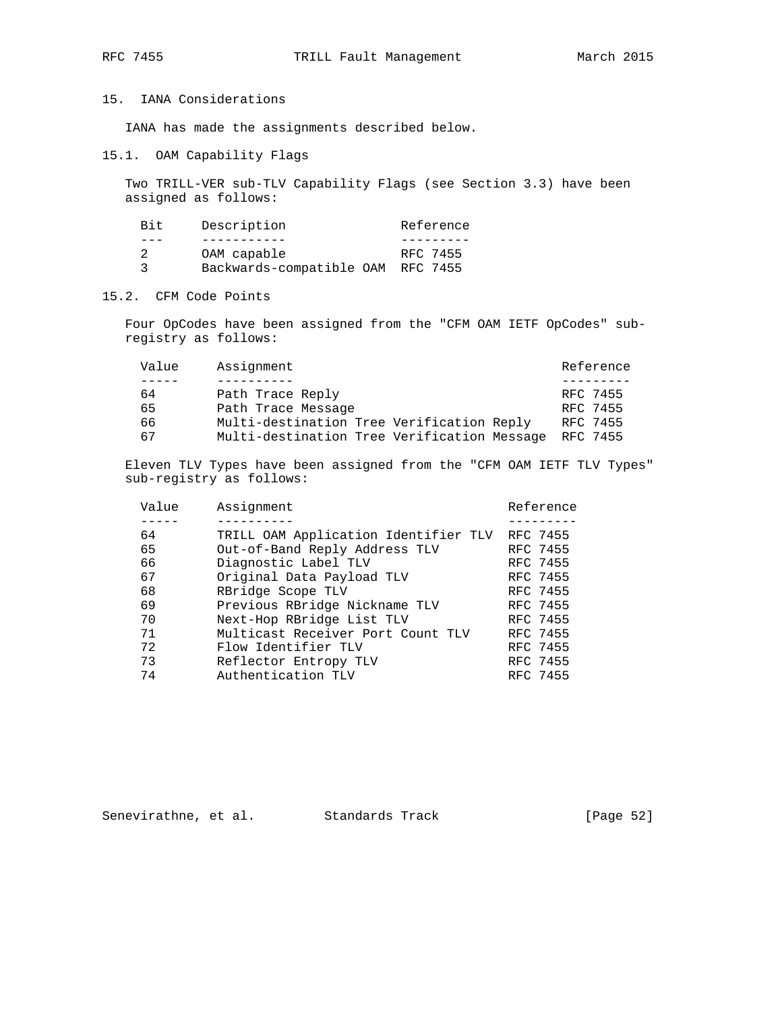# 15. IANA Considerations

IANA has made the assignments described below.

15.1. OAM Capability Flags

 Two TRILL-VER sub-TLV Capability Flags (see Section 3.3) have been assigned as follows:

| Bit. | Description                       | Reference |
|------|-----------------------------------|-----------|
|      |                                   |           |
|      | OAM capable                       | RFC 7455  |
|      | Backwards-compatible OAM RFC 7455 |           |

15.2. CFM Code Points

 Four OpCodes have been assigned from the "CFM OAM IETF OpCodes" sub registry as follows:

| Value | Assignment                                  | Reference |
|-------|---------------------------------------------|-----------|
|       |                                             |           |
| 64    | Path Trace Reply                            | RFC 7455  |
| 65    | Path Trace Message                          | RFC 7455  |
| 66    | Multi-destination Tree Verification Reply   | RFC 7455  |
| 67    | Multi-destination Tree Verification Message | RFC 7455  |

 Eleven TLV Types have been assigned from the "CFM OAM IETF TLV Types" sub-registry as follows:

| Value | Assignment                           | Reference |
|-------|--------------------------------------|-----------|
|       |                                      |           |
| 64    | TRILL OAM Application Identifier TLV | RFC 7455  |
| 65    | Out-of-Band Reply Address TLV        | RFC 7455  |
| 66    | Diagnostic Label TLV                 | RFC 7455  |
| 67    | Original Data Payload TLV            | RFC 7455  |
| 68    | RBridge Scope TLV                    | RFC 7455  |
| 69    | Previous RBridge Nickname TLV        | RFC 7455  |
| 70    | Next-Hop RBridge List TLV            | RFC 7455  |
| 71    | Multicast Receiver Port Count TLV    | RFC 7455  |
| 72    | Flow Identifier TLV                  | RFC 7455  |
| 73    | Reflector Entropy TLV                | RFC 7455  |
| 74    | Authentication TLV                   | RFC 7455  |

Senevirathne, et al. Standards Track [Page 52]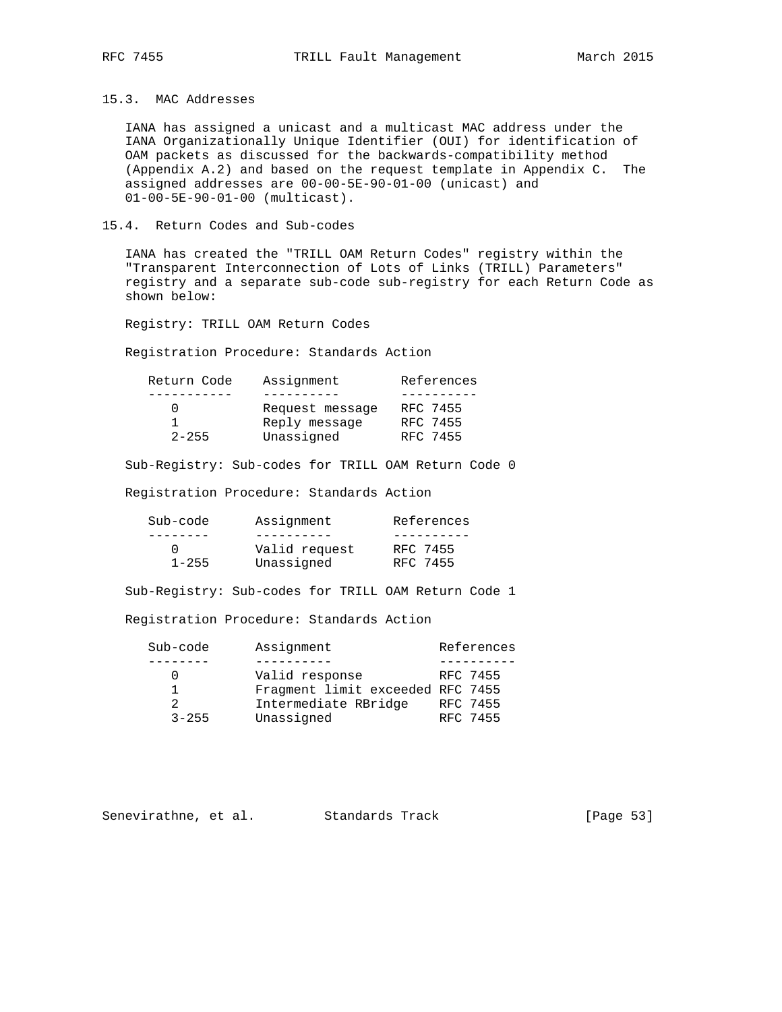15.3. MAC Addresses

 IANA has assigned a unicast and a multicast MAC address under the IANA Organizationally Unique Identifier (OUI) for identification of OAM packets as discussed for the backwards-compatibility method (Appendix A.2) and based on the request template in Appendix C. The assigned addresses are 00-00-5E-90-01-00 (unicast) and 01-00-5E-90-01-00 (multicast).

15.4. Return Codes and Sub-codes

 IANA has created the "TRILL OAM Return Codes" registry within the "Transparent Interconnection of Lots of Links (TRILL) Parameters" registry and a separate sub-code sub-registry for each Return Code as shown below:

Registry: TRILL OAM Return Codes

Registration Procedure: Standards Action

| Return Code | Assignment      | References |
|-------------|-----------------|------------|
|             |                 |            |
|             | Request message | RFC 7455   |
|             | Reply message   | RFC 7455   |
| $2 - 255$   | Unassigned      | RFC 7455   |

Sub-Registry: Sub-codes for TRILL OAM Return Code 0

Registration Procedure: Standards Action

| Sub-code  | Assignment    | References |
|-----------|---------------|------------|
|           |               |            |
|           | Valid request | RFC 7455   |
| $1 - 255$ | Unassigned    | RFC 7455   |

Sub-Registry: Sub-codes for TRILL OAM Return Code 1

Registration Procedure: Standards Action

| Sub-code  | Assignment                       | References |
|-----------|----------------------------------|------------|
|           |                                  |            |
|           | Valid response                   | RFC 7455   |
|           | Fragment limit exceeded RFC 7455 |            |
|           | Intermediate RBridge             | RFC 7455   |
| $3 - 255$ | Unassigned                       | RFC 7455   |

Senevirathne, et al. Standards Track [Page 53]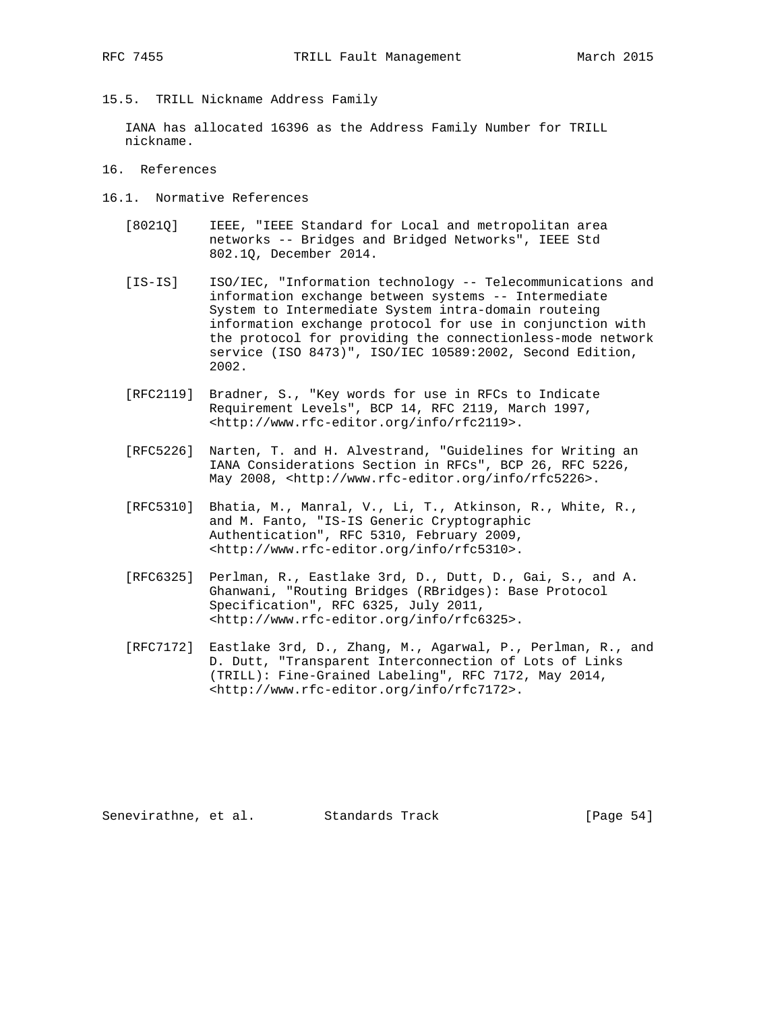15.5. TRILL Nickname Address Family

 IANA has allocated 16396 as the Address Family Number for TRILL nickname.

- 16. References
- 16.1. Normative References
	- [8021Q] IEEE, "IEEE Standard for Local and metropolitan area networks -- Bridges and Bridged Networks", IEEE Std 802.1Q, December 2014.
	- [IS-IS] ISO/IEC, "Information technology -- Telecommunications and information exchange between systems -- Intermediate System to Intermediate System intra-domain routeing information exchange protocol for use in conjunction with the protocol for providing the connectionless-mode network service (ISO 8473)", ISO/IEC 10589:2002, Second Edition, 2002.
	- [RFC2119] Bradner, S., "Key words for use in RFCs to Indicate Requirement Levels", BCP 14, RFC 2119, March 1997, <http://www.rfc-editor.org/info/rfc2119>.
	- [RFC5226] Narten, T. and H. Alvestrand, "Guidelines for Writing an IANA Considerations Section in RFCs", BCP 26, RFC 5226, May 2008, <http://www.rfc-editor.org/info/rfc5226>.
	- [RFC5310] Bhatia, M., Manral, V., Li, T., Atkinson, R., White, R., and M. Fanto, "IS-IS Generic Cryptographic Authentication", RFC 5310, February 2009, <http://www.rfc-editor.org/info/rfc5310>.
	- [RFC6325] Perlman, R., Eastlake 3rd, D., Dutt, D., Gai, S., and A. Ghanwani, "Routing Bridges (RBridges): Base Protocol Specification", RFC 6325, July 2011, <http://www.rfc-editor.org/info/rfc6325>.
	- [RFC7172] Eastlake 3rd, D., Zhang, M., Agarwal, P., Perlman, R., and D. Dutt, "Transparent Interconnection of Lots of Links (TRILL): Fine-Grained Labeling", RFC 7172, May 2014, <http://www.rfc-editor.org/info/rfc7172>.

Senevirathne, et al. Standards Track [Page 54]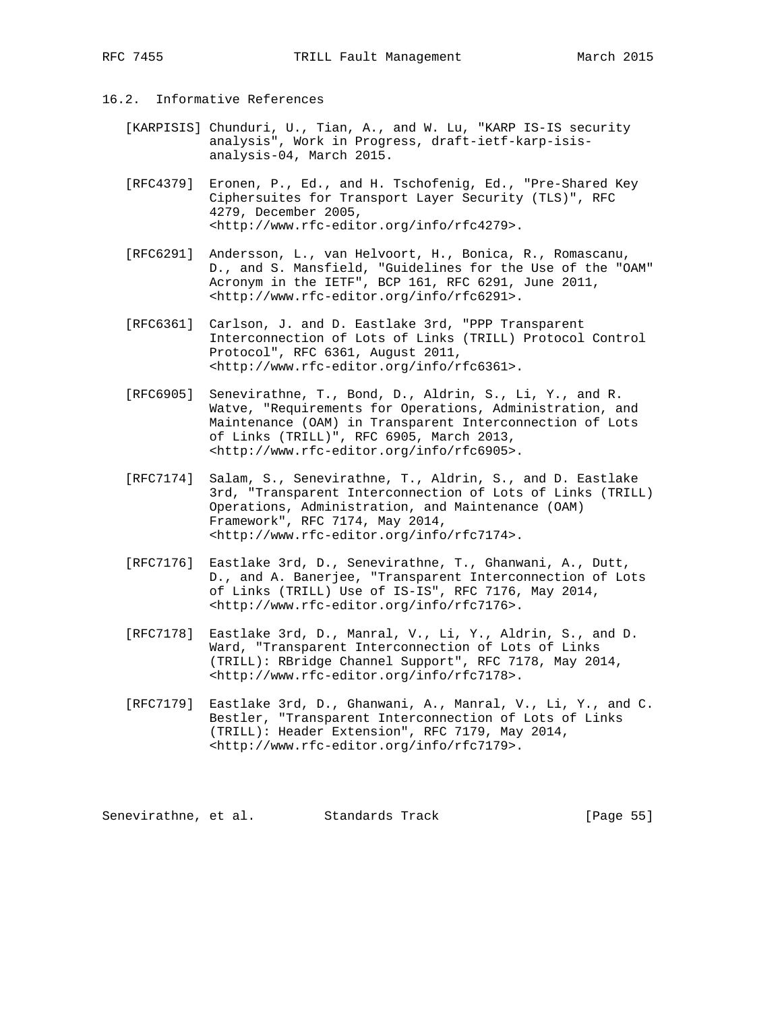# 16.2. Informative References

- [KARPISIS] Chunduri, U., Tian, A., and W. Lu, "KARP IS-IS security analysis", Work in Progress, draft-ietf-karp-isis analysis-04, March 2015.
- [RFC4379] Eronen, P., Ed., and H. Tschofenig, Ed., "Pre-Shared Key Ciphersuites for Transport Layer Security (TLS)", RFC 4279, December 2005, <http://www.rfc-editor.org/info/rfc4279>.
- [RFC6291] Andersson, L., van Helvoort, H., Bonica, R., Romascanu, D., and S. Mansfield, "Guidelines for the Use of the "OAM" Acronym in the IETF", BCP 161, RFC 6291, June 2011, <http://www.rfc-editor.org/info/rfc6291>.
- [RFC6361] Carlson, J. and D. Eastlake 3rd, "PPP Transparent Interconnection of Lots of Links (TRILL) Protocol Control Protocol", RFC 6361, August 2011, <http://www.rfc-editor.org/info/rfc6361>.
- [RFC6905] Senevirathne, T., Bond, D., Aldrin, S., Li, Y., and R. Watve, "Requirements for Operations, Administration, and Maintenance (OAM) in Transparent Interconnection of Lots of Links (TRILL)", RFC 6905, March 2013, <http://www.rfc-editor.org/info/rfc6905>.
- [RFC7174] Salam, S., Senevirathne, T., Aldrin, S., and D. Eastlake 3rd, "Transparent Interconnection of Lots of Links (TRILL) Operations, Administration, and Maintenance (OAM) Framework", RFC 7174, May 2014, <http://www.rfc-editor.org/info/rfc7174>.
- [RFC7176] Eastlake 3rd, D., Senevirathne, T., Ghanwani, A., Dutt, D., and A. Banerjee, "Transparent Interconnection of Lots of Links (TRILL) Use of IS-IS", RFC 7176, May 2014, <http://www.rfc-editor.org/info/rfc7176>.
- [RFC7178] Eastlake 3rd, D., Manral, V., Li, Y., Aldrin, S., and D. Ward, "Transparent Interconnection of Lots of Links (TRILL): RBridge Channel Support", RFC 7178, May 2014, <http://www.rfc-editor.org/info/rfc7178>.
- [RFC7179] Eastlake 3rd, D., Ghanwani, A., Manral, V., Li, Y., and C. Bestler, "Transparent Interconnection of Lots of Links (TRILL): Header Extension", RFC 7179, May 2014, <http://www.rfc-editor.org/info/rfc7179>.

Senevirathne, et al. Standards Track [Page 55]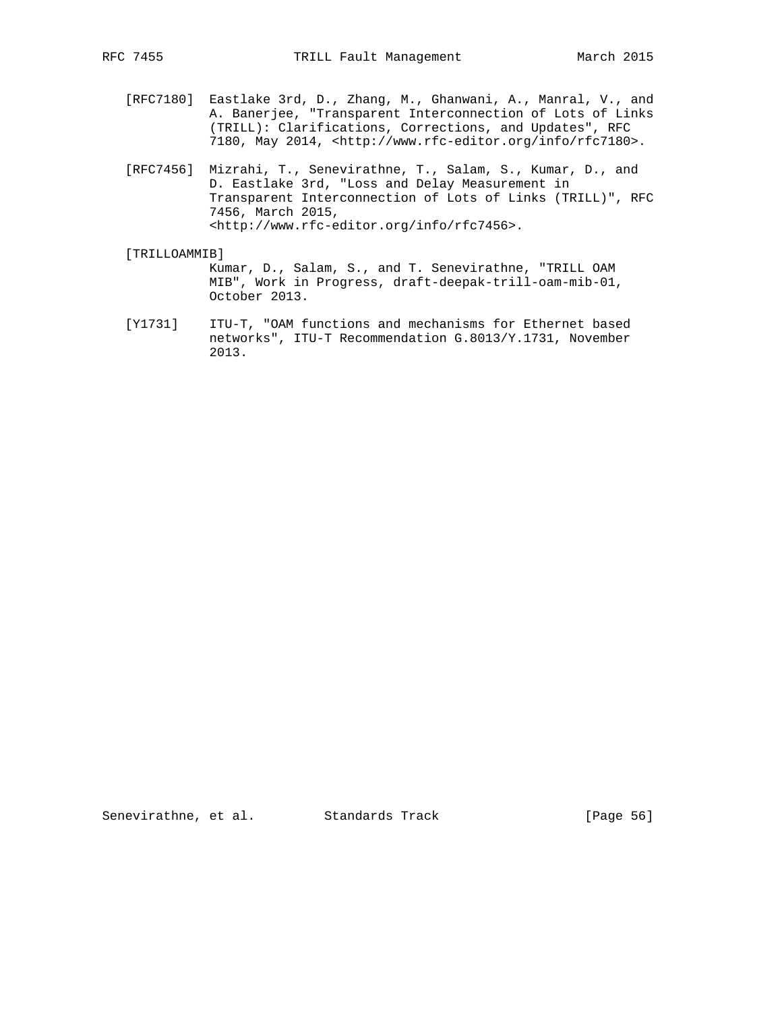- [RFC7180] Eastlake 3rd, D., Zhang, M., Ghanwani, A., Manral, V., and A. Banerjee, "Transparent Interconnection of Lots of Links (TRILL): Clarifications, Corrections, and Updates", RFC 7180, May 2014, <http://www.rfc-editor.org/info/rfc7180>.
- [RFC7456] Mizrahi, T., Senevirathne, T., Salam, S., Kumar, D., and D. Eastlake 3rd, "Loss and Delay Measurement in Transparent Interconnection of Lots of Links (TRILL)", RFC 7456, March 2015, <http://www.rfc-editor.org/info/rfc7456>.
- [TRILLOAMMIB] Kumar, D., Salam, S., and T. Senevirathne, "TRILL OAM MIB", Work in Progress, draft-deepak-trill-oam-mib-01, October 2013.
- [Y1731] ITU-T, "OAM functions and mechanisms for Ethernet based networks", ITU-T Recommendation G.8013/Y.1731, November 2013.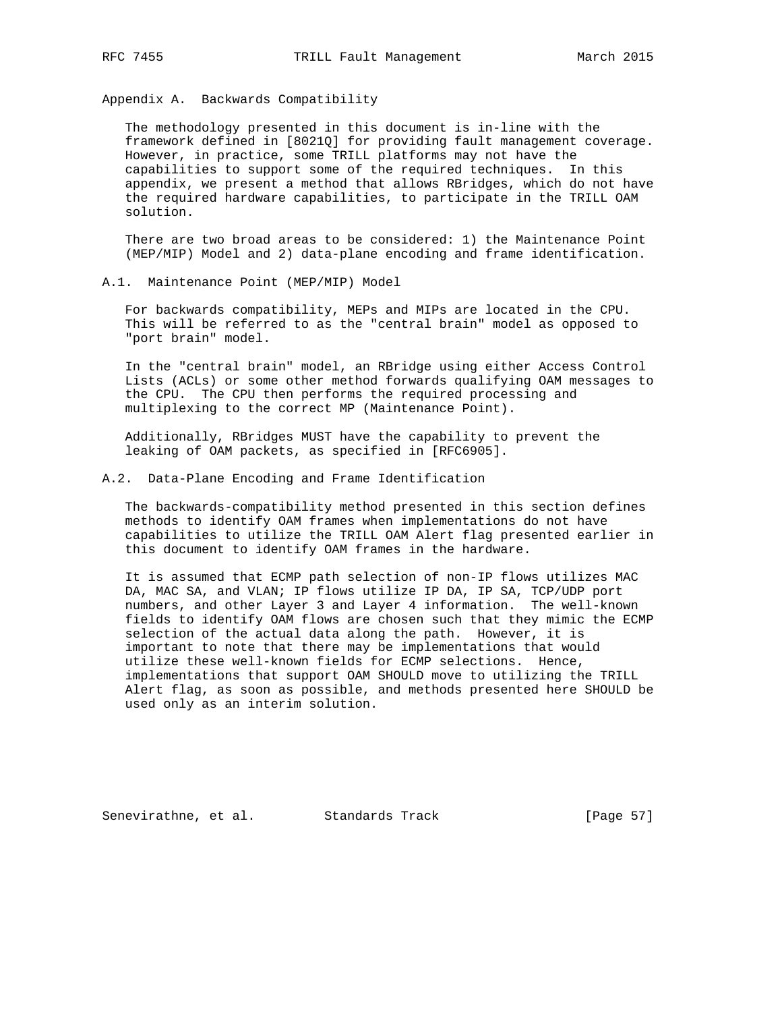Appendix A. Backwards Compatibility

 The methodology presented in this document is in-line with the framework defined in [8021Q] for providing fault management coverage. However, in practice, some TRILL platforms may not have the capabilities to support some of the required techniques. In this appendix, we present a method that allows RBridges, which do not have the required hardware capabilities, to participate in the TRILL OAM solution.

 There are two broad areas to be considered: 1) the Maintenance Point (MEP/MIP) Model and 2) data-plane encoding and frame identification.

A.1. Maintenance Point (MEP/MIP) Model

 For backwards compatibility, MEPs and MIPs are located in the CPU. This will be referred to as the "central brain" model as opposed to "port brain" model.

 In the "central brain" model, an RBridge using either Access Control Lists (ACLs) or some other method forwards qualifying OAM messages to the CPU. The CPU then performs the required processing and multiplexing to the correct MP (Maintenance Point).

 Additionally, RBridges MUST have the capability to prevent the leaking of OAM packets, as specified in [RFC6905].

## A.2. Data-Plane Encoding and Frame Identification

 The backwards-compatibility method presented in this section defines methods to identify OAM frames when implementations do not have capabilities to utilize the TRILL OAM Alert flag presented earlier in this document to identify OAM frames in the hardware.

 It is assumed that ECMP path selection of non-IP flows utilizes MAC DA, MAC SA, and VLAN; IP flows utilize IP DA, IP SA, TCP/UDP port numbers, and other Layer 3 and Layer 4 information. The well-known fields to identify OAM flows are chosen such that they mimic the ECMP selection of the actual data along the path. However, it is important to note that there may be implementations that would utilize these well-known fields for ECMP selections. Hence, implementations that support OAM SHOULD move to utilizing the TRILL Alert flag, as soon as possible, and methods presented here SHOULD be used only as an interim solution.

Senevirathne, et al. Standards Track [Page 57]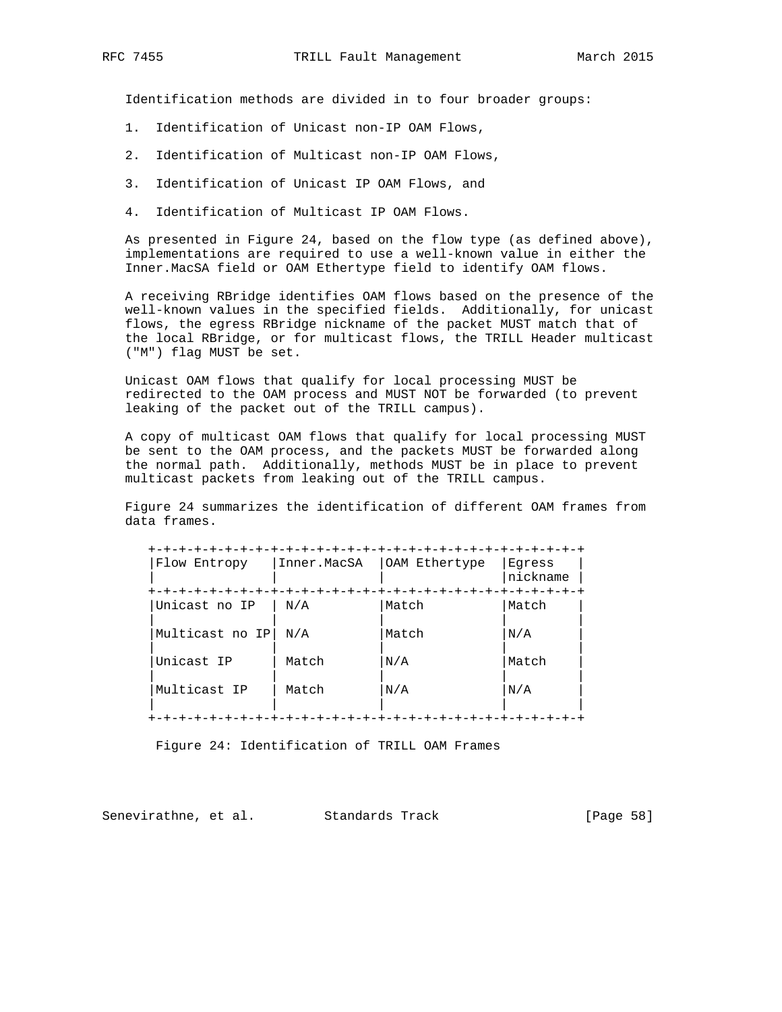Identification methods are divided in to four broader groups:

- 1. Identification of Unicast non-IP OAM Flows,
- 2. Identification of Multicast non-IP OAM Flows,
- 3. Identification of Unicast IP OAM Flows, and
- 4. Identification of Multicast IP OAM Flows.

 As presented in Figure 24, based on the flow type (as defined above), implementations are required to use a well-known value in either the Inner.MacSA field or OAM Ethertype field to identify OAM flows.

 A receiving RBridge identifies OAM flows based on the presence of the well-known values in the specified fields. Additionally, for unicast flows, the egress RBridge nickname of the packet MUST match that of the local RBridge, or for multicast flows, the TRILL Header multicast ("M") flag MUST be set.

 Unicast OAM flows that qualify for local processing MUST be redirected to the OAM process and MUST NOT be forwarded (to prevent leaking of the packet out of the TRILL campus).

 A copy of multicast OAM flows that qualify for local processing MUST be sent to the OAM process, and the packets MUST be forwarded along the normal path. Additionally, methods MUST be in place to prevent multicast packets from leaking out of the TRILL campus.

 Figure 24 summarizes the identification of different OAM frames from data frames.

| Flow Entropy    | Inner.MacSA | OAM Ethertype | Eqress<br>nickname |
|-----------------|-------------|---------------|--------------------|
| Unicast no IP   | N/A         | Match         | Match              |
| Multicast no IP | N/A         | Match         | N/A                |
| Unicast IP      | Match       | N/A           | Match              |
| Multicast IP    | Match       | N/A           | N/A                |

Figure 24: Identification of TRILL OAM Frames

Senevirathne, et al. Standards Track [Page 58]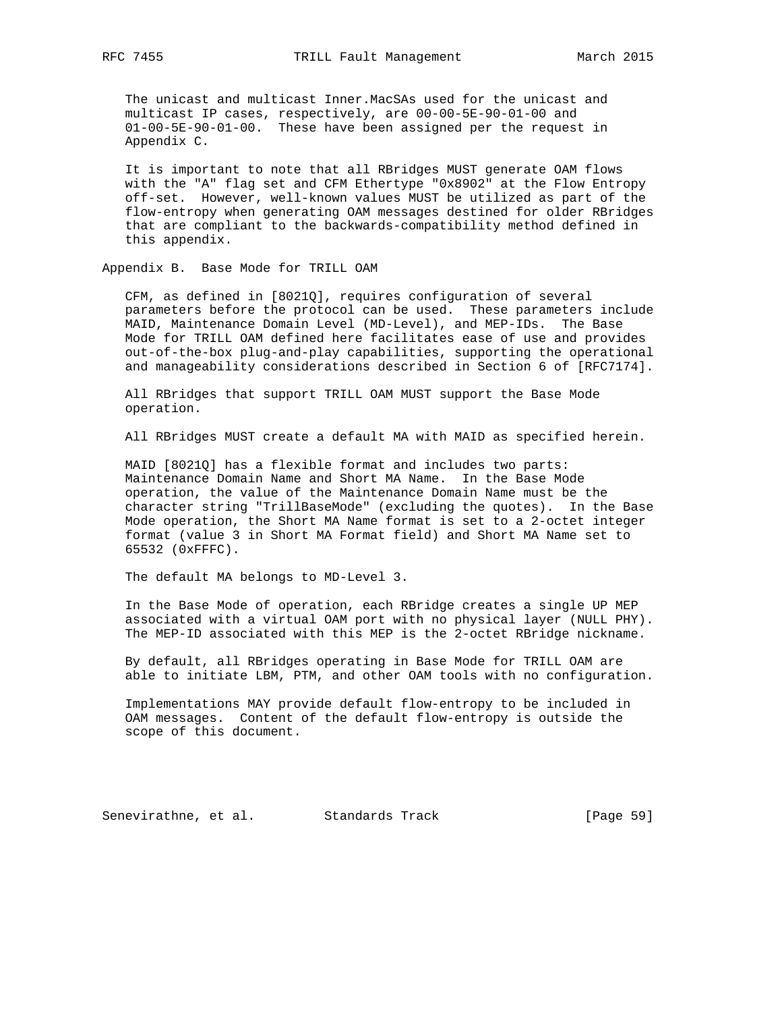The unicast and multicast Inner.MacSAs used for the unicast and multicast IP cases, respectively, are 00-00-5E-90-01-00 and 01-00-5E-90-01-00. These have been assigned per the request in Appendix C.

 It is important to note that all RBridges MUST generate OAM flows with the "A" flag set and CFM Ethertype "0x8902" at the Flow Entropy off-set. However, well-known values MUST be utilized as part of the flow-entropy when generating OAM messages destined for older RBridges that are compliant to the backwards-compatibility method defined in this appendix.

Appendix B. Base Mode for TRILL OAM

 CFM, as defined in [8021Q], requires configuration of several parameters before the protocol can be used. These parameters include MAID, Maintenance Domain Level (MD-Level), and MEP-IDs. The Base Mode for TRILL OAM defined here facilitates ease of use and provides out-of-the-box plug-and-play capabilities, supporting the operational and manageability considerations described in Section 6 of [RFC7174].

 All RBridges that support TRILL OAM MUST support the Base Mode operation.

All RBridges MUST create a default MA with MAID as specified herein.

 MAID [8021Q] has a flexible format and includes two parts: Maintenance Domain Name and Short MA Name. In the Base Mode operation, the value of the Maintenance Domain Name must be the character string "TrillBaseMode" (excluding the quotes). In the Base Mode operation, the Short MA Name format is set to a 2-octet integer format (value 3 in Short MA Format field) and Short MA Name set to 65532 (0xFFFC).

The default MA belongs to MD-Level 3.

 In the Base Mode of operation, each RBridge creates a single UP MEP associated with a virtual OAM port with no physical layer (NULL PHY). The MEP-ID associated with this MEP is the 2-octet RBridge nickname.

 By default, all RBridges operating in Base Mode for TRILL OAM are able to initiate LBM, PTM, and other OAM tools with no configuration.

 Implementations MAY provide default flow-entropy to be included in OAM messages. Content of the default flow-entropy is outside the scope of this document.

Senevirathne, et al. Standards Track [Page 59]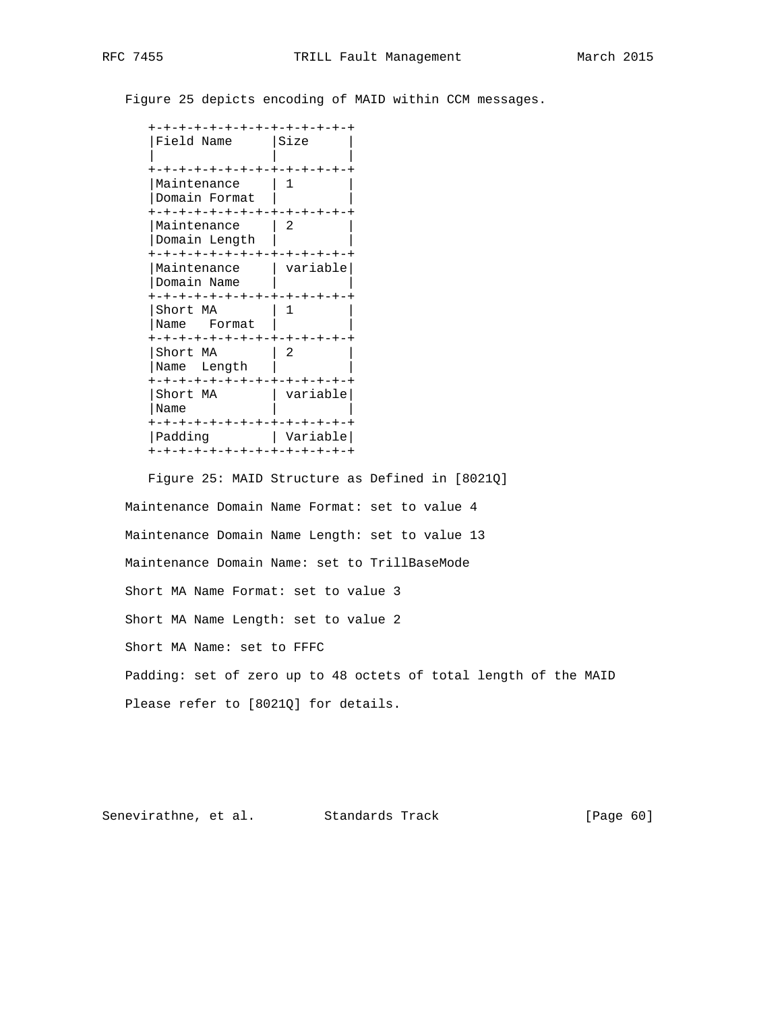Figure 25 depicts encoding of MAID within CCM messages.

```
 +-+-+-+-+-+-+-+-+-+-+-+-+-+
     |Field Name |Size |
| | |
    +-+-+-+-+-+-+-+-+-+-+-+-+-+
    |Maintenance | 1
    |Domain Format | |
     +-+-+-+-+-+-+-+-+-+-+-+-+-+
    |Maintenance | 2
     |Domain Length | |
     +-+-+-+-+-+-+-+-+-+-+-+-+-+
|Maintenance | variable|
|Domain Name | |
     +-+-+-+-+-+-+-+-+-+-+-+-+-+
    |Short MA | 1
    |Name Format | |
    +-+-+-+-+-+-+-+-+-+-+-+-+-+
    |\text{Short MA}| | 2
    |Name Length | |
     +-+-+-+-+-+-+-+-+-+-+-+-+-+
|Short MA | variable|
|Name | |
    +-+-+-+-+-+-+-+-+-+-+-+-+-+
   | Padding | Variable
    +-+-+-+-+-+-+-+-+-+-+-+-+-+
```
 Figure 25: MAID Structure as Defined in [8021Q] Maintenance Domain Name Format: set to value 4 Maintenance Domain Name Length: set to value 13 Maintenance Domain Name: set to TrillBaseMode Short MA Name Format: set to value 3 Short MA Name Length: set to value 2 Short MA Name: set to FFFC Padding: set of zero up to 48 octets of total length of the MAID Please refer to [8021Q] for details.

Senevirathne, et al. Standards Track [Page 60]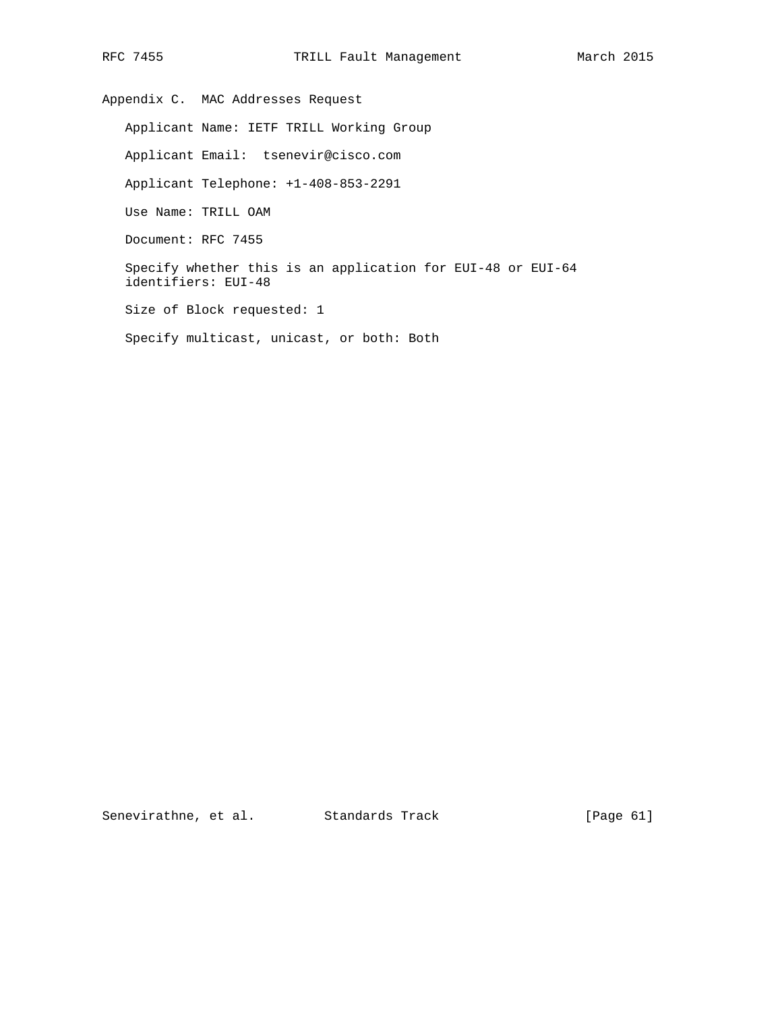Appendix C. MAC Addresses Request Applicant Name: IETF TRILL Working Group Applicant Email: tsenevir@cisco.com Applicant Telephone: +1-408-853-2291 Use Name: TRILL OAM Document: RFC 7455 Specify whether this is an application for EUI-48 or EUI-64 identifiers: EUI-48 Size of Block requested: 1 Specify multicast, unicast, or both: Both

Senevirathne, et al. Standards Track [Page 61]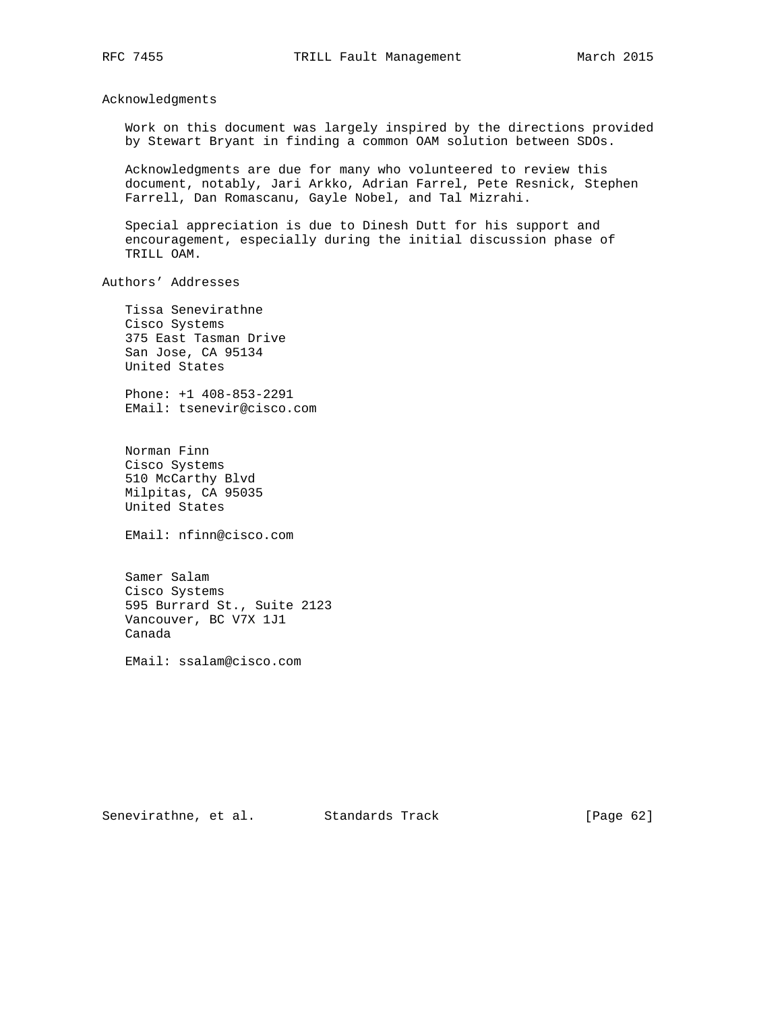Acknowledgments

 Work on this document was largely inspired by the directions provided by Stewart Bryant in finding a common OAM solution between SDOs.

 Acknowledgments are due for many who volunteered to review this document, notably, Jari Arkko, Adrian Farrel, Pete Resnick, Stephen Farrell, Dan Romascanu, Gayle Nobel, and Tal Mizrahi.

 Special appreciation is due to Dinesh Dutt for his support and encouragement, especially during the initial discussion phase of TRILL OAM.

Authors' Addresses

 Tissa Senevirathne Cisco Systems 375 East Tasman Drive San Jose, CA 95134 United States

 Phone: +1 408-853-2291 EMail: tsenevir@cisco.com

 Norman Finn Cisco Systems 510 McCarthy Blvd Milpitas, CA 95035 United States

EMail: nfinn@cisco.com

 Samer Salam Cisco Systems 595 Burrard St., Suite 2123 Vancouver, BC V7X 1J1 Canada

EMail: ssalam@cisco.com

Senevirathne, et al. Standards Track [Page 62]